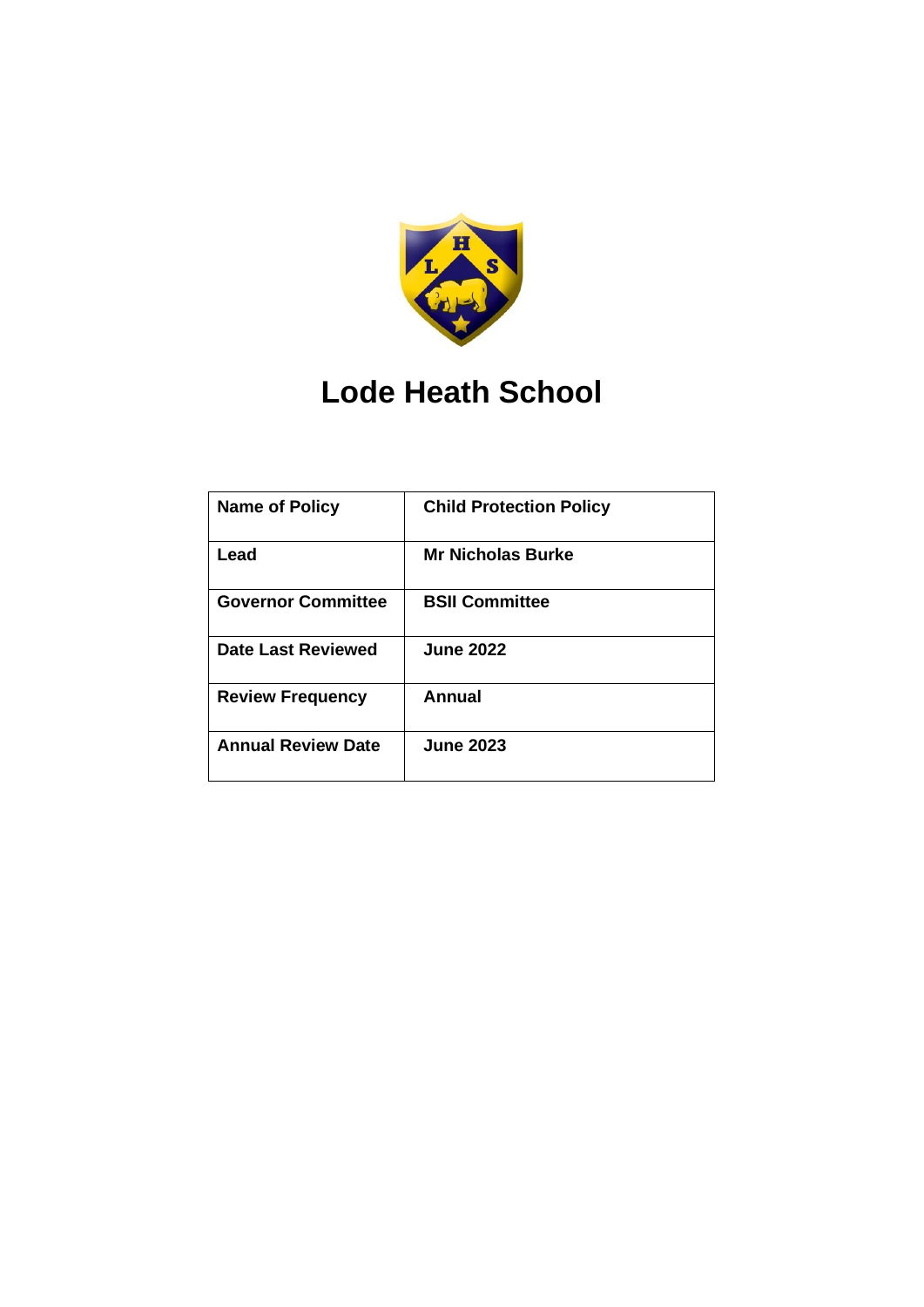

# **Lode Heath School**

| <b>Name of Policy</b>     | <b>Child Protection Policy</b> |
|---------------------------|--------------------------------|
| Lead                      | <b>Mr Nicholas Burke</b>       |
| <b>Governor Committee</b> | <b>BSII Committee</b>          |
| <b>Date Last Reviewed</b> | <b>June 2022</b>               |
| <b>Review Frequency</b>   | Annual                         |
| <b>Annual Review Date</b> | <b>June 2023</b>               |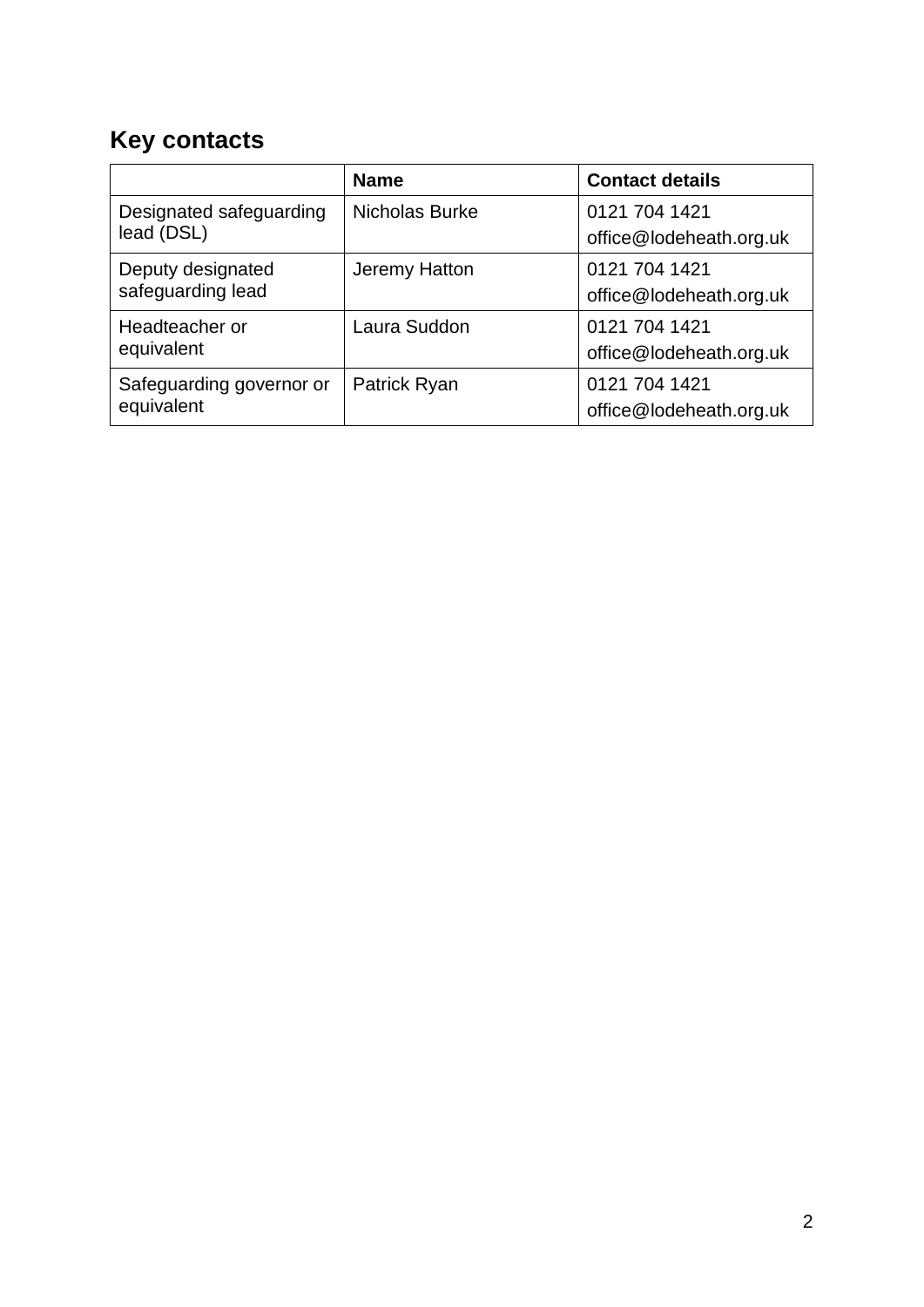# <span id="page-1-0"></span>**Key contacts**

|                                        | <b>Name</b>    | <b>Contact details</b>                   |
|----------------------------------------|----------------|------------------------------------------|
| Designated safeguarding<br>lead (DSL)  | Nicholas Burke | 0121 704 1421<br>office@lodeheath.org.uk |
| Deputy designated<br>safeguarding lead | Jeremy Hatton  | 0121 704 1421<br>office@lodeheath.org.uk |
| Headteacher or<br>equivalent           | Laura Suddon   | 0121 704 1421<br>office@lodeheath.org.uk |
| Safeguarding governor or<br>equivalent | Patrick Ryan   | 0121 704 1421<br>office@lodeheath.org.uk |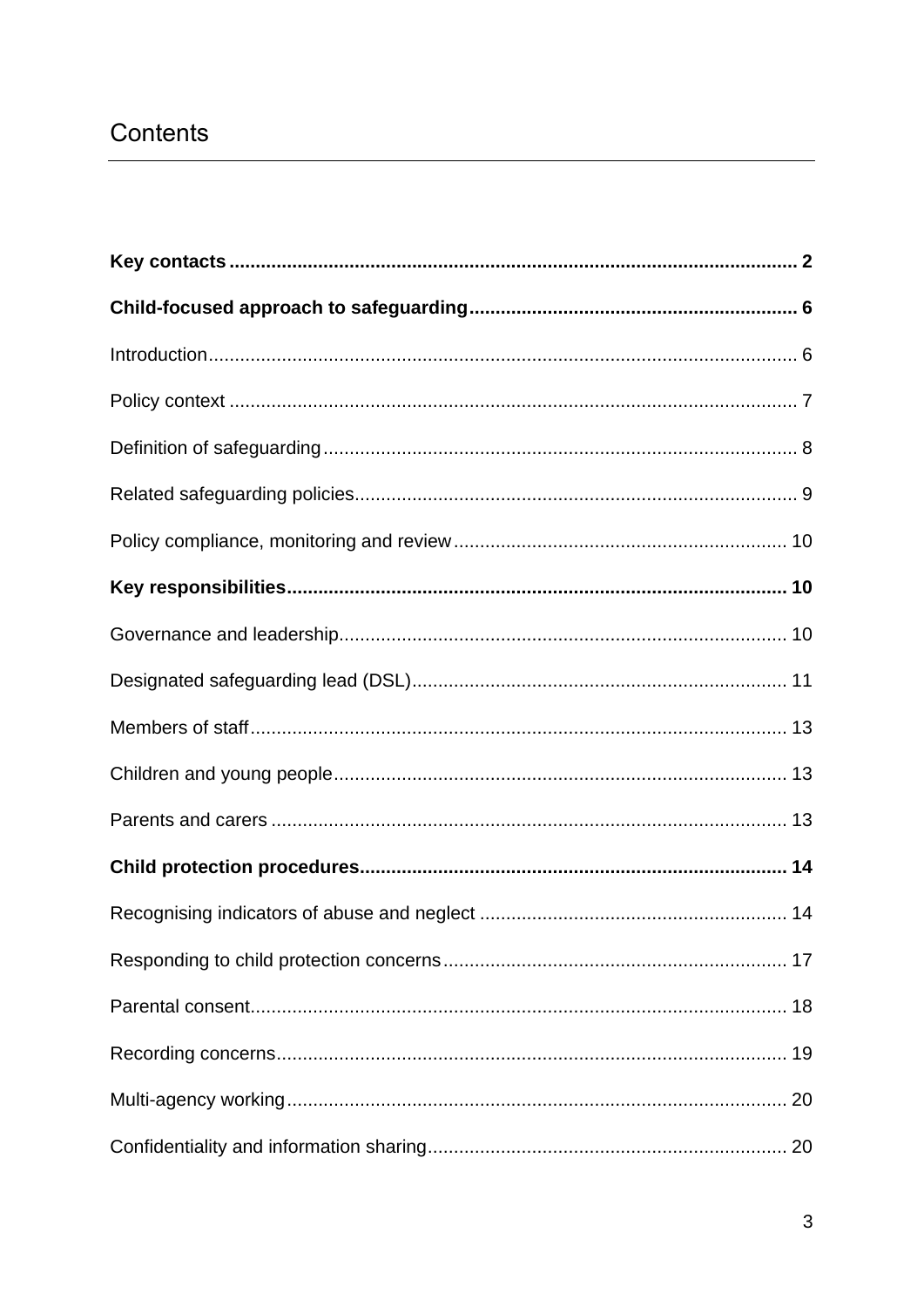# Contents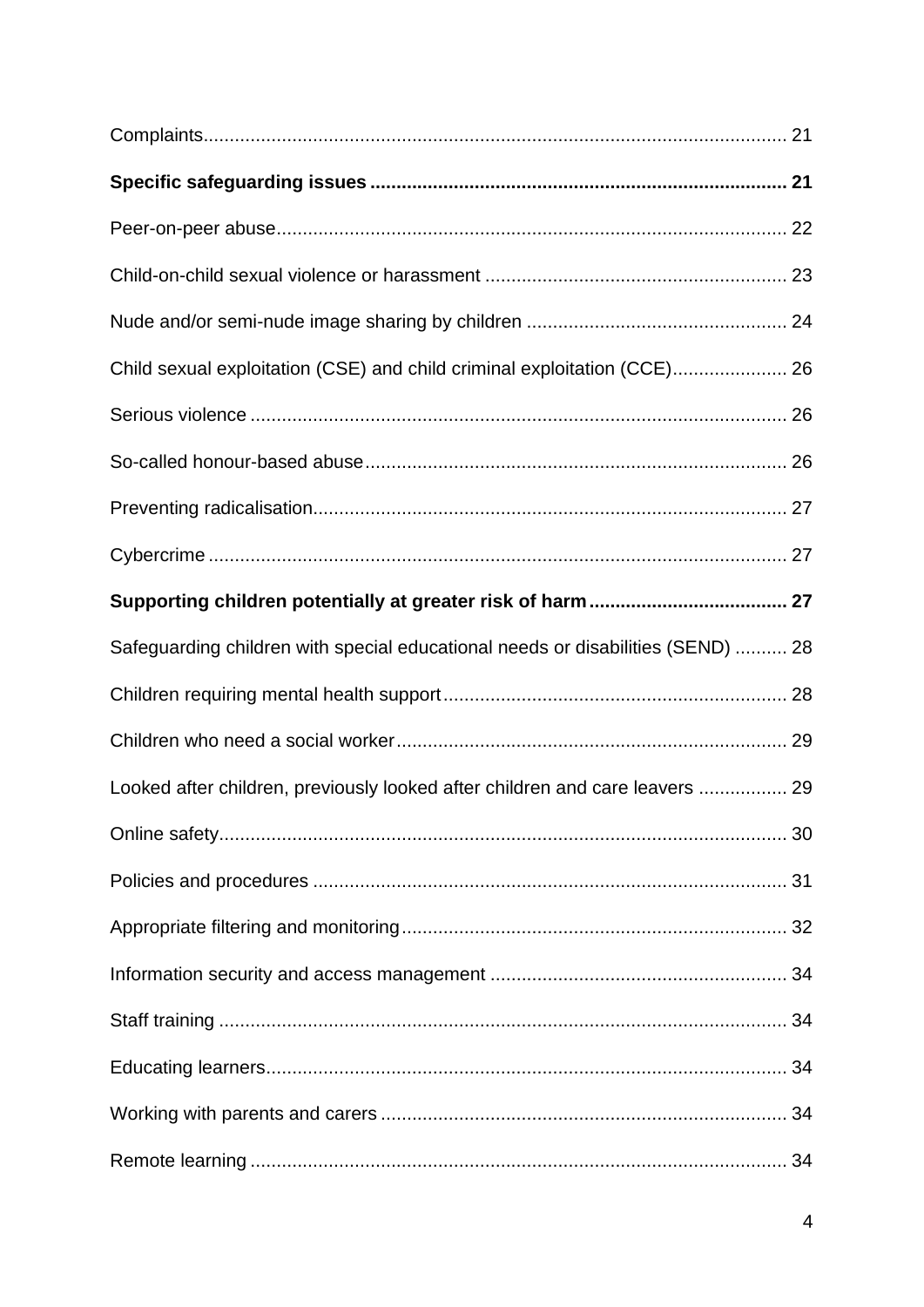| Child sexual exploitation (CSE) and child criminal exploitation (CCE) 26        |  |
|---------------------------------------------------------------------------------|--|
|                                                                                 |  |
|                                                                                 |  |
|                                                                                 |  |
|                                                                                 |  |
|                                                                                 |  |
| Safeguarding children with special educational needs or disabilities (SEND)  28 |  |
|                                                                                 |  |
|                                                                                 |  |
| Looked after children, previously looked after children and care leavers  29    |  |
|                                                                                 |  |
|                                                                                 |  |
|                                                                                 |  |
|                                                                                 |  |
|                                                                                 |  |
|                                                                                 |  |
|                                                                                 |  |
|                                                                                 |  |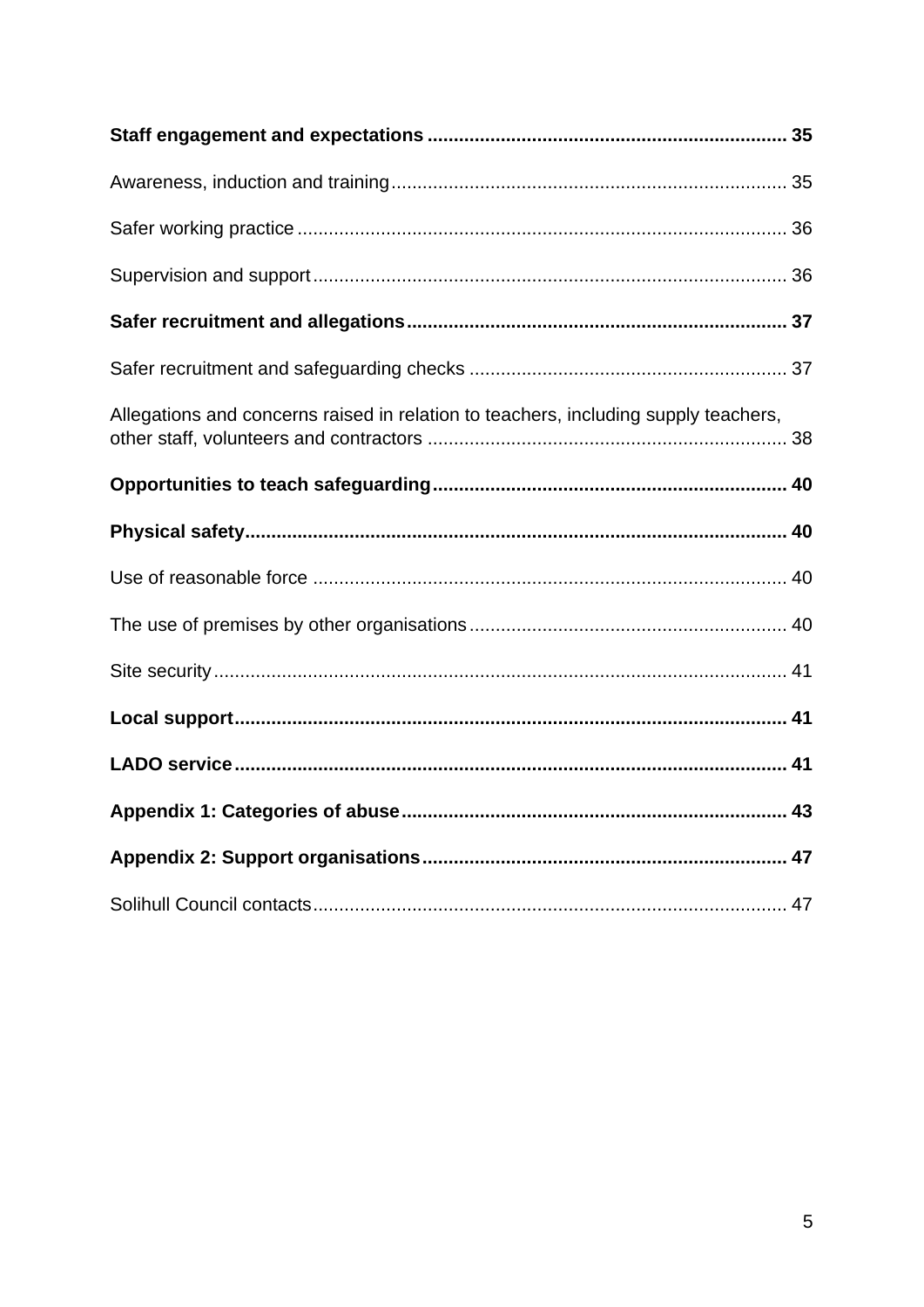| Allegations and concerns raised in relation to teachers, including supply teachers, |
|-------------------------------------------------------------------------------------|
|                                                                                     |
|                                                                                     |
|                                                                                     |
|                                                                                     |
|                                                                                     |
|                                                                                     |
|                                                                                     |
|                                                                                     |
|                                                                                     |
|                                                                                     |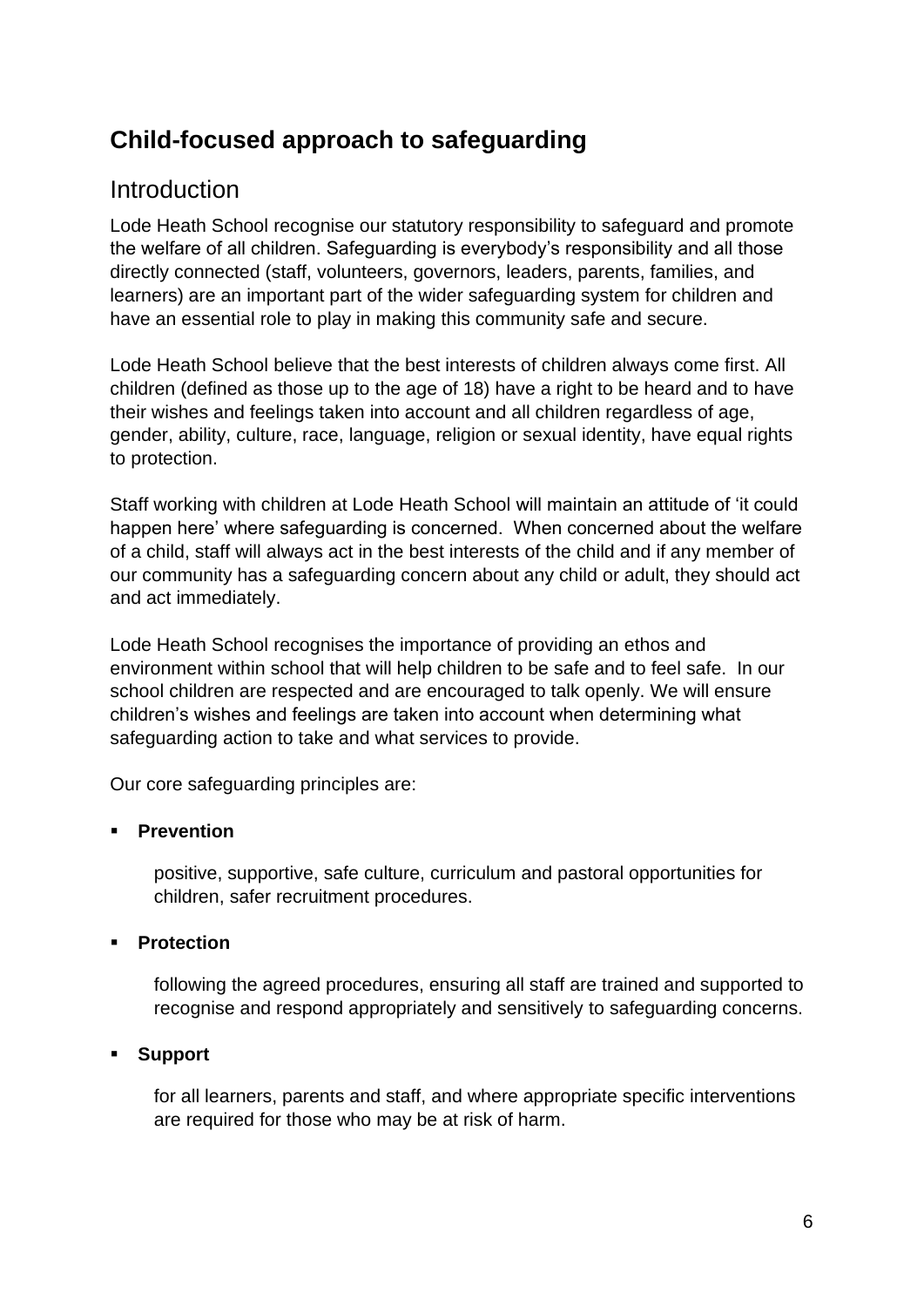## <span id="page-5-0"></span>**Child-focused approach to safeguarding**

#### <span id="page-5-1"></span>**Introduction**

Lode Heath School recognise our statutory responsibility to safeguard and promote the welfare of all children. Safeguarding is everybody's responsibility and all those directly connected (staff, volunteers, governors, leaders, parents, families, and learners) are an important part of the wider safeguarding system for children and have an essential role to play in making this community safe and secure.

Lode Heath School believe that the best interests of children always come first. All children (defined as those up to the age of 18) have a right to be heard and to have their wishes and feelings taken into account and all children regardless of age, gender, ability, culture, race, language, religion or sexual identity, have equal rights to protection.

Staff working with children at Lode Heath School will maintain an attitude of 'it could happen here' where safeguarding is concerned. When concerned about the welfare of a child, staff will always act in the best interests of the child and if any member of our community has a safeguarding concern about any child or adult, they should act and act immediately.

Lode Heath School recognises the importance of providing an ethos and environment within school that will help children to be safe and to feel safe. In our school children are respected and are encouraged to talk openly. We will ensure children's wishes and feelings are taken into account when determining what safeguarding action to take and what services to provide.

Our core safeguarding principles are:

#### ▪ **Prevention**

positive, supportive, safe culture, curriculum and pastoral opportunities for children, safer recruitment procedures.

#### **Protection**

following the agreed procedures, ensuring all staff are trained and supported to recognise and respond appropriately and sensitively to safeguarding concerns.

#### **Support**

for all learners, parents and staff, and where appropriate specific interventions are required for those who may be at risk of harm.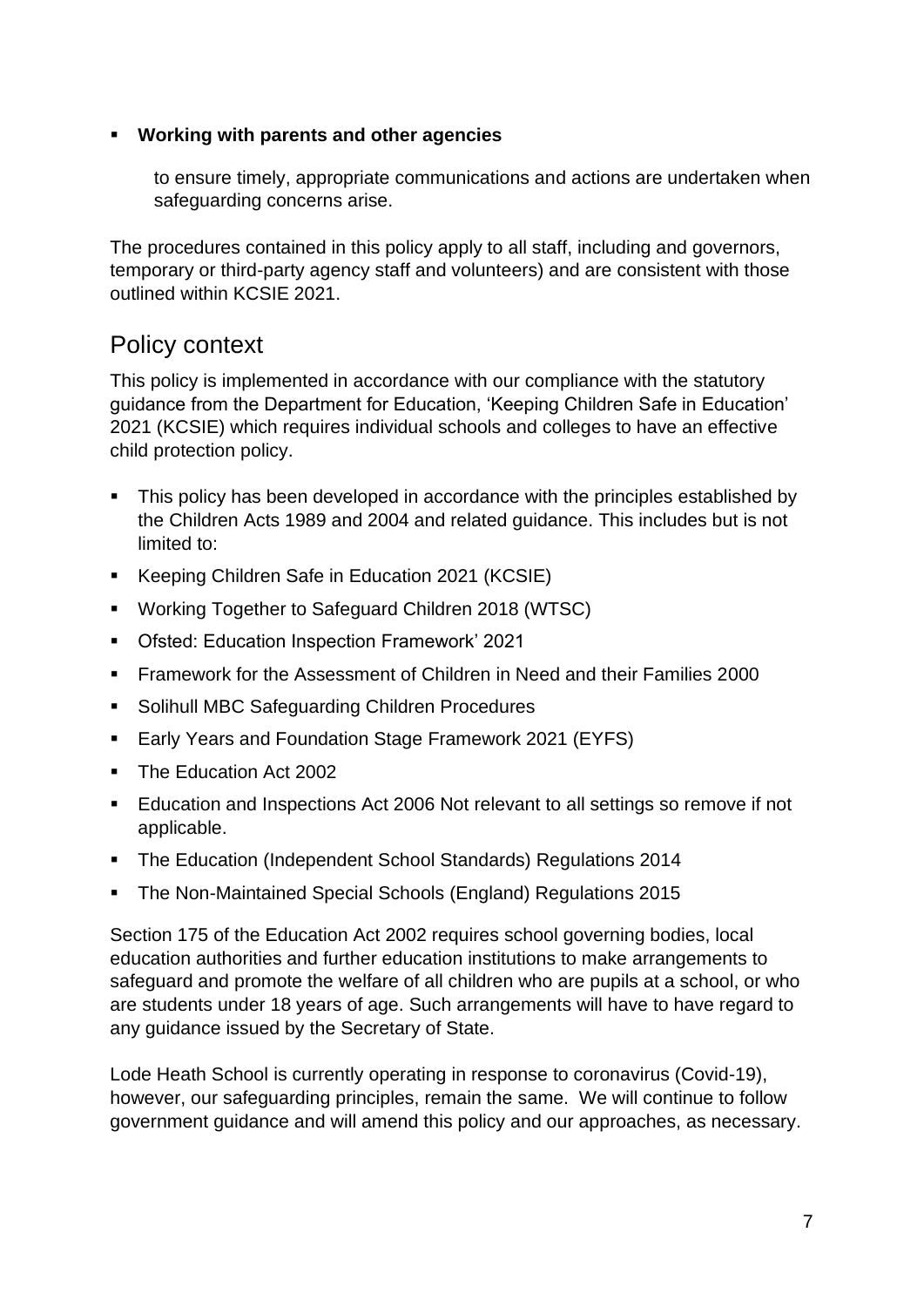#### ▪ **Working with parents and other agencies**

to ensure timely, appropriate communications and actions are undertaken when safeguarding concerns arise.

The procedures contained in this policy apply to all staff, including and governors, temporary or third-party agency staff and volunteers) and are consistent with those outlined within KCSIE 2021.

### <span id="page-6-0"></span>Policy context

This policy is implemented in accordance with our compliance with the statutory guidance from the Department for Education, 'Keeping Children Safe in Education' 2021 (KCSIE) which requires individual schools and colleges to have an effective child protection policy.

- This policy has been developed in accordance with the principles established by the Children Acts 1989 and 2004 and related guidance. This includes but is not limited to:
- Keeping Children Safe in Education 2021 (KCSIE)
- Working Together to Safeguard Children 2018 (WTSC)
- Ofsted: Education Inspection Framework' 2021
- Framework for the Assessment of Children in Need and their Families 2000
- Solihull MBC Safeguarding Children Procedures
- Early Years and Foundation Stage Framework 2021 (EYFS)
- The Education Act 2002
- Education and Inspections Act 2006 Not relevant to all settings so remove if not applicable.
- The Education (Independent School Standards) Regulations 2014
- The Non-Maintained Special Schools (England) Regulations 2015

Section 175 of the Education Act 2002 requires school governing bodies, local education authorities and further education institutions to make arrangements to safeguard and promote the welfare of all children who are pupils at a school, or who are students under 18 years of age. Such arrangements will have to have regard to any guidance issued by the Secretary of State.

Lode Heath School is currently operating in response to coronavirus (Covid-19), however, our safeguarding principles, remain the same. We will continue to follow government guidance and will amend this policy and our approaches, as necessary.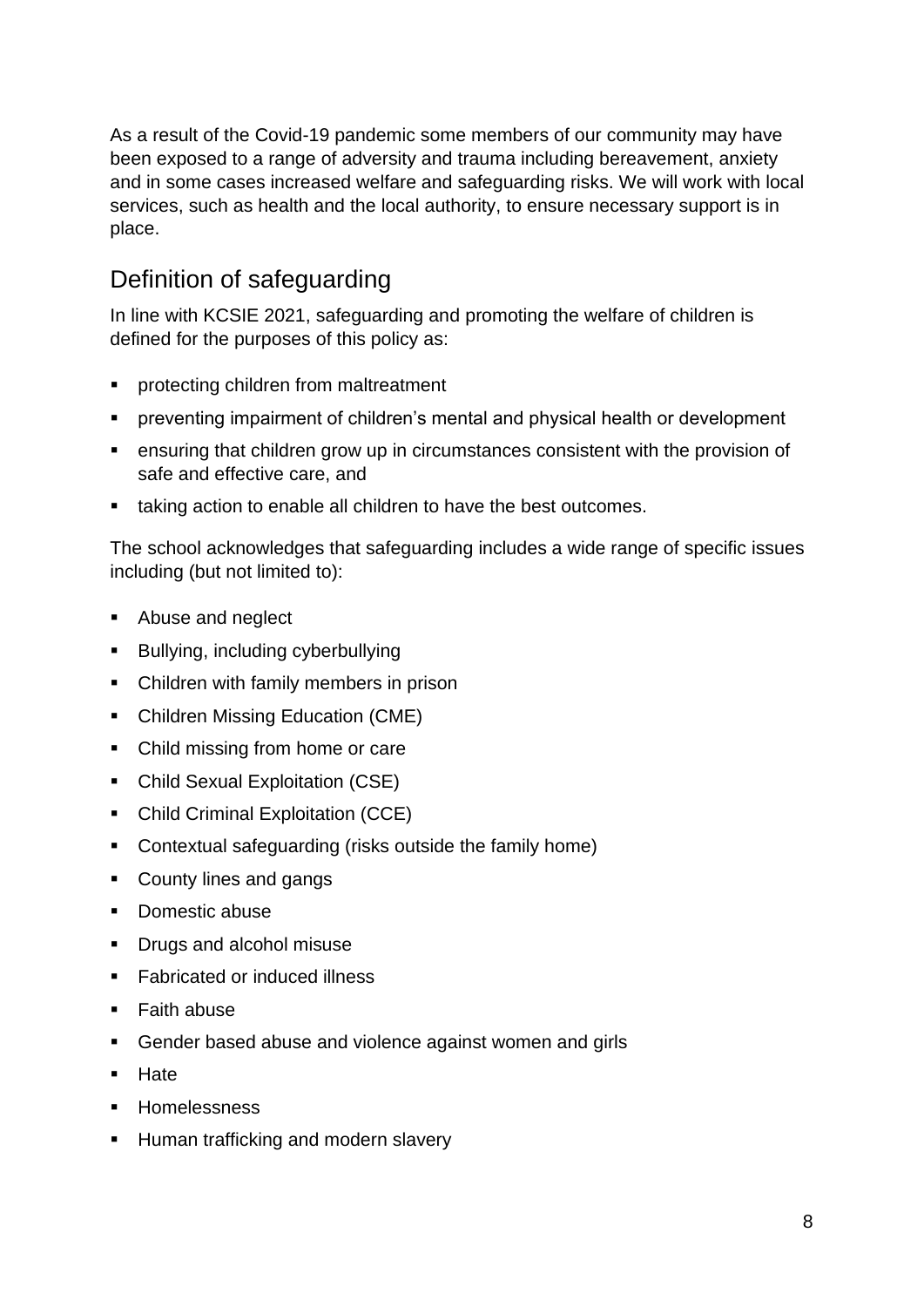As a result of the Covid-19 pandemic some members of our community may have been exposed to a range of adversity and trauma including bereavement, anxiety and in some cases increased welfare and safeguarding risks. We will work with local services, such as health and the local authority, to ensure necessary support is in place.

## <span id="page-7-0"></span>Definition of safeguarding

In line with KCSIE 2021, safeguarding and promoting the welfare of children is defined for the purposes of this policy as:

- protecting children from maltreatment
- preventing impairment of children's mental and physical health or development
- ensuring that children grow up in circumstances consistent with the provision of safe and effective care, and
- taking action to enable all children to have the best outcomes.

The school acknowledges that safeguarding includes a wide range of specific issues including (but not limited to):

- Abuse and neglect
- Bullying, including cyberbullying
- Children with family members in prison
- Children Missing Education (CME)
- Child missing from home or care
- Child Sexual Exploitation (CSE)
- Child Criminal Exploitation (CCE)
- Contextual safeguarding (risks outside the family home)
- County lines and gangs
- Domestic abuse
- Drugs and alcohol misuse
- Fabricated or induced illness
- Faith abuse
- Gender based abuse and violence against women and girls
- Hate
- Homelessness
- **E** Human trafficking and modern slavery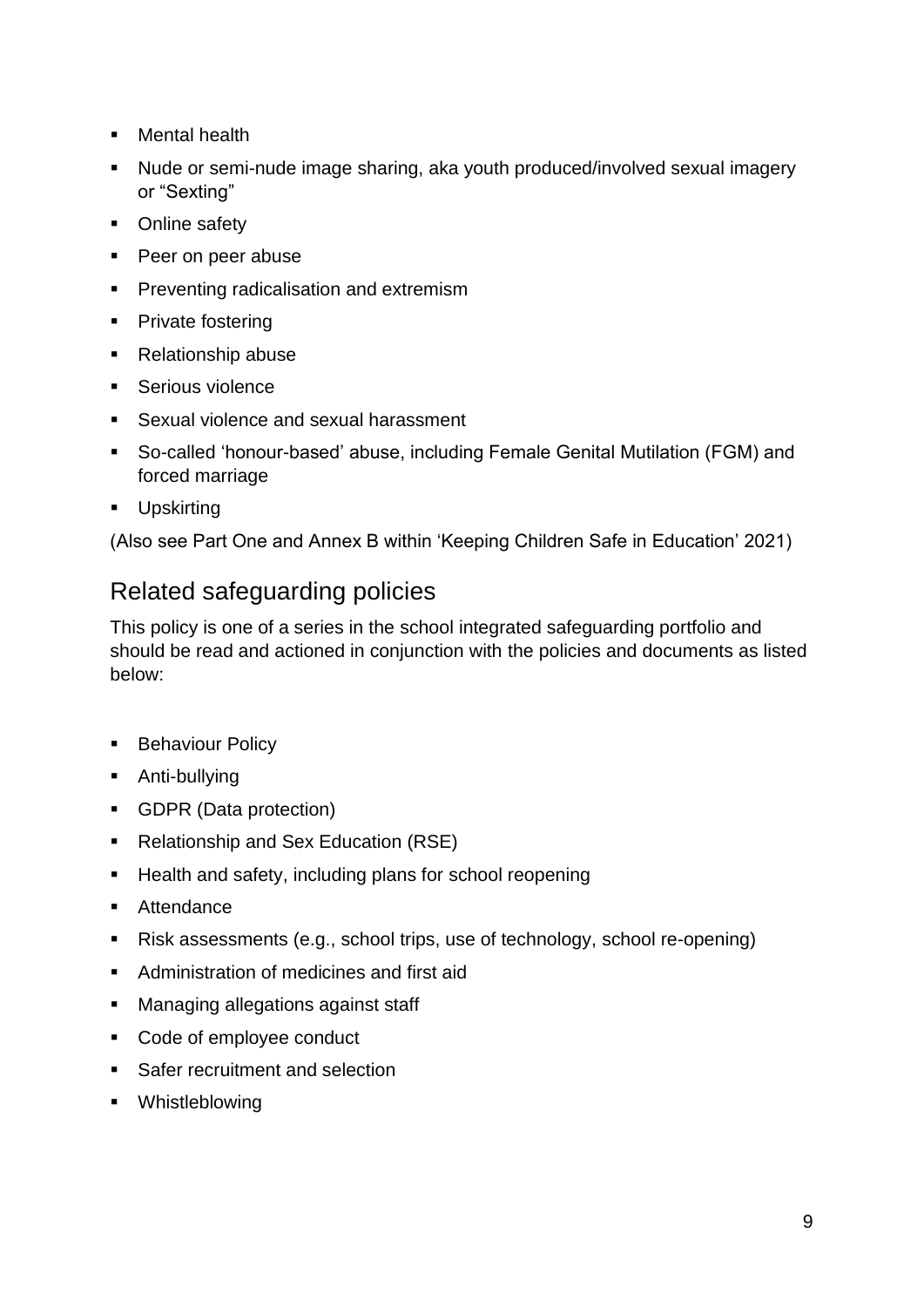- Mental health
- Nude or semi-nude image sharing, aka youth produced/involved sexual imagery or "Sexting"
- Online safety
- Peer on peer abuse
- **Preventing radicalisation and extremism**
- Private fostering
- Relationship abuse
- Serious violence
- Sexual violence and sexual harassment
- So-called 'honour-based' abuse, including Female Genital Mutilation (FGM) and forced marriage
- Upskirting

(Also see Part One and Annex B within 'Keeping Children Safe in Education' 2021)

## <span id="page-8-0"></span>Related safeguarding policies

This policy is one of a series in the school integrated safeguarding portfolio and should be read and actioned in conjunction with the policies and documents as listed below:

- **Behaviour Policy**
- Anti-bullying
- GDPR (Data protection)
- Relationship and Sex Education (RSE)
- Health and safety, including plans for school reopening
- Attendance
- Risk assessments (e.g., school trips, use of technology, school re-opening)
- Administration of medicines and first aid
- Managing allegations against staff
- Code of employee conduct
- Safer recruitment and selection
- Whistleblowing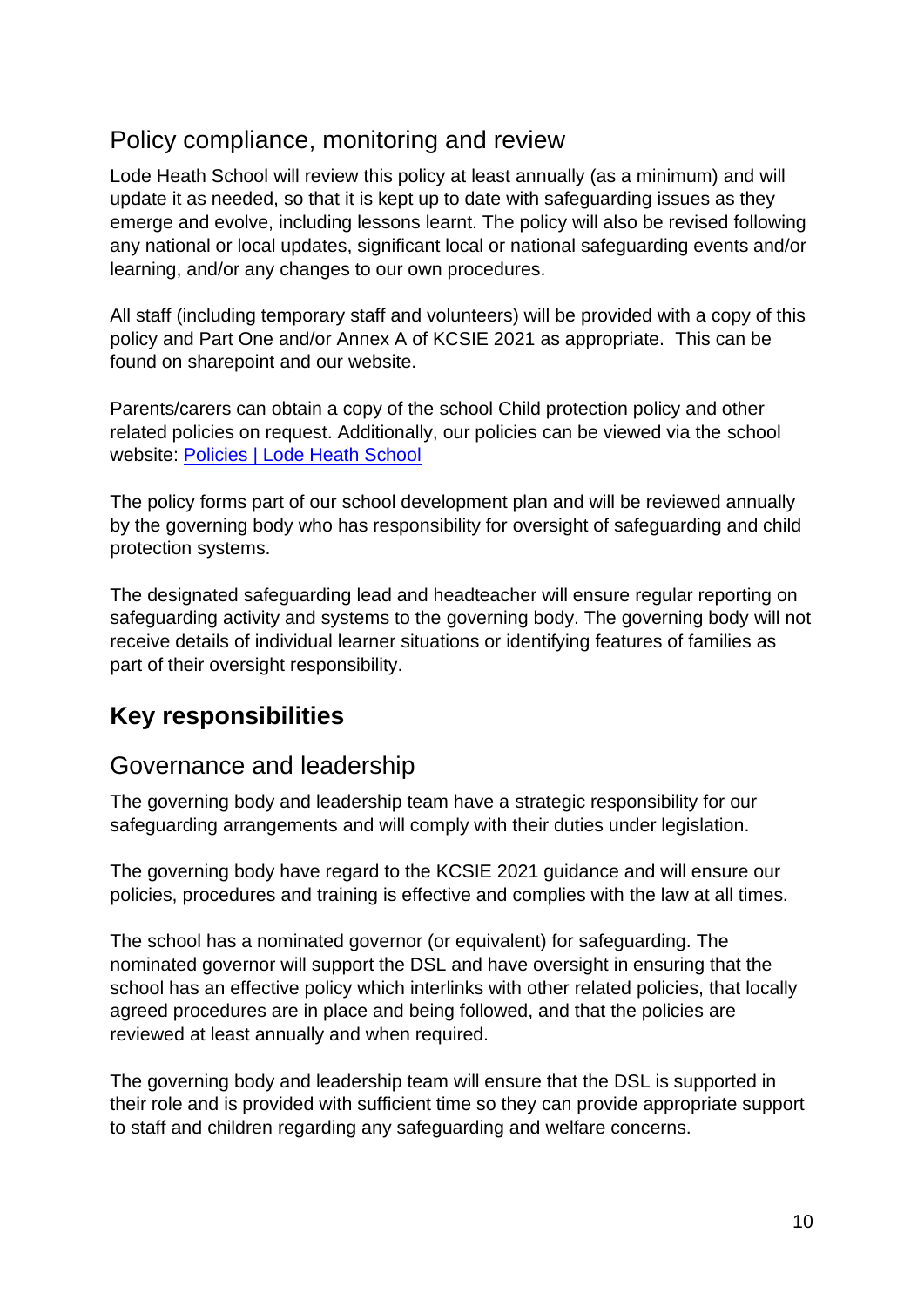## <span id="page-9-0"></span>Policy compliance, monitoring and review

Lode Heath School will review this policy at least annually (as a minimum) and will update it as needed, so that it is kept up to date with safeguarding issues as they emerge and evolve, including lessons learnt. The policy will also be revised following any national or local updates, significant local or national safeguarding events and/or learning, and/or any changes to our own procedures.

All staff (including temporary staff and volunteers) will be provided with a copy of this policy and Part One and/or Annex A of KCSIE 2021 as appropriate. This can be found on sharepoint and our website.

Parents/carers can obtain a copy of the school Child protection policy and other related policies on request. Additionally, our policies can be viewed via the school website: [Policies | Lode Heath School](https://www.lodeheathschool.co.uk/policies)

The policy forms part of our school development plan and will be reviewed annually by the governing body who has responsibility for oversight of safeguarding and child protection systems.

The designated safeguarding lead and headteacher will ensure regular reporting on safeguarding activity and systems to the governing body. The governing body will not receive details of individual learner situations or identifying features of families as part of their oversight responsibility.

## <span id="page-9-1"></span>**Key responsibilities**

### <span id="page-9-2"></span>Governance and leadership

The governing body and leadership team have a strategic responsibility for our safeguarding arrangements and will comply with their duties under legislation.

The governing body have regard to the KCSIE 2021 guidance and will ensure our policies, procedures and training is effective and complies with the law at all times.

The school has a nominated governor (or equivalent) for safeguarding. The nominated governor will support the DSL and have oversight in ensuring that the school has an effective policy which interlinks with other related policies, that locally agreed procedures are in place and being followed, and that the policies are reviewed at least annually and when required.

The governing body and leadership team will ensure that the DSL is supported in their role and is provided with sufficient time so they can provide appropriate support to staff and children regarding any safeguarding and welfare concerns.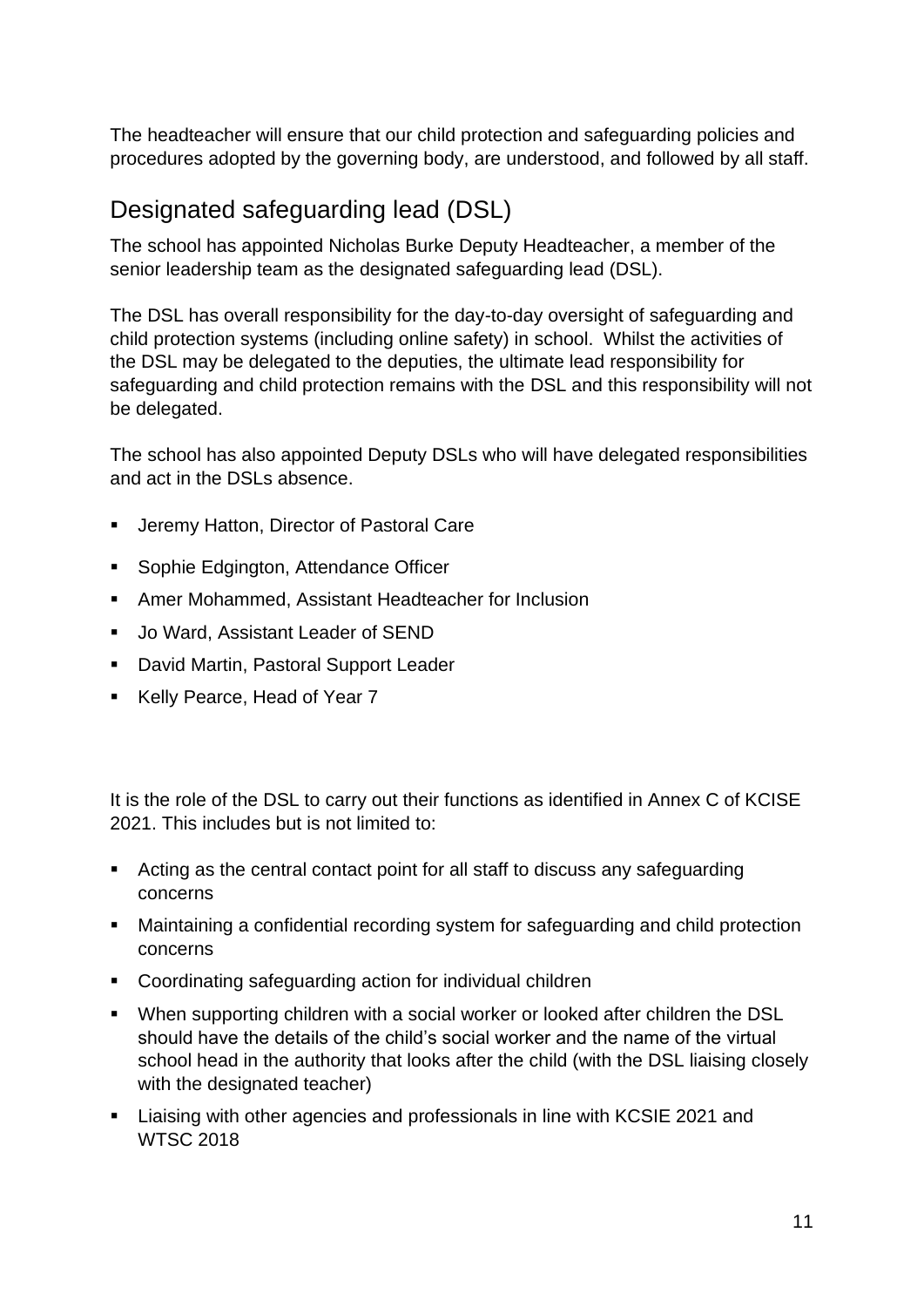The headteacher will ensure that our child protection and safeguarding policies and procedures adopted by the governing body, are understood, and followed by all staff.

## <span id="page-10-0"></span>Designated safeguarding lead (DSL)

The school has appointed Nicholas Burke Deputy Headteacher, a member of the senior leadership team as the designated safeguarding lead (DSL).

The DSL has overall responsibility for the day-to-day oversight of safeguarding and child protection systems (including online safety) in school. Whilst the activities of the DSL may be delegated to the deputies, the ultimate lead responsibility for safeguarding and child protection remains with the DSL and this responsibility will not be delegated.

The school has also appointed Deputy DSLs who will have delegated responsibilities and act in the DSLs absence.

- **E** Jeremy Hatton, Director of Pastoral Care
- Sophie Edgington, Attendance Officer
- Amer Mohammed, Assistant Headteacher for Inclusion
- Jo Ward, Assistant Leader of SEND
- David Martin, Pastoral Support Leader
- Kelly Pearce, Head of Year 7

It is the role of the DSL to carry out their functions as identified in Annex C of KCISE 2021. This includes but is not limited to:

- Acting as the central contact point for all staff to discuss any safeguarding concerns
- Maintaining a confidential recording system for safeguarding and child protection concerns
- Coordinating safeguarding action for individual children
- When supporting children with a social worker or looked after children the DSL should have the details of the child's social worker and the name of the virtual school head in the authority that looks after the child (with the DSL liaising closely with the designated teacher)
- Liaising with other agencies and professionals in line with KCSIE 2021 and WTSC 2018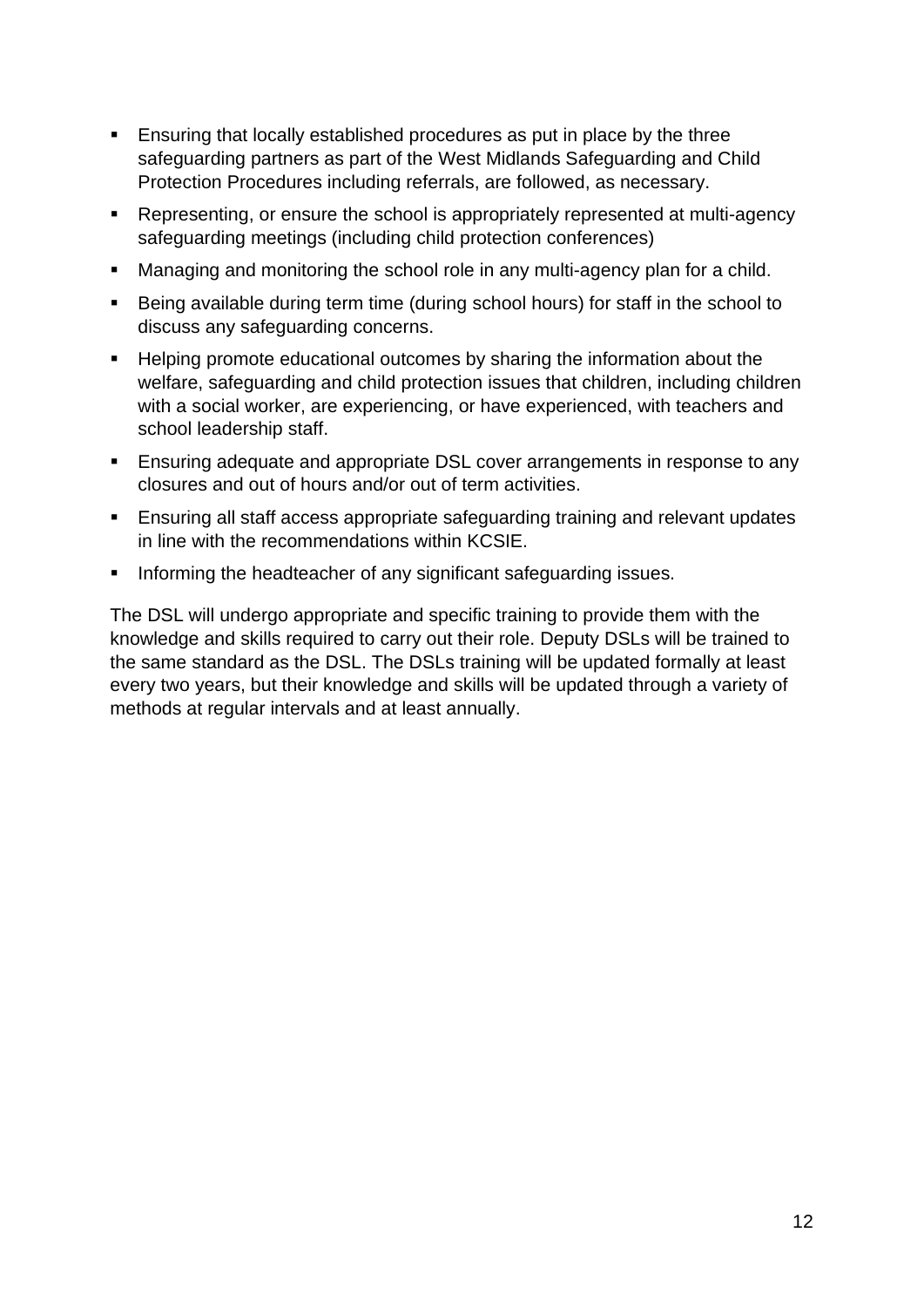- Ensuring that locally established procedures as put in place by the three safeguarding partners as part of the West Midlands Safeguarding and Child Protection Procedures including referrals, are followed, as necessary.
- Representing, or ensure the school is appropriately represented at multi-agency safeguarding meetings (including child protection conferences)
- Managing and monitoring the school role in any multi-agency plan for a child.
- Being available during term time (during school hours) for staff in the school to discuss any safeguarding concerns.
- Helping promote educational outcomes by sharing the information about the welfare, safeguarding and child protection issues that children, including children with a social worker, are experiencing, or have experienced, with teachers and school leadership staff.
- **Ensuring adequate and appropriate DSL cover arrangements in response to any** closures and out of hours and/or out of term activities.
- Ensuring all staff access appropriate safeguarding training and relevant updates in line with the recommendations within KCSIE.
- Informing the headteacher of any significant safeguarding issues.

The DSL will undergo appropriate and specific training to provide them with the knowledge and skills required to carry out their role. Deputy DSLs will be trained to the same standard as the DSL. The DSLs training will be updated formally at least every two years, but their knowledge and skills will be updated through a variety of methods at regular intervals and at least annually.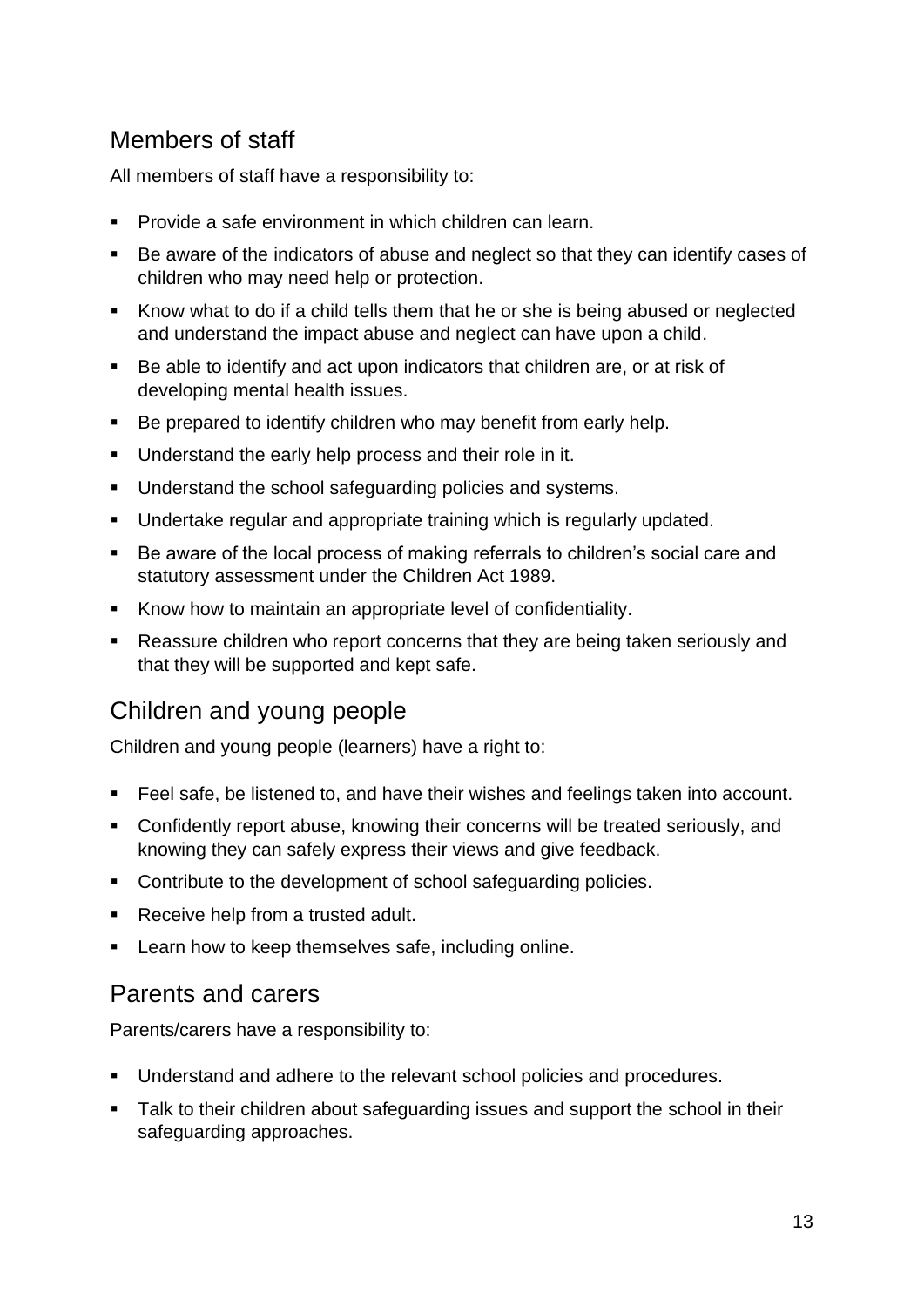## <span id="page-12-0"></span>Members of staff

All members of staff have a responsibility to:

- Provide a safe environment in which children can learn.
- Be aware of the indicators of abuse and neglect so that they can identify cases of children who may need help or protection.
- Know what to do if a child tells them that he or she is being abused or neglected and understand the impact abuse and neglect can have upon a child.
- Be able to identify and act upon indicators that children are, or at risk of developing mental health issues.
- Be prepared to identify children who may benefit from early help.
- **■** Understand the early help process and their role in it.
- Understand the school safeguarding policies and systems.
- Undertake regular and appropriate training which is regularly updated.
- Be aware of the local process of making referrals to children's social care and statutory assessment under the Children Act 1989.
- Know how to maintain an appropriate level of confidentiality.
- Reassure children who report concerns that they are being taken seriously and that they will be supported and kept safe.

## <span id="page-12-1"></span>Children and young people

Children and young people (learners) have a right to:

- Feel safe, be listened to, and have their wishes and feelings taken into account.
- Confidently report abuse, knowing their concerns will be treated seriously, and knowing they can safely express their views and give feedback.
- Contribute to the development of school safeguarding policies.
- Receive help from a trusted adult.
- **EXECT** Learn how to keep themselves safe, including online.

### <span id="page-12-2"></span>Parents and carers

Parents/carers have a responsibility to:

- Understand and adhere to the relevant school policies and procedures.
- Talk to their children about safeguarding issues and support the school in their safeguarding approaches.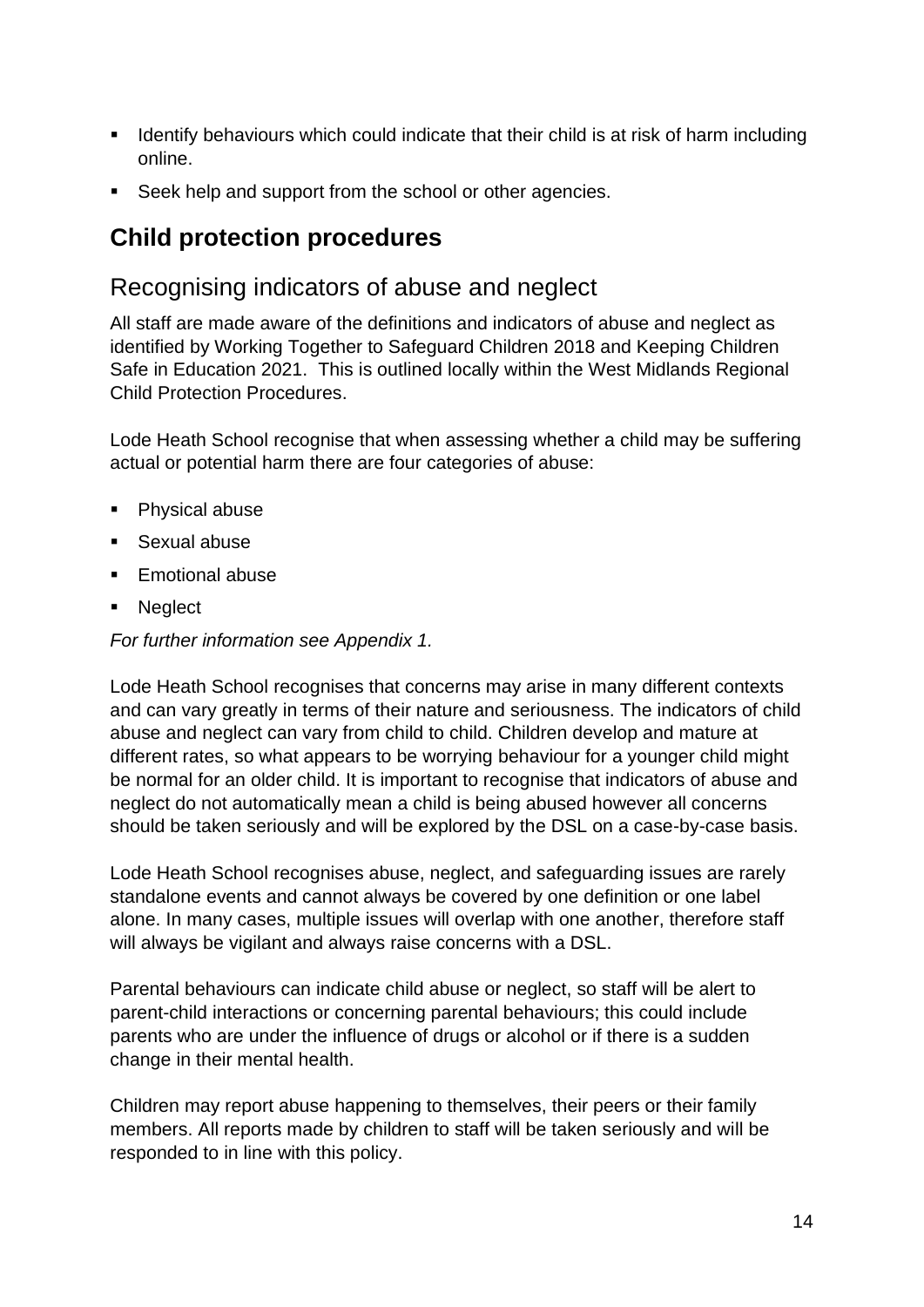- **EXED IDENT** Identify behaviours which could indicate that their child is at risk of harm including online.
- Seek help and support from the school or other agencies.

## <span id="page-13-0"></span>**Child protection procedures**

## <span id="page-13-1"></span>Recognising indicators of abuse and neglect

All staff are made aware of the definitions and indicators of abuse and neglect as identified by Working Together to Safeguard Children 2018 and Keeping Children Safe in Education 2021. This is outlined locally within the West Midlands Regional Child Protection Procedures.

Lode Heath School recognise that when assessing whether a child may be suffering actual or potential harm there are four categories of abuse:

- Physical abuse
- Sexual abuse
- Emotional abuse
- Neglect

*For further information see Appendix 1.*

Lode Heath School recognises that concerns may arise in many different contexts and can vary greatly in terms of their nature and seriousness. The indicators of child abuse and neglect can vary from child to child. Children develop and mature at different rates, so what appears to be worrying behaviour for a younger child might be normal for an older child. It is important to recognise that indicators of abuse and neglect do not automatically mean a child is being abused however all concerns should be taken seriously and will be explored by the DSL on a case-by-case basis.

Lode Heath School recognises abuse, neglect, and safeguarding issues are rarely standalone events and cannot always be covered by one definition or one label alone. In many cases, multiple issues will overlap with one another, therefore staff will always be vigilant and always raise concerns with a DSL.

Parental behaviours can indicate child abuse or neglect, so staff will be alert to parent-child interactions or concerning parental behaviours; this could include parents who are under the influence of drugs or alcohol or if there is a sudden change in their mental health.

Children may report abuse happening to themselves, their peers or their family members. All reports made by children to staff will be taken seriously and will be responded to in line with this policy.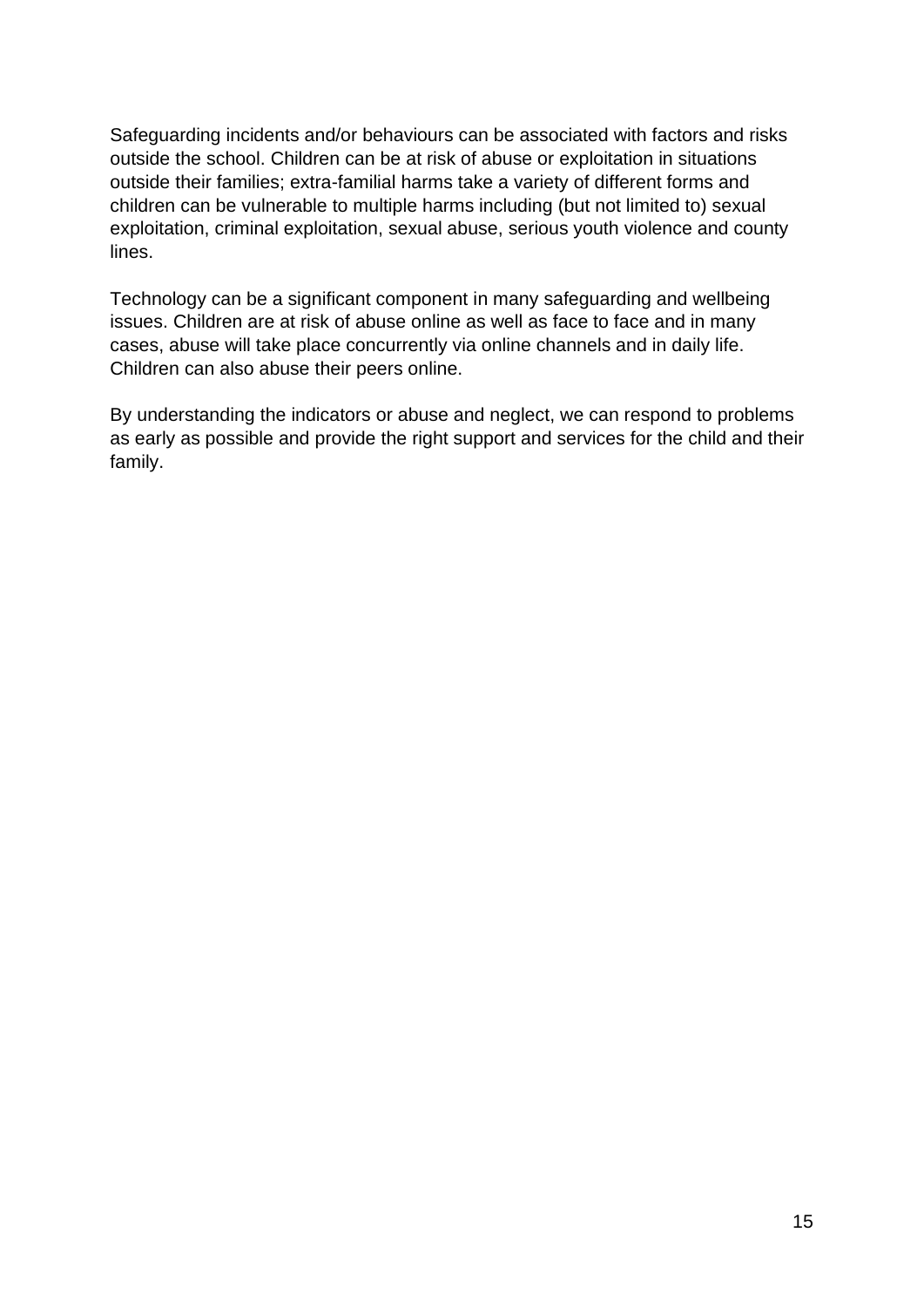Safeguarding incidents and/or behaviours can be associated with factors and risks outside the school. Children can be at risk of abuse or exploitation in situations outside their families; extra-familial harms take a variety of different forms and children can be vulnerable to multiple harms including (but not limited to) sexual exploitation, criminal exploitation, sexual abuse, serious youth violence and county lines.

Technology can be a significant component in many safeguarding and wellbeing issues. Children are at risk of abuse online as well as face to face and in many cases, abuse will take place concurrently via online channels and in daily life. Children can also abuse their peers online.

By understanding the indicators or abuse and neglect, we can respond to problems as early as possible and provide the right support and services for the child and their family.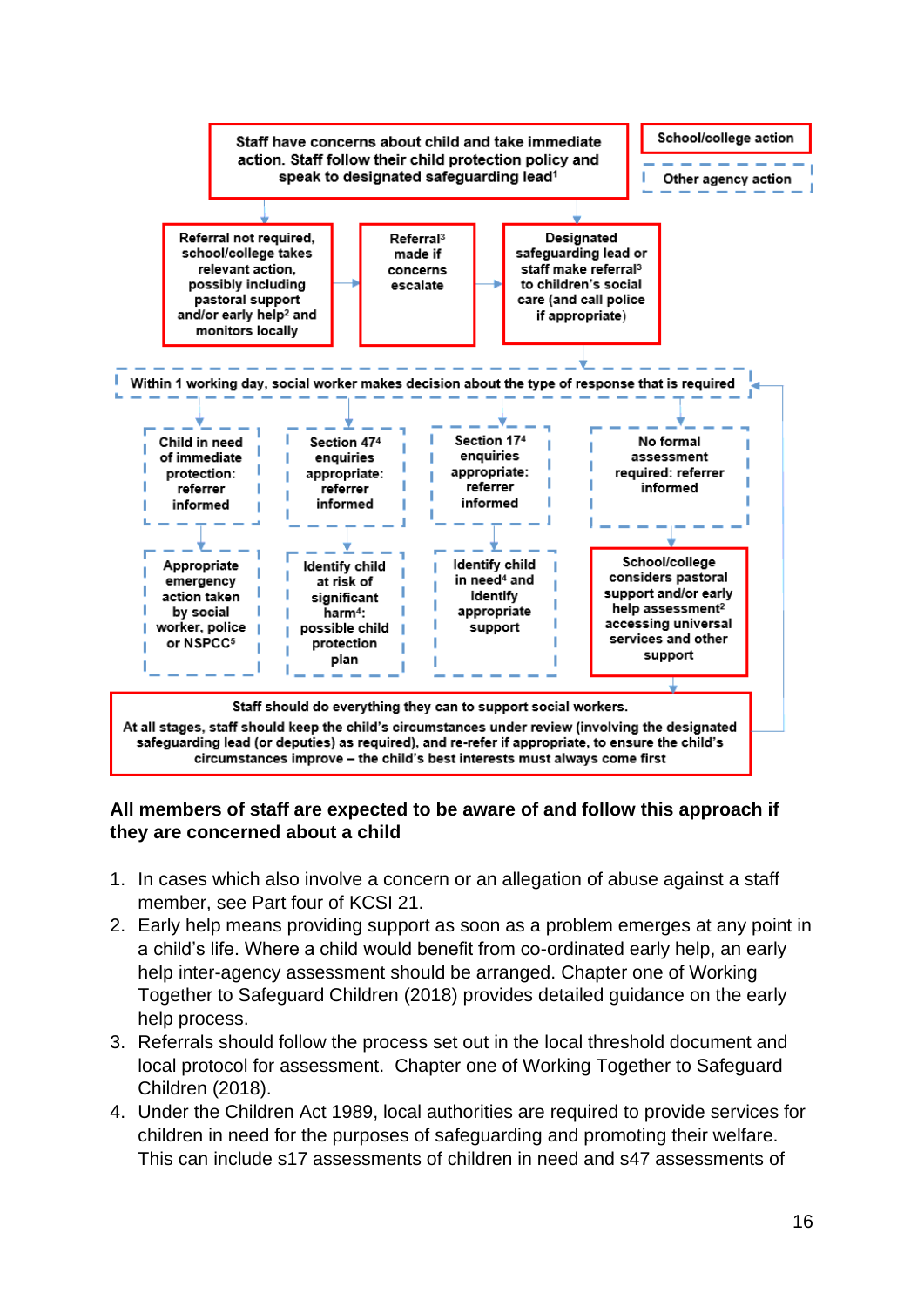

#### **All members of staff are expected to be aware of and follow this approach if they are concerned about a child**

- 1. In cases which also involve a concern or an allegation of abuse against a staff member, see Part four of KCSI 21.
- 2. Early help means providing support as soon as a problem emerges at any point in a child's life. Where a child would benefit from co-ordinated early help, an early help inter-agency assessment should be arranged. Chapter one of Working Together to Safeguard Children (2018) provides detailed guidance on the early help process.
- 3. Referrals should follow the process set out in the local threshold document and local protocol for assessment. Chapter one of Working Together to Safeguard Children (2018).
- 4. Under the Children Act 1989, local authorities are required to provide services for children in need for the purposes of safeguarding and promoting their welfare. This can include s17 assessments of children in need and s47 assessments of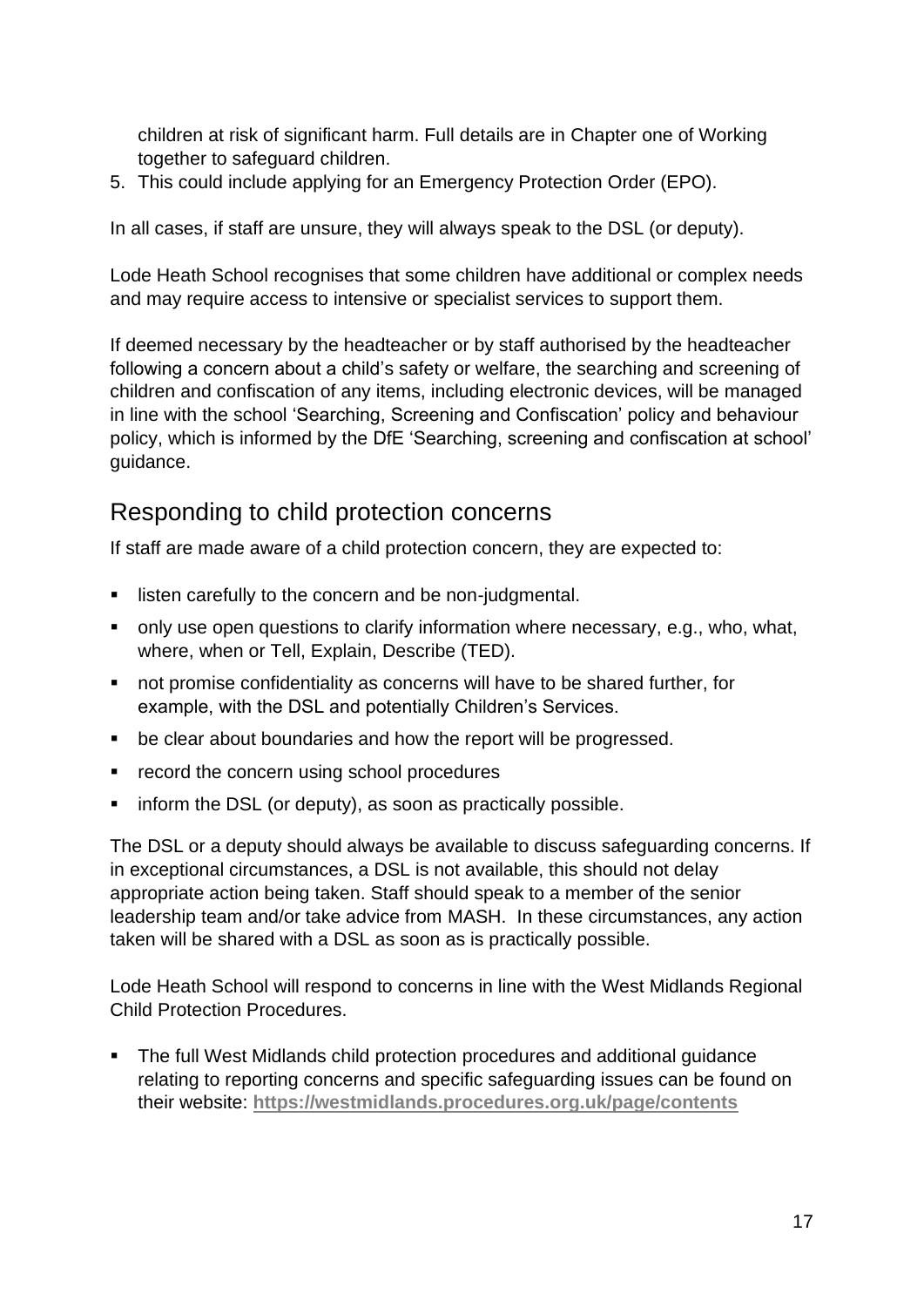children at risk of significant harm. Full details are in Chapter one of Working together to safeguard children.

5. This could include applying for an Emergency Protection Order (EPO).

In all cases, if staff are unsure, they will always speak to the DSL (or deputy).

Lode Heath School recognises that some children have additional or complex needs and may require access to intensive or specialist services to support them.

If deemed necessary by the headteacher or by staff authorised by the headteacher following a concern about a child's safety or welfare, the searching and screening of children and confiscation of any items, including electronic devices, will be managed in line with the school 'Searching, Screening and Confiscation' policy and behaviour policy, which is informed by the DfE 'Searching, screening and confiscation at school' guidance.

#### <span id="page-16-0"></span>Responding to child protection concerns

If staff are made aware of a child protection concern, they are expected to:

- **E** listen carefully to the concern and be non-judgmental.
- only use open questions to clarify information where necessary, e.g., who, what, where, when or Tell, Explain, Describe (TED).
- not promise confidentiality as concerns will have to be shared further, for example, with the DSL and potentially Children's Services.
- be clear about boundaries and how the report will be progressed.
- record the concern using school procedures
- inform the DSL (or deputy), as soon as practically possible.

The DSL or a deputy should always be available to discuss safeguarding concerns. If in exceptional circumstances, a DSL is not available, this should not delay appropriate action being taken. Staff should speak to a member of the senior leadership team and/or take advice from MASH. In these circumstances, any action taken will be shared with a DSL as soon as is practically possible.

Lode Heath School will respond to concerns in line with the West Midlands Regional Child Protection Procedures.

■ The full West Midlands child protection procedures and additional guidance relating to reporting concerns and specific safeguarding issues can be found on their website: **<https://westmidlands.procedures.org.uk/page/contents>**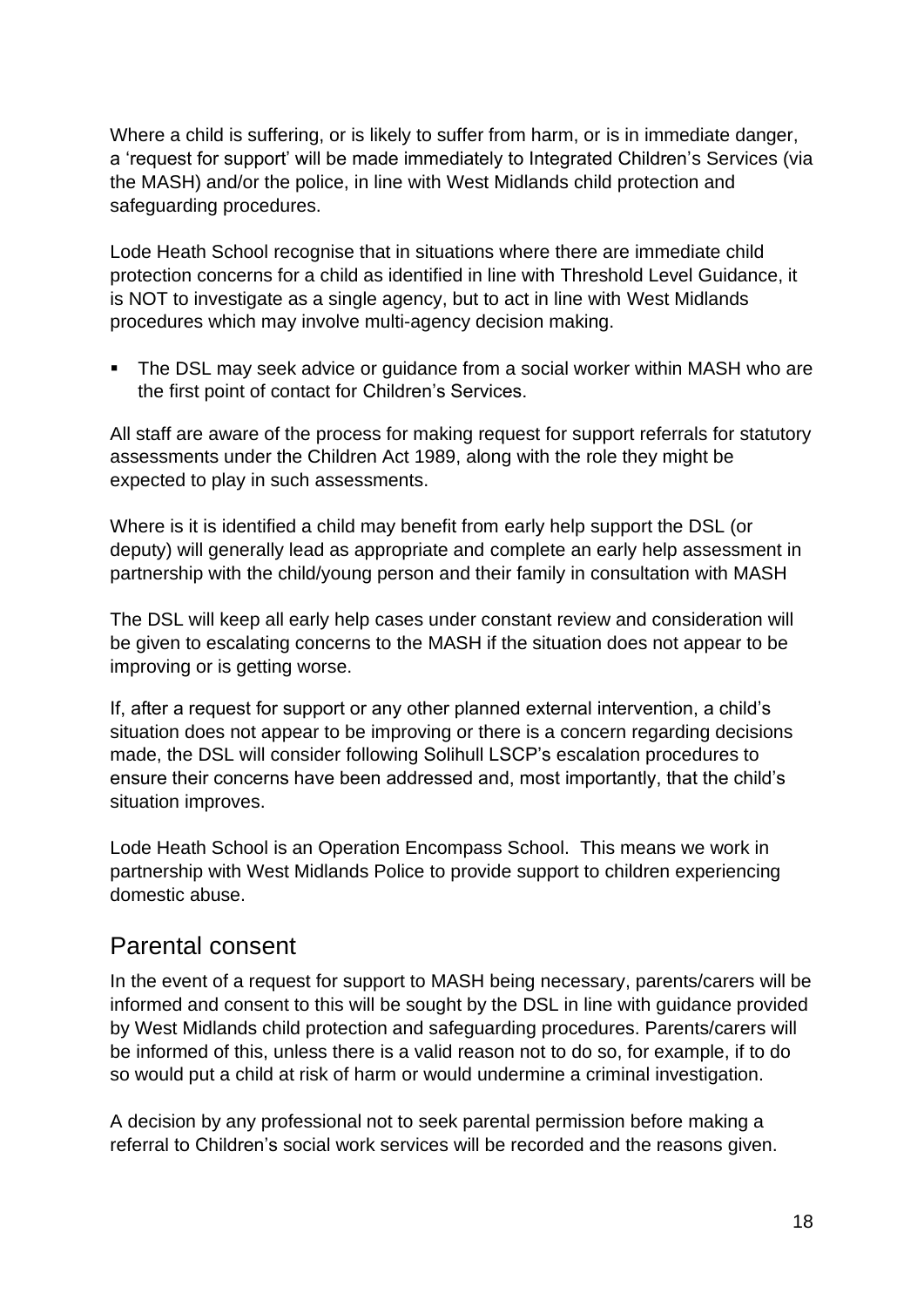Where a child is suffering, or is likely to suffer from harm, or is in immediate danger, a 'request for support' will be made immediately to Integrated Children's Services (via the MASH) and/or the police, in line with West Midlands child protection and safeguarding procedures.

Lode Heath School recognise that in situations where there are immediate child protection concerns for a child as identified in line with Threshold Level Guidance, it is NOT to investigate as a single agency, but to act in line with West Midlands procedures which may involve multi-agency decision making.

The DSL may seek advice or guidance from a social worker within MASH who are the first point of contact for Children's Services.

All staff are aware of the process for making request for support referrals for statutory assessments under the Children Act 1989, along with the role they might be expected to play in such assessments.

Where is it is identified a child may benefit from early help support the DSL (or deputy) will generally lead as appropriate and complete an early help assessment in partnership with the child/young person and their family in consultation with MASH

The DSL will keep all early help cases under constant review and consideration will be given to escalating concerns to the MASH if the situation does not appear to be improving or is getting worse.

If, after a request for support or any other planned external intervention, a child's situation does not appear to be improving or there is a concern regarding decisions made, the DSL will consider following Solihull LSCP's escalation procedures to ensure their concerns have been addressed and, most importantly, that the child's situation improves.

Lode Heath School is an Operation Encompass School. This means we work in partnership with West Midlands Police to provide support to children experiencing domestic abuse.

### <span id="page-17-0"></span>Parental consent

In the event of a request for support to MASH being necessary, parents/carers will be informed and consent to this will be sought by the DSL in line with guidance provided by West Midlands child protection and safeguarding procedures. Parents/carers will be informed of this, unless there is a valid reason not to do so, for example, if to do so would put a child at risk of harm or would undermine a criminal investigation.

A decision by any professional not to seek parental permission before making a referral to Children's social work services will be recorded and the reasons given.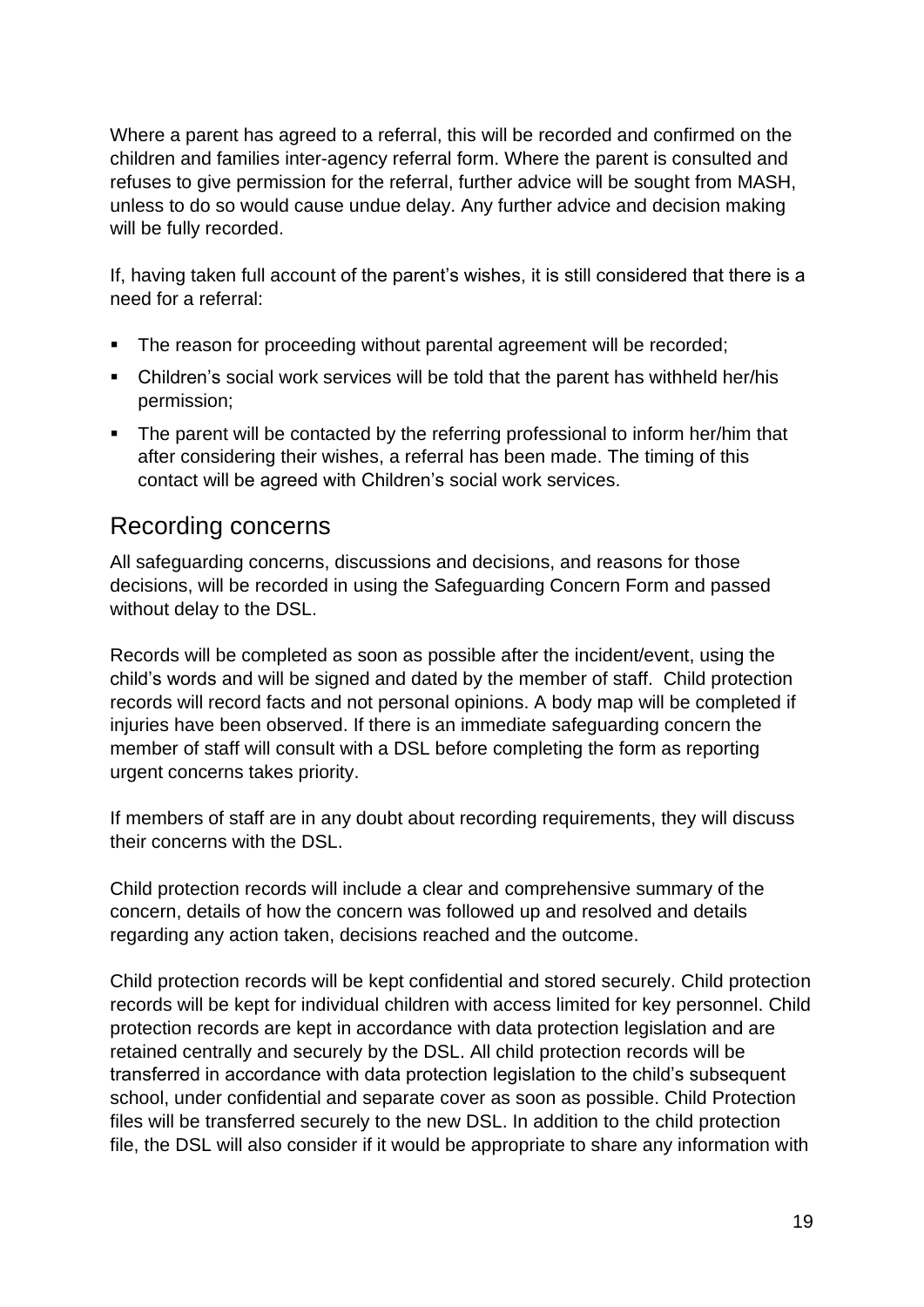Where a parent has agreed to a referral, this will be recorded and confirmed on the children and families inter-agency referral form. Where the parent is consulted and refuses to give permission for the referral, further advice will be sought from MASH, unless to do so would cause undue delay. Any further advice and decision making will be fully recorded.

If, having taken full account of the parent's wishes, it is still considered that there is a need for a referral:

- The reason for proceeding without parental agreement will be recorded;
- Children's social work services will be told that the parent has withheld her/his permission;
- The parent will be contacted by the referring professional to inform her/him that after considering their wishes, a referral has been made. The timing of this contact will be agreed with Children's social work services.

#### <span id="page-18-0"></span>Recording concerns

All safeguarding concerns, discussions and decisions, and reasons for those decisions, will be recorded in using the Safeguarding Concern Form and passed without delay to the DSL.

Records will be completed as soon as possible after the incident/event, using the child's words and will be signed and dated by the member of staff. Child protection records will record facts and not personal opinions. A body map will be completed if injuries have been observed. If there is an immediate safeguarding concern the member of staff will consult with a DSL before completing the form as reporting urgent concerns takes priority.

If members of staff are in any doubt about recording requirements, they will discuss their concerns with the DSL.

Child protection records will include a clear and comprehensive summary of the concern, details of how the concern was followed up and resolved and details regarding any action taken, decisions reached and the outcome.

Child protection records will be kept confidential and stored securely. Child protection records will be kept for individual children with access limited for key personnel. Child protection records are kept in accordance with data protection legislation and are retained centrally and securely by the DSL. All child protection records will be transferred in accordance with data protection legislation to the child's subsequent school, under confidential and separate cover as soon as possible. Child Protection files will be transferred securely to the new DSL. In addition to the child protection file, the DSL will also consider if it would be appropriate to share any information with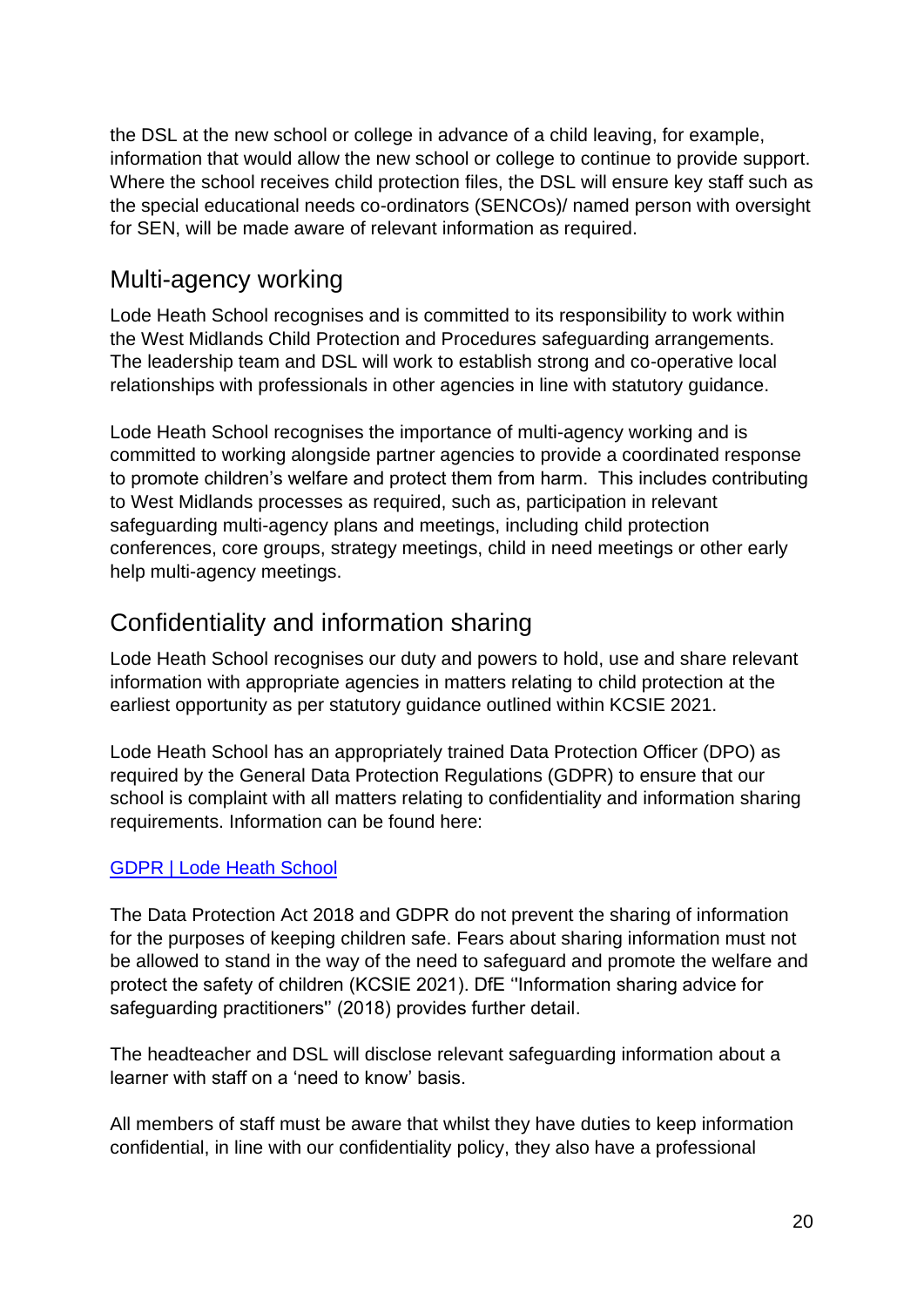the DSL at the new school or college in advance of a child leaving, for example, information that would allow the new school or college to continue to provide support. Where the school receives child protection files, the DSL will ensure key staff such as the special educational needs co-ordinators (SENCOs)/ named person with oversight for SEN, will be made aware of relevant information as required.

#### <span id="page-19-0"></span>Multi-agency working

Lode Heath School recognises and is committed to its responsibility to work within the West Midlands Child Protection and Procedures safeguarding arrangements. The leadership team and DSL will work to establish strong and co-operative local relationships with professionals in other agencies in line with statutory guidance.

Lode Heath School recognises the importance of multi-agency working and is committed to working alongside partner agencies to provide a coordinated response to promote children's welfare and protect them from harm. This includes contributing to West Midlands processes as required, such as, participation in relevant safeguarding multi-agency plans and meetings, including child protection conferences, core groups, strategy meetings, child in need meetings or other early help multi-agency meetings.

### <span id="page-19-1"></span>Confidentiality and information sharing

Lode Heath School recognises our duty and powers to hold, use and share relevant information with appropriate agencies in matters relating to child protection at the earliest opportunity as per statutory guidance outlined within KCSIE 2021.

Lode Heath School has an appropriately trained Data Protection Officer (DPO) as required by the General Data Protection Regulations (GDPR) to ensure that our school is complaint with all matters relating to confidentiality and information sharing requirements. Information can be found here:

#### [GDPR | Lode Heath School](https://www.lodeheathschool.co.uk/gdpr)

The Data Protection Act 2018 and GDPR do not prevent the sharing of information for the purposes of keeping children safe. Fears about sharing information must not be allowed to stand in the way of the need to safeguard and promote the welfare and protect the safety of children (KCSIE 2021). DfE ''Information sharing advice for safeguarding practitioners'' (2018) provides further detail.

The headteacher and DSL will disclose relevant safeguarding information about a learner with staff on a 'need to know' basis.

All members of staff must be aware that whilst they have duties to keep information confidential, in line with our confidentiality policy, they also have a professional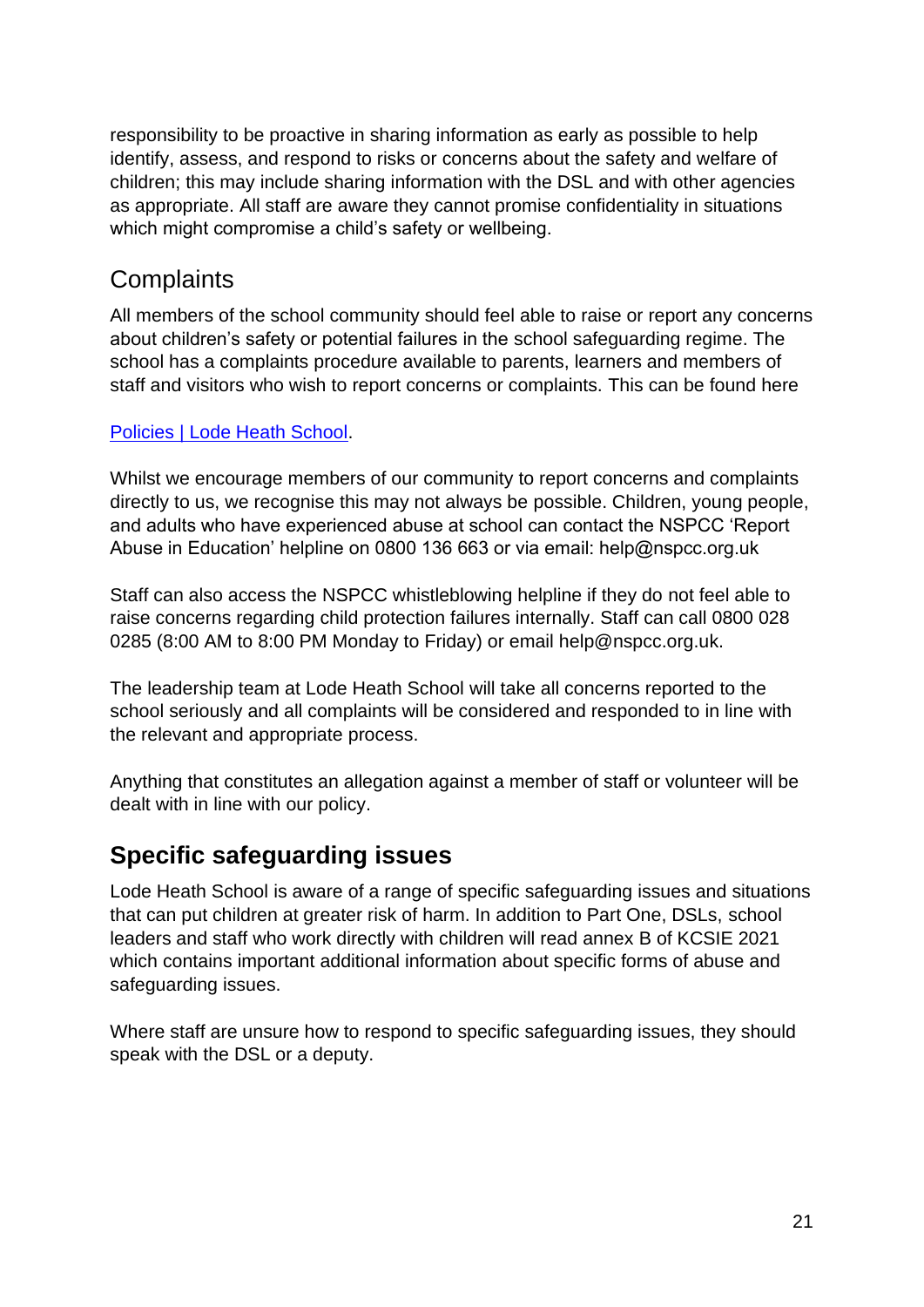responsibility to be proactive in sharing information as early as possible to help identify, assess, and respond to risks or concerns about the safety and welfare of children; this may include sharing information with the DSL and with other agencies as appropriate. All staff are aware they cannot promise confidentiality in situations which might compromise a child's safety or wellbeing.

### <span id="page-20-0"></span>**Complaints**

All members of the school community should feel able to raise or report any concerns about children's safety or potential failures in the school safeguarding regime. The school has a complaints procedure available to parents, learners and members of staff and visitors who wish to report concerns or complaints. This can be found here

#### [Policies | Lode Heath School.](https://www.lodeheathschool.co.uk/policies)

Whilst we encourage members of our community to report concerns and complaints directly to us, we recognise this may not always be possible. Children, young people, and adults who have experienced abuse at school can contact the NSPCC 'Report Abuse in Education' helpline on 0800 136 663 or via email: help@nspcc.org.uk

Staff can also access the NSPCC whistleblowing helpline if they do not feel able to raise concerns regarding child protection failures internally. Staff can call 0800 028 0285 (8:00 AM to 8:00 PM Monday to Friday) or email help@nspcc.org.uk.

The leadership team at Lode Heath School will take all concerns reported to the school seriously and all complaints will be considered and responded to in line with the relevant and appropriate process.

Anything that constitutes an allegation against a member of staff or volunteer will be dealt with in line with our policy.

### <span id="page-20-1"></span>**Specific safeguarding issues**

Lode Heath School is aware of a range of specific safeguarding issues and situations that can put children at greater risk of harm. In addition to Part One, DSLs, school leaders and staff who work directly with children will read annex B of KCSIE 2021 which contains important additional information about specific forms of abuse and safeguarding issues.

Where staff are unsure how to respond to specific safeguarding issues, they should speak with the DSL or a deputy.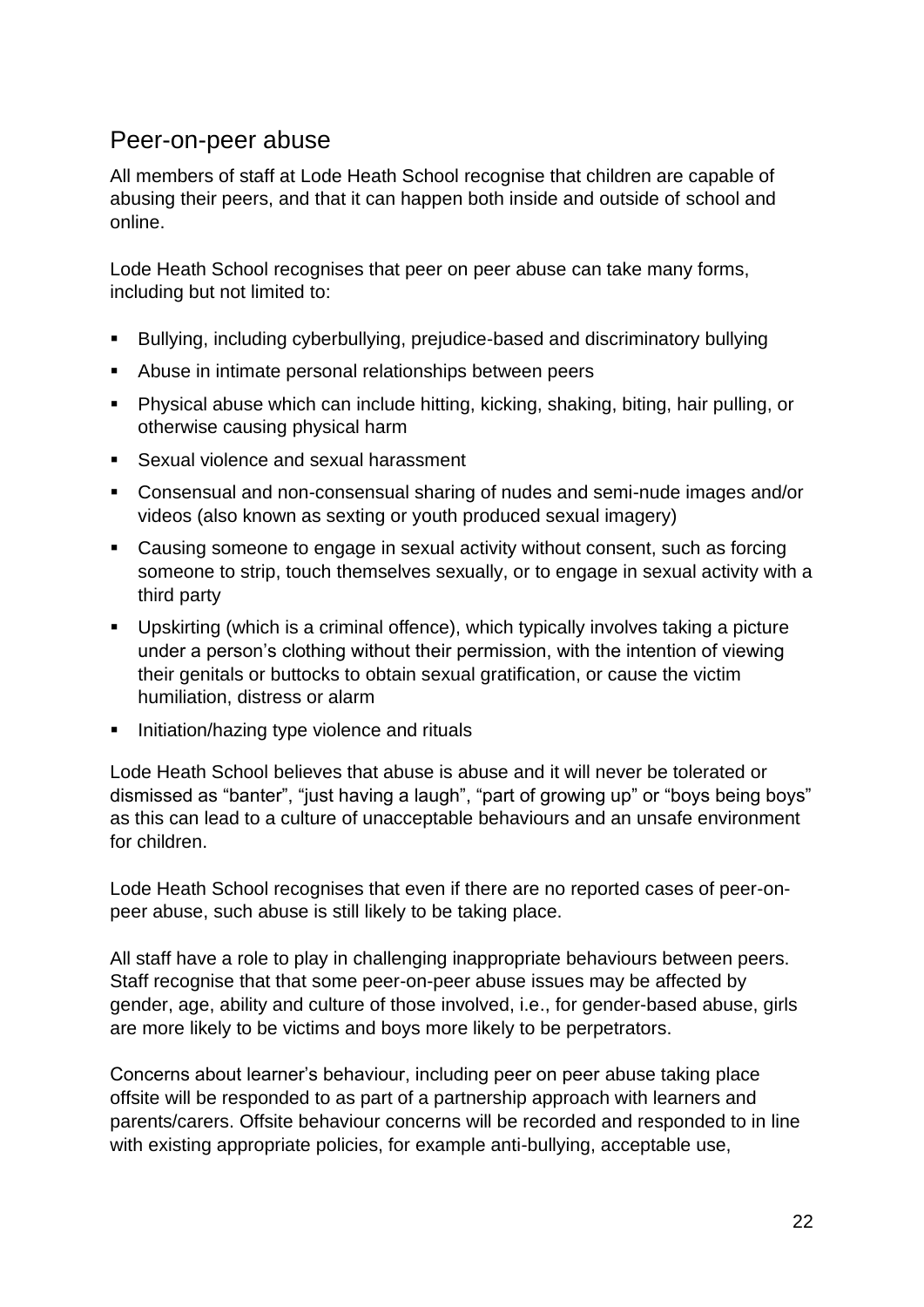#### <span id="page-21-0"></span>Peer-on-peer abuse

All members of staff at Lode Heath School recognise that children are capable of abusing their peers, and that it can happen both inside and outside of school and online.

Lode Heath School recognises that peer on peer abuse can take many forms, including but not limited to:

- Bullying, including cyberbullying, prejudice-based and discriminatory bullying
- Abuse in intimate personal relationships between peers
- Physical abuse which can include hitting, kicking, shaking, biting, hair pulling, or otherwise causing physical harm
- Sexual violence and sexual harassment
- Consensual and non-consensual sharing of nudes and semi-nude images and/or videos (also known as sexting or youth produced sexual imagery)
- Causing someone to engage in sexual activity without consent, such as forcing someone to strip, touch themselves sexually, or to engage in sexual activity with a third party
- Upskirting (which is a criminal offence), which typically involves taking a picture under a person's clothing without their permission, with the intention of viewing their genitals or buttocks to obtain sexual gratification, or cause the victim humiliation, distress or alarm
- **EXECT** Initiation/hazing type violence and rituals

Lode Heath School believes that abuse is abuse and it will never be tolerated or dismissed as "banter", "just having a laugh", "part of growing up" or "boys being boys" as this can lead to a culture of unacceptable behaviours and an unsafe environment for children.

Lode Heath School recognises that even if there are no reported cases of peer-onpeer abuse, such abuse is still likely to be taking place.

All staff have a role to play in challenging inappropriate behaviours between peers. Staff recognise that that some peer-on-peer abuse issues may be affected by gender, age, ability and culture of those involved, i.e., for gender-based abuse, girls are more likely to be victims and boys more likely to be perpetrators.

Concerns about learner's behaviour, including peer on peer abuse taking place offsite will be responded to as part of a partnership approach with learners and parents/carers. Offsite behaviour concerns will be recorded and responded to in line with existing appropriate policies, for example anti-bullying, acceptable use,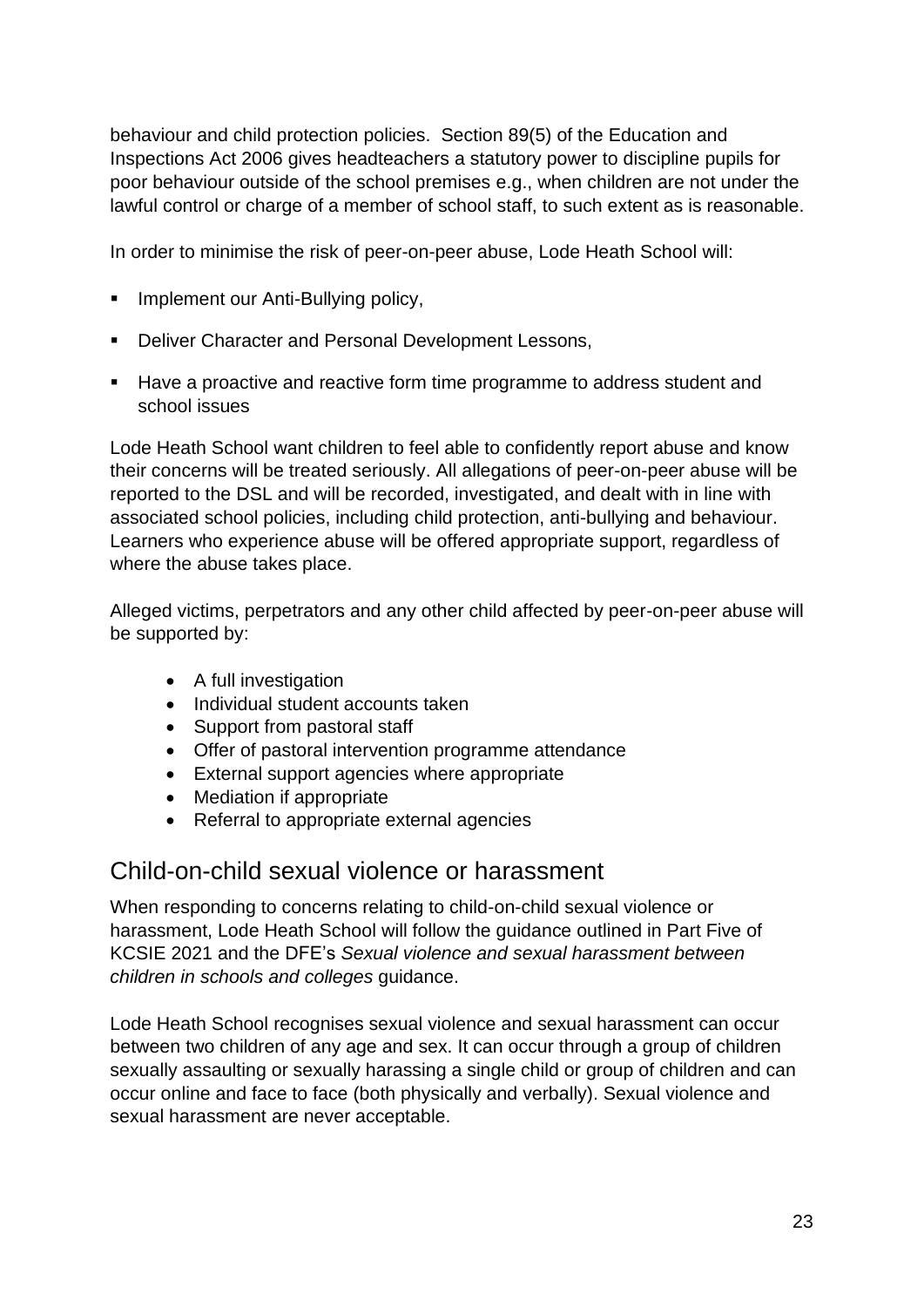behaviour and child protection policies. Section 89(5) of the Education and Inspections Act 2006 gives headteachers a statutory power to discipline pupils for poor behaviour outside of the school premises e.g., when children are not under the lawful control or charge of a member of school staff, to such extent as is reasonable.

In order to minimise the risk of peer-on-peer abuse, Lode Heath School will:

- **·** Implement our Anti-Bullying policy,
- Deliver Character and Personal Development Lessons,
- Have a proactive and reactive form time programme to address student and school issues

Lode Heath School want children to feel able to confidently report abuse and know their concerns will be treated seriously. All allegations of peer-on-peer abuse will be reported to the DSL and will be recorded, investigated, and dealt with in line with associated school policies, including child protection, anti-bullying and behaviour. Learners who experience abuse will be offered appropriate support, regardless of where the abuse takes place.

Alleged victims, perpetrators and any other child affected by peer-on-peer abuse will be supported by:

- A full investigation
- Individual student accounts taken
- Support from pastoral staff
- Offer of pastoral intervention programme attendance
- External support agencies where appropriate
- Mediation if appropriate
- Referral to appropriate external agencies

#### <span id="page-22-0"></span>Child-on-child sexual violence or harassment

When responding to concerns relating to child-on-child sexual violence or harassment, Lode Heath School will follow the guidance outlined in Part Five of KCSIE 2021 and the DFE's *Sexual violence and sexual harassment between children in schools and colleges* guidance.

Lode Heath School recognises sexual violence and sexual harassment can occur between two children of any age and sex. It can occur through a group of children sexually assaulting or sexually harassing a single child or group of children and can occur online and face to face (both physically and verbally). Sexual violence and sexual harassment are never acceptable.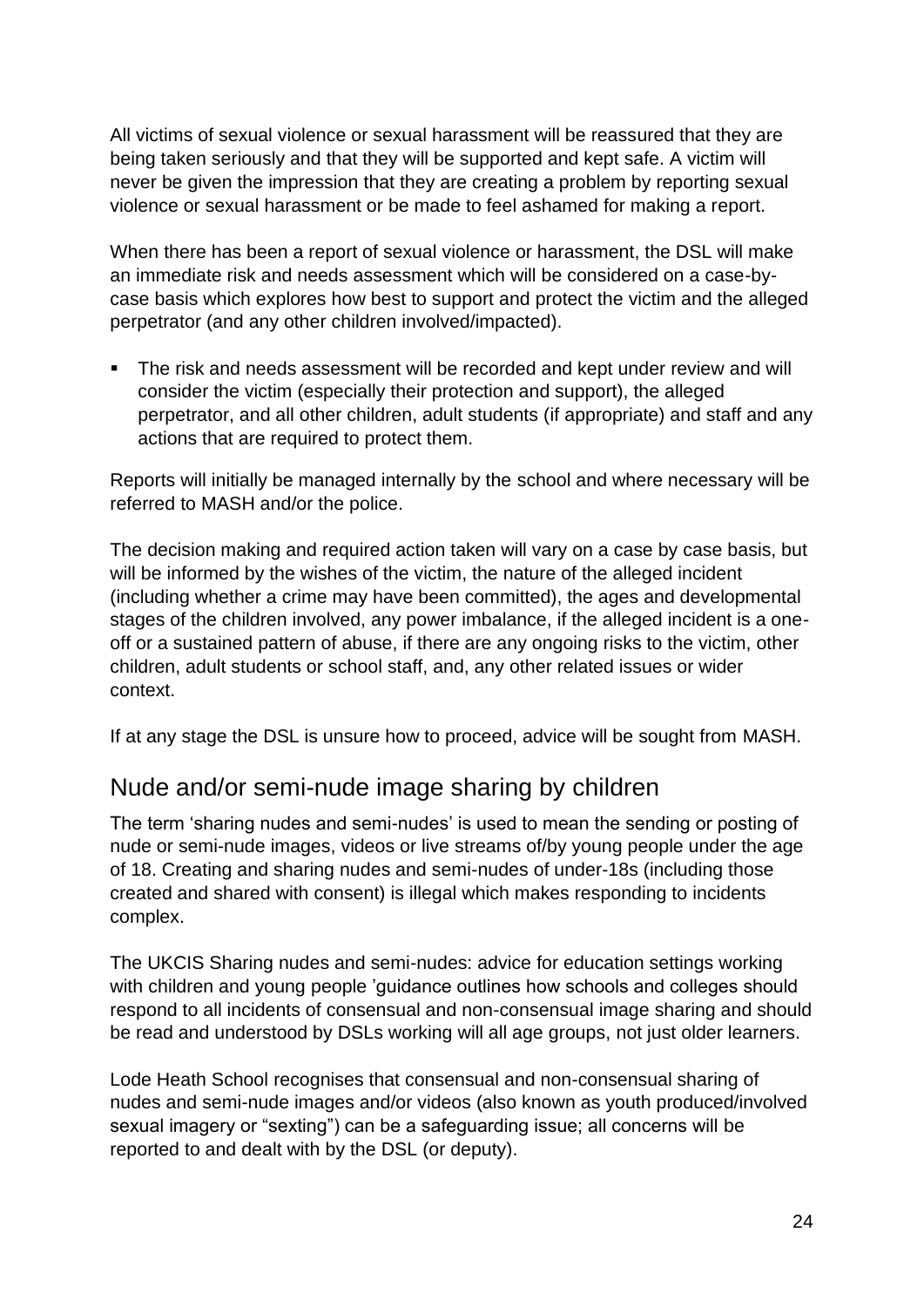All victims of sexual violence or sexual harassment will be reassured that they are being taken seriously and that they will be supported and kept safe. A victim will never be given the impression that they are creating a problem by reporting sexual violence or sexual harassment or be made to feel ashamed for making a report.

When there has been a report of sexual violence or harassment, the DSL will make an immediate risk and needs assessment which will be considered on a case-bycase basis which explores how best to support and protect the victim and the alleged perpetrator (and any other children involved/impacted).

The risk and needs assessment will be recorded and kept under review and will consider the victim (especially their protection and support), the alleged perpetrator, and all other children, adult students (if appropriate) and staff and any actions that are required to protect them.

Reports will initially be managed internally by the school and where necessary will be referred to MASH and/or the police.

The decision making and required action taken will vary on a case by case basis, but will be informed by the wishes of the victim, the nature of the alleged incident (including whether a crime may have been committed), the ages and developmental stages of the children involved, any power imbalance, if the alleged incident is a oneoff or a sustained pattern of abuse, if there are any ongoing risks to the victim, other children, adult students or school staff, and, any other related issues or wider context.

If at any stage the DSL is unsure how to proceed, advice will be sought from MASH.

## <span id="page-23-0"></span>Nude and/or semi-nude image sharing by children

The term 'sharing nudes and semi-nudes' is used to mean the sending or posting of nude or semi-nude images, videos or live streams of/by young people under the age of 18. Creating and sharing nudes and semi-nudes of under-18s (including those created and shared with consent) is illegal which makes responding to incidents complex.

The UKCIS Sharing nudes and semi-nudes: advice for education settings working with children and young people 'guidance outlines how schools and colleges should respond to all incidents of consensual and non-consensual image sharing and should be read and understood by DSLs working will all age groups, not just older learners.

Lode Heath School recognises that consensual and non-consensual sharing of nudes and semi-nude images and/or videos (also known as youth produced/involved sexual imagery or "sexting") can be a safeguarding issue; all concerns will be reported to and dealt with by the DSL (or deputy).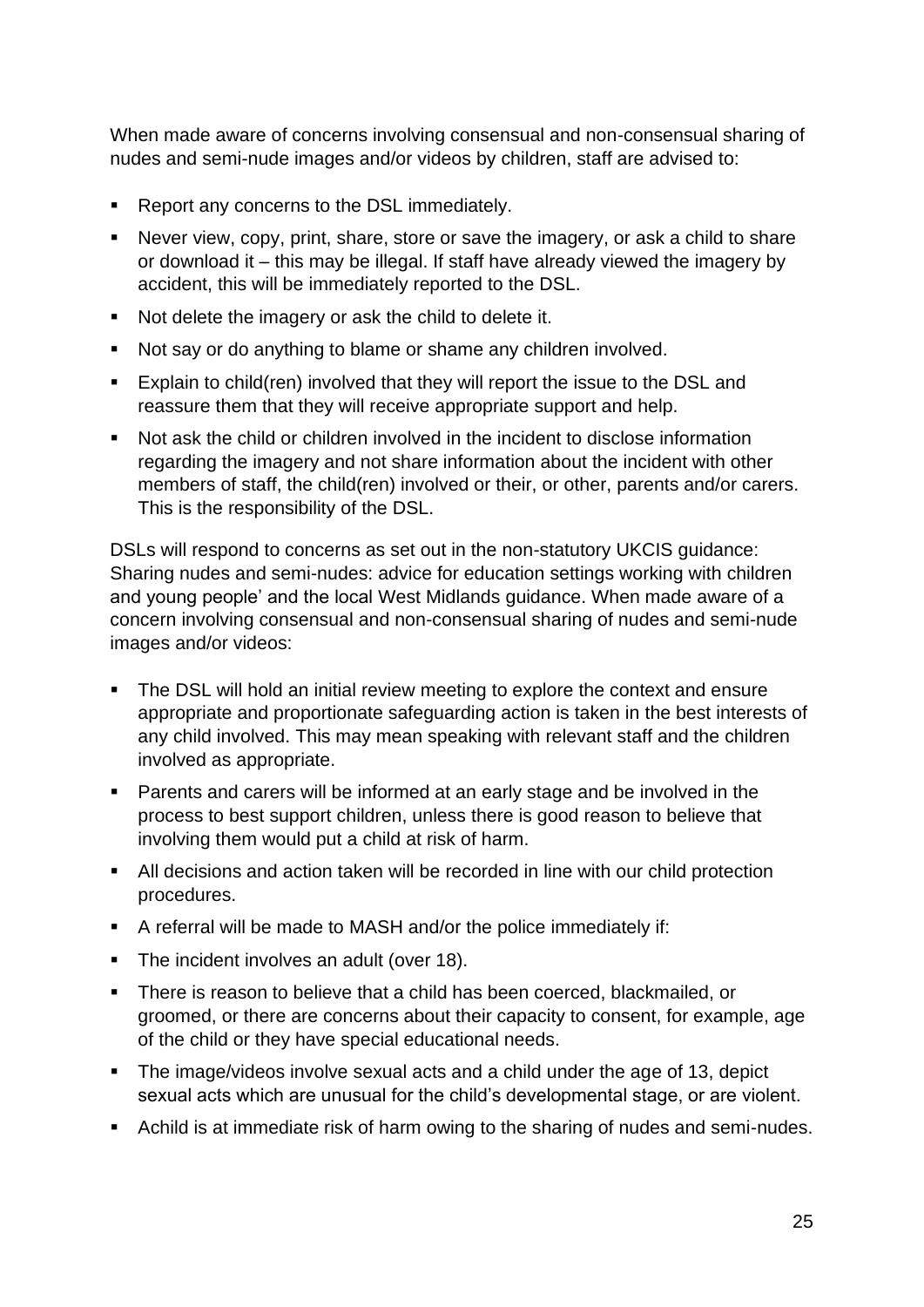When made aware of concerns involving consensual and non-consensual sharing of nudes and semi-nude images and/or videos by children, staff are advised to:

- Report any concerns to the DSL immediately.
- Never view, copy, print, share, store or save the imagery, or ask a child to share or download it – this may be illegal. If staff have already viewed the imagery by accident, this will be immediately reported to the DSL.
- Not delete the imagery or ask the child to delete it.
- Not say or do anything to blame or shame any children involved.
- Explain to child(ren) involved that they will report the issue to the DSL and reassure them that they will receive appropriate support and help.
- Not ask the child or children involved in the incident to disclose information regarding the imagery and not share information about the incident with other members of staff, the child(ren) involved or their, or other, parents and/or carers. This is the responsibility of the DSL.

DSLs will respond to concerns as set out in the non-statutory UKCIS guidance: Sharing nudes and semi-nudes: advice for education settings working with children and young people' and the local West Midlands guidance. When made aware of a concern involving consensual and non-consensual sharing of nudes and semi-nude images and/or videos:

- The DSL will hold an initial review meeting to explore the context and ensure appropriate and proportionate safeguarding action is taken in the best interests of any child involved. This may mean speaking with relevant staff and the children involved as appropriate.
- Parents and carers will be informed at an early stage and be involved in the process to best support children, unless there is good reason to believe that involving them would put a child at risk of harm.
- All decisions and action taken will be recorded in line with our child protection procedures.
- A referral will be made to MASH and/or the police immediately if:
- The incident involves an adult (over 18).
- **There is reason to believe that a child has been coerced, blackmailed, or** groomed, or there are concerns about their capacity to consent, for example, age of the child or they have special educational needs.
- The image/videos involve sexual acts and a child under the age of 13, depict sexual acts which are unusual for the child's developmental stage, or are violent.
- Achild is at immediate risk of harm owing to the sharing of nudes and semi-nudes.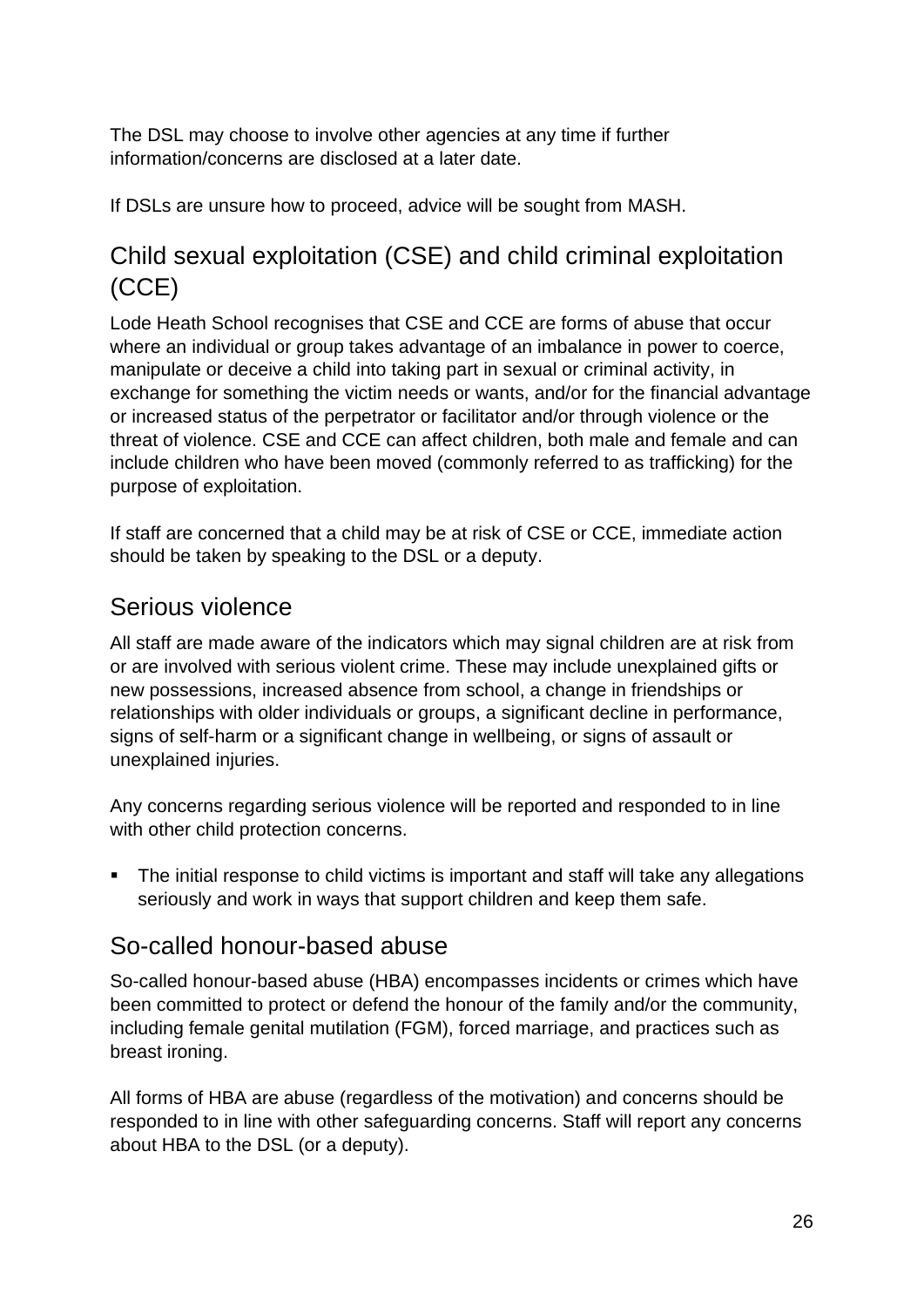The DSL may choose to involve other agencies at any time if further information/concerns are disclosed at a later date.

If DSLs are unsure how to proceed, advice will be sought from MASH.

## <span id="page-25-0"></span>Child sexual exploitation (CSE) and child criminal exploitation (CCE)

Lode Heath School recognises that CSE and CCE are forms of abuse that occur where an individual or group takes advantage of an imbalance in power to coerce, manipulate or deceive a child into taking part in sexual or criminal activity, in exchange for something the victim needs or wants, and/or for the financial advantage or increased status of the perpetrator or facilitator and/or through violence or the threat of violence. CSE and CCE can affect children, both male and female and can include children who have been moved (commonly referred to as trafficking) for the purpose of exploitation.

If staff are concerned that a child may be at risk of CSE or CCE, immediate action should be taken by speaking to the DSL or a deputy.

## <span id="page-25-1"></span>Serious violence

All staff are made aware of the indicators which may signal children are at risk from or are involved with serious violent crime. These may include unexplained gifts or new possessions, increased absence from school, a change in friendships or relationships with older individuals or groups, a significant decline in performance, signs of self-harm or a significant change in wellbeing, or signs of assault or unexplained injuries.

Any concerns regarding serious violence will be reported and responded to in line with other child protection concerns.

■ The initial response to child victims is important and staff will take any allegations seriously and work in ways that support children and keep them safe.

## <span id="page-25-2"></span>So-called honour-based abuse

So-called honour-based abuse (HBA) encompasses incidents or crimes which have been committed to protect or defend the honour of the family and/or the community, including female genital mutilation (FGM), forced marriage, and practices such as breast ironing.

All forms of HBA are abuse (regardless of the motivation) and concerns should be responded to in line with other safeguarding concerns. Staff will report any concerns about HBA to the DSL (or a deputy).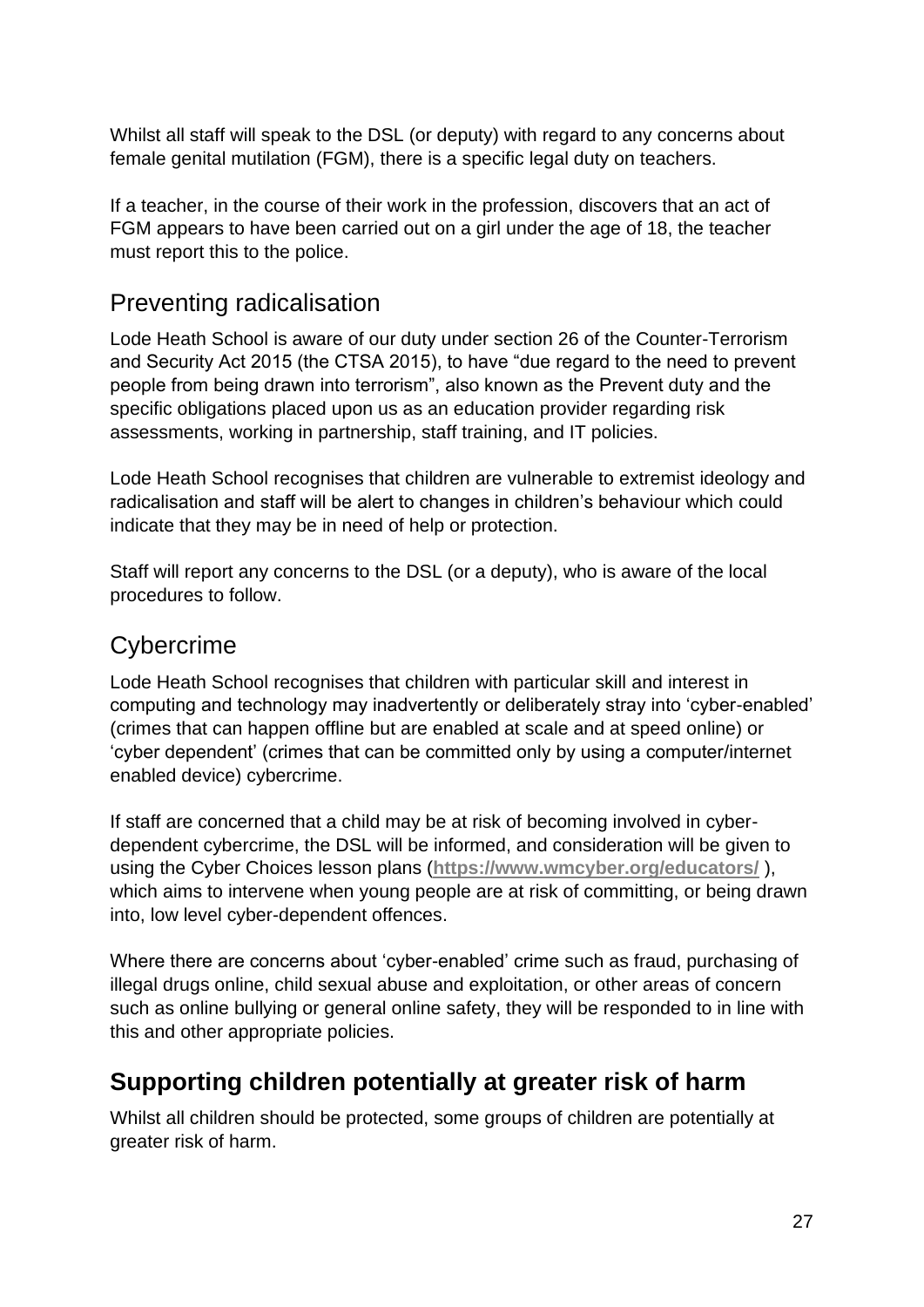Whilst all staff will speak to the DSL (or deputy) with regard to any concerns about female genital mutilation (FGM), there is a specific legal duty on teachers.

If a teacher, in the course of their work in the profession, discovers that an act of FGM appears to have been carried out on a girl under the age of 18, the teacher must report this to the police.

#### <span id="page-26-0"></span>Preventing radicalisation

Lode Heath School is aware of our duty under section 26 of the Counter-Terrorism and Security Act 2015 (the CTSA 2015), to have "due regard to the need to prevent people from being drawn into terrorism", also known as the Prevent duty and the specific obligations placed upon us as an education provider regarding risk assessments, working in partnership, staff training, and IT policies.

Lode Heath School recognises that children are vulnerable to extremist ideology and radicalisation and staff will be alert to changes in children's behaviour which could indicate that they may be in need of help or protection.

Staff will report any concerns to the DSL (or a deputy), who is aware of the local procedures to follow.

### <span id="page-26-1"></span>**Cybercrime**

Lode Heath School recognises that children with particular skill and interest in computing and technology may inadvertently or deliberately stray into 'cyber-enabled' (crimes that can happen offline but are enabled at scale and at speed online) or 'cyber dependent' (crimes that can be committed only by using a computer/internet enabled device) cybercrime.

If staff are concerned that a child may be at risk of becoming involved in cyberdependent cybercrime, the DSL will be informed, and consideration will be given to using the Cyber Choices lesson plans (**<https://www.wmcyber.org/educators/>** ), which aims to intervene when young people are at risk of committing, or being drawn into, low level cyber-dependent offences.

Where there are concerns about 'cyber-enabled' crime such as fraud, purchasing of illegal drugs online, child sexual abuse and exploitation, or other areas of concern such as online bullying or general online safety, they will be responded to in line with this and other appropriate policies.

## <span id="page-26-2"></span>**Supporting children potentially at greater risk of harm**

Whilst all children should be protected, some groups of children are potentially at greater risk of harm.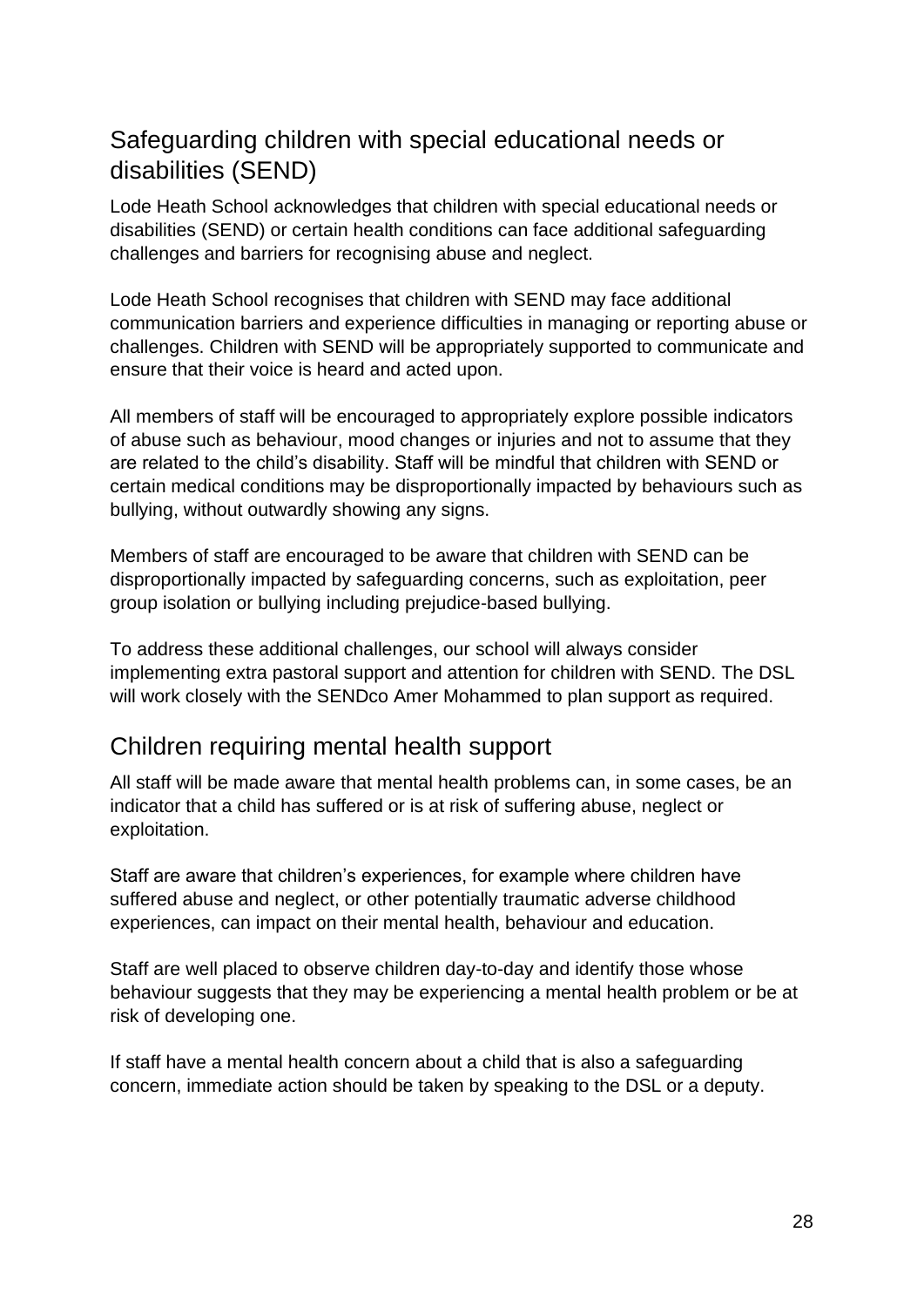## <span id="page-27-0"></span>Safeguarding children with special educational needs or disabilities (SEND)

Lode Heath School acknowledges that children with special educational needs or disabilities (SEND) or certain health conditions can face additional safeguarding challenges and barriers for recognising abuse and neglect.

Lode Heath School recognises that children with SEND may face additional communication barriers and experience difficulties in managing or reporting abuse or challenges. Children with SEND will be appropriately supported to communicate and ensure that their voice is heard and acted upon.

All members of staff will be encouraged to appropriately explore possible indicators of abuse such as behaviour, mood changes or injuries and not to assume that they are related to the child's disability. Staff will be mindful that children with SEND or certain medical conditions may be disproportionally impacted by behaviours such as bullying, without outwardly showing any signs.

Members of staff are encouraged to be aware that children with SEND can be disproportionally impacted by safeguarding concerns, such as exploitation, peer group isolation or bullying including prejudice-based bullying.

To address these additional challenges, our school will always consider implementing extra pastoral support and attention for children with SEND. The DSL will work closely with the SENDco Amer Mohammed to plan support as required.

## <span id="page-27-1"></span>Children requiring mental health support

All staff will be made aware that mental health problems can, in some cases, be an indicator that a child has suffered or is at risk of suffering abuse, neglect or exploitation.

Staff are aware that children's experiences, for example where children have suffered abuse and neglect, or other potentially traumatic adverse childhood experiences, can impact on their mental health, behaviour and education.

Staff are well placed to observe children day-to-day and identify those whose behaviour suggests that they may be experiencing a mental health problem or be at risk of developing one.

If staff have a mental health concern about a child that is also a safeguarding concern, immediate action should be taken by speaking to the DSL or a deputy.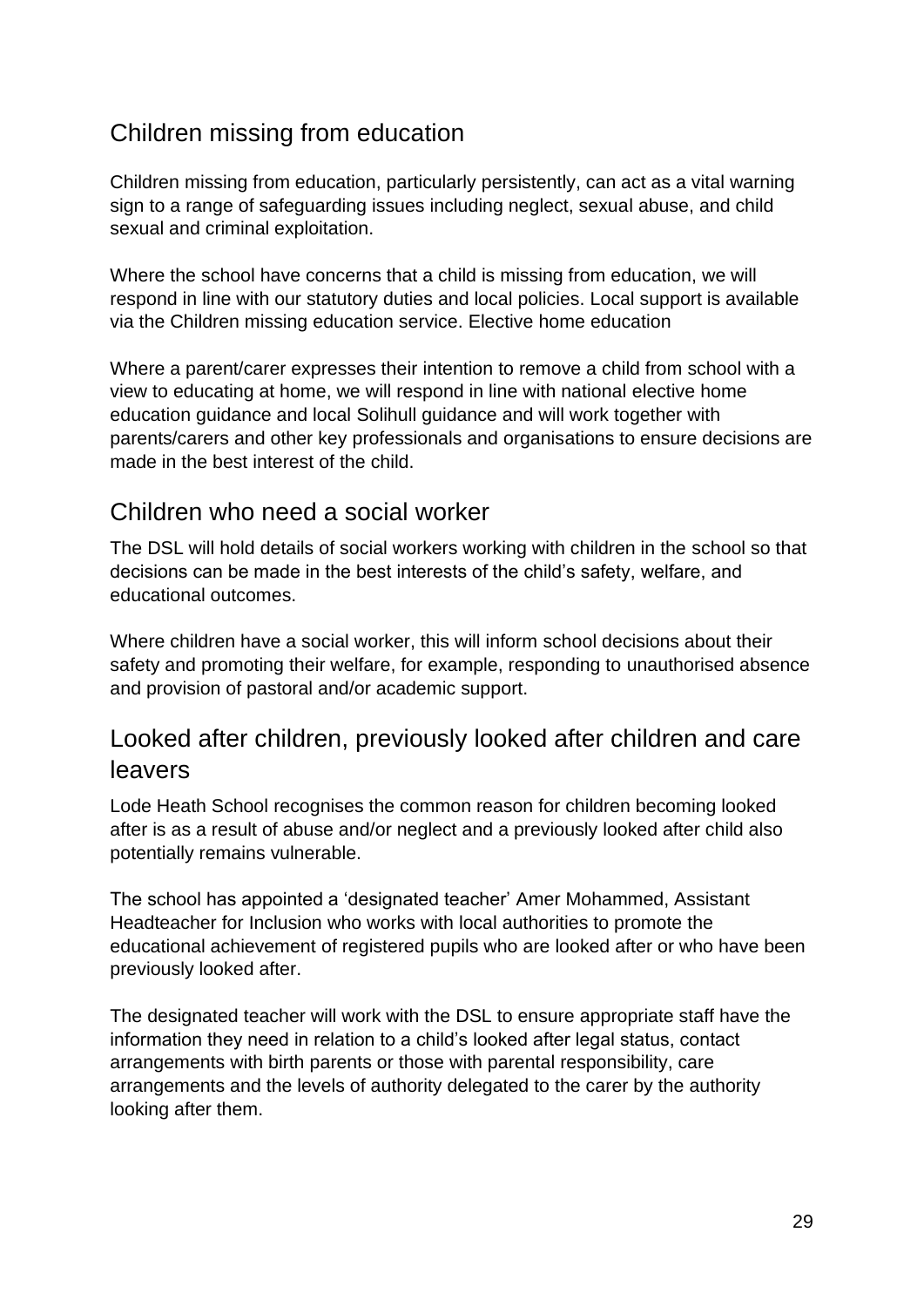## Children missing from education

Children missing from education, particularly persistently, can act as a vital warning sign to a range of safeguarding issues including neglect, sexual abuse, and child sexual and criminal exploitation.

Where the school have concerns that a child is missing from education, we will respond in line with our statutory duties and local policies. Local support is available via the Children missing education service. Elective home education

Where a parent/carer expresses their intention to remove a child from school with a view to educating at home, we will respond in line with national elective home education guidance and local Solihull guidance and will work together with parents/carers and other key professionals and organisations to ensure decisions are made in the best interest of the child.

### <span id="page-28-0"></span>Children who need a social worker

The DSL will hold details of social workers working with children in the school so that decisions can be made in the best interests of the child's safety, welfare, and educational outcomes.

Where children have a social worker, this will inform school decisions about their safety and promoting their welfare, for example, responding to unauthorised absence and provision of pastoral and/or academic support.

### <span id="page-28-1"></span>Looked after children, previously looked after children and care leavers

Lode Heath School recognises the common reason for children becoming looked after is as a result of abuse and/or neglect and a previously looked after child also potentially remains vulnerable.

The school has appointed a 'designated teacher' Amer Mohammed, Assistant Headteacher for Inclusion who works with local authorities to promote the educational achievement of registered pupils who are looked after or who have been previously looked after.

The designated teacher will work with the DSL to ensure appropriate staff have the information they need in relation to a child's looked after legal status, contact arrangements with birth parents or those with parental responsibility, care arrangements and the levels of authority delegated to the carer by the authority looking after them.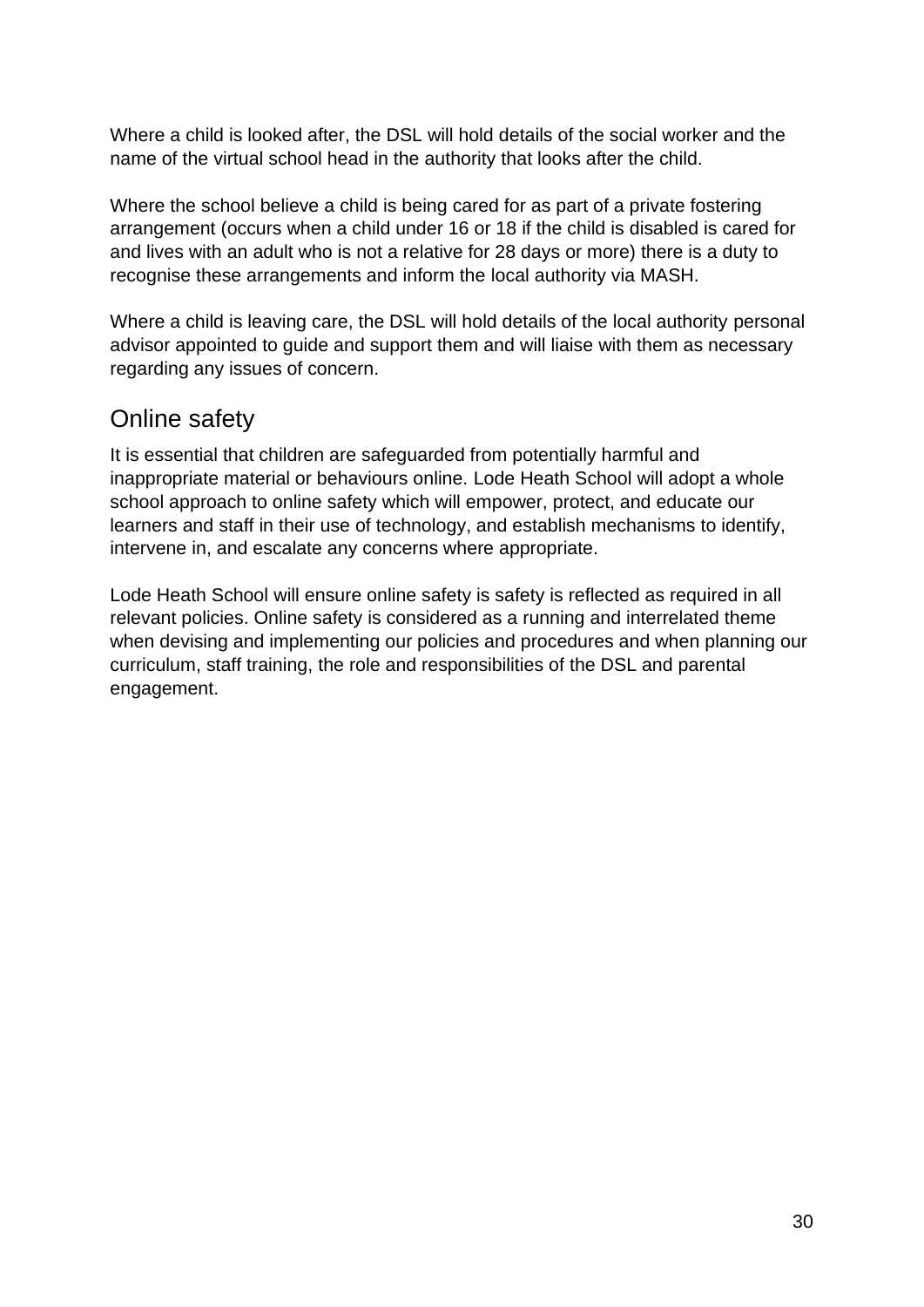Where a child is looked after, the DSL will hold details of the social worker and the name of the virtual school head in the authority that looks after the child.

Where the school believe a child is being cared for as part of a private fostering arrangement (occurs when a child under 16 or 18 if the child is disabled is cared for and lives with an adult who is not a relative for 28 days or more) there is a duty to recognise these arrangements and inform the local authority via MASH.

Where a child is leaving care, the DSL will hold details of the local authority personal advisor appointed to guide and support them and will liaise with them as necessary regarding any issues of concern.

## <span id="page-29-0"></span>Online safety

It is essential that children are safeguarded from potentially harmful and inappropriate material or behaviours online. Lode Heath School will adopt a whole school approach to online safety which will empower, protect, and educate our learners and staff in their use of technology, and establish mechanisms to identify, intervene in, and escalate any concerns where appropriate.

Lode Heath School will ensure online safety is safety is reflected as required in all relevant policies. Online safety is considered as a running and interrelated theme when devising and implementing our policies and procedures and when planning our curriculum, staff training, the role and responsibilities of the DSL and parental engagement.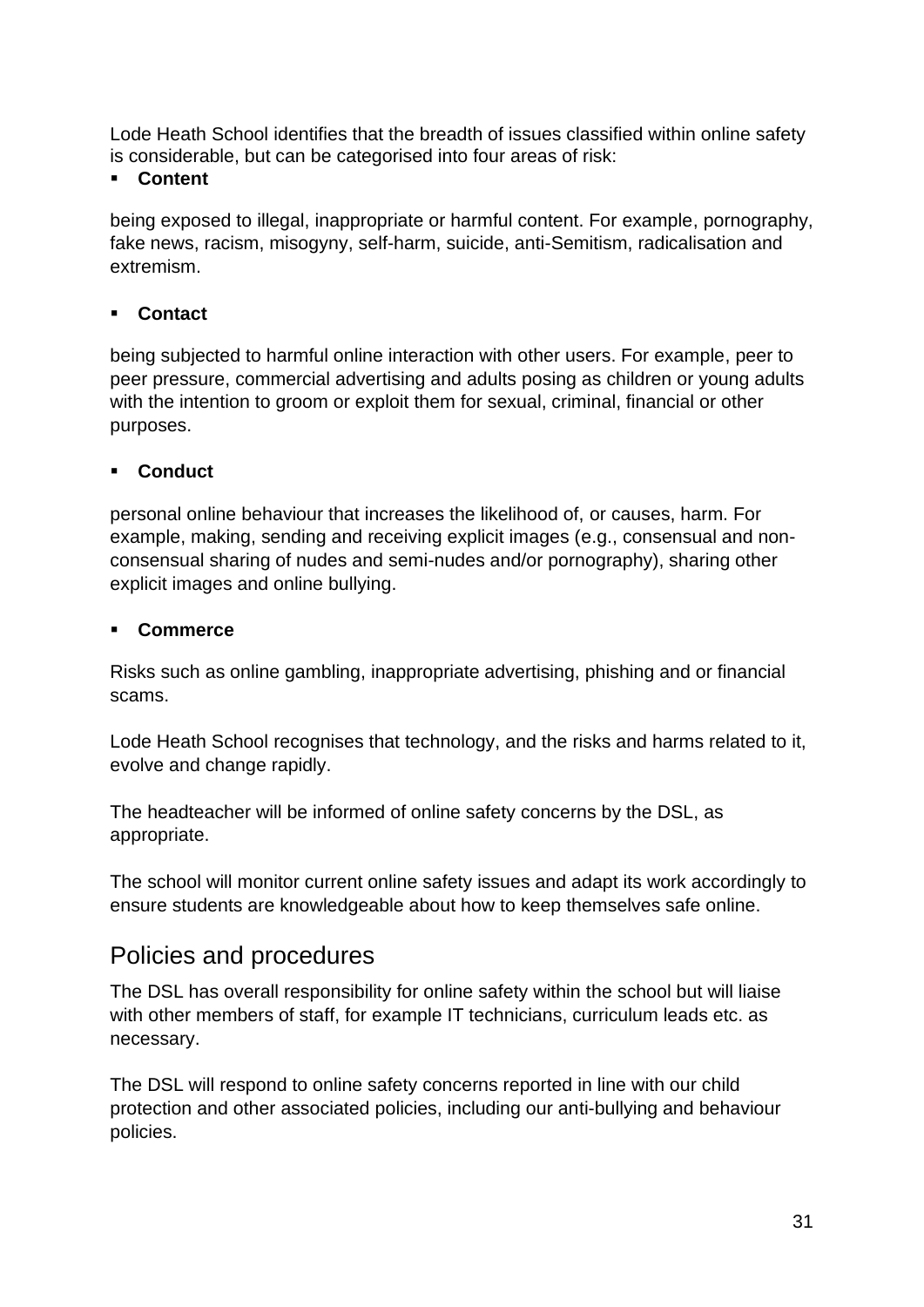Lode Heath School identifies that the breadth of issues classified within online safety is considerable, but can be categorised into four areas of risk:

#### **Content**

being exposed to illegal, inappropriate or harmful content. For example, pornography, fake news, racism, misogyny, self-harm, suicide, anti-Semitism, radicalisation and extremism.

#### ▪ **Contact**

being subjected to harmful online interaction with other users. For example, peer to peer pressure, commercial advertising and adults posing as children or young adults with the intention to groom or exploit them for sexual, criminal, financial or other purposes.

#### Conduct

personal online behaviour that increases the likelihood of, or causes, harm. For example, making, sending and receiving explicit images (e.g., consensual and nonconsensual sharing of nudes and semi-nudes and/or pornography), sharing other explicit images and online bullying.

#### ▪ **Commerce**

Risks such as online gambling, inappropriate advertising, phishing and or financial scams.

Lode Heath School recognises that technology, and the risks and harms related to it, evolve and change rapidly.

The headteacher will be informed of online safety concerns by the DSL, as appropriate.

The school will monitor current online safety issues and adapt its work accordingly to ensure students are knowledgeable about how to keep themselves safe online.

### <span id="page-30-0"></span>Policies and procedures

The DSL has overall responsibility for online safety within the school but will liaise with other members of staff, for example IT technicians, curriculum leads etc. as necessary.

The DSL will respond to online safety concerns reported in line with our child protection and other associated policies, including our anti-bullying and behaviour policies.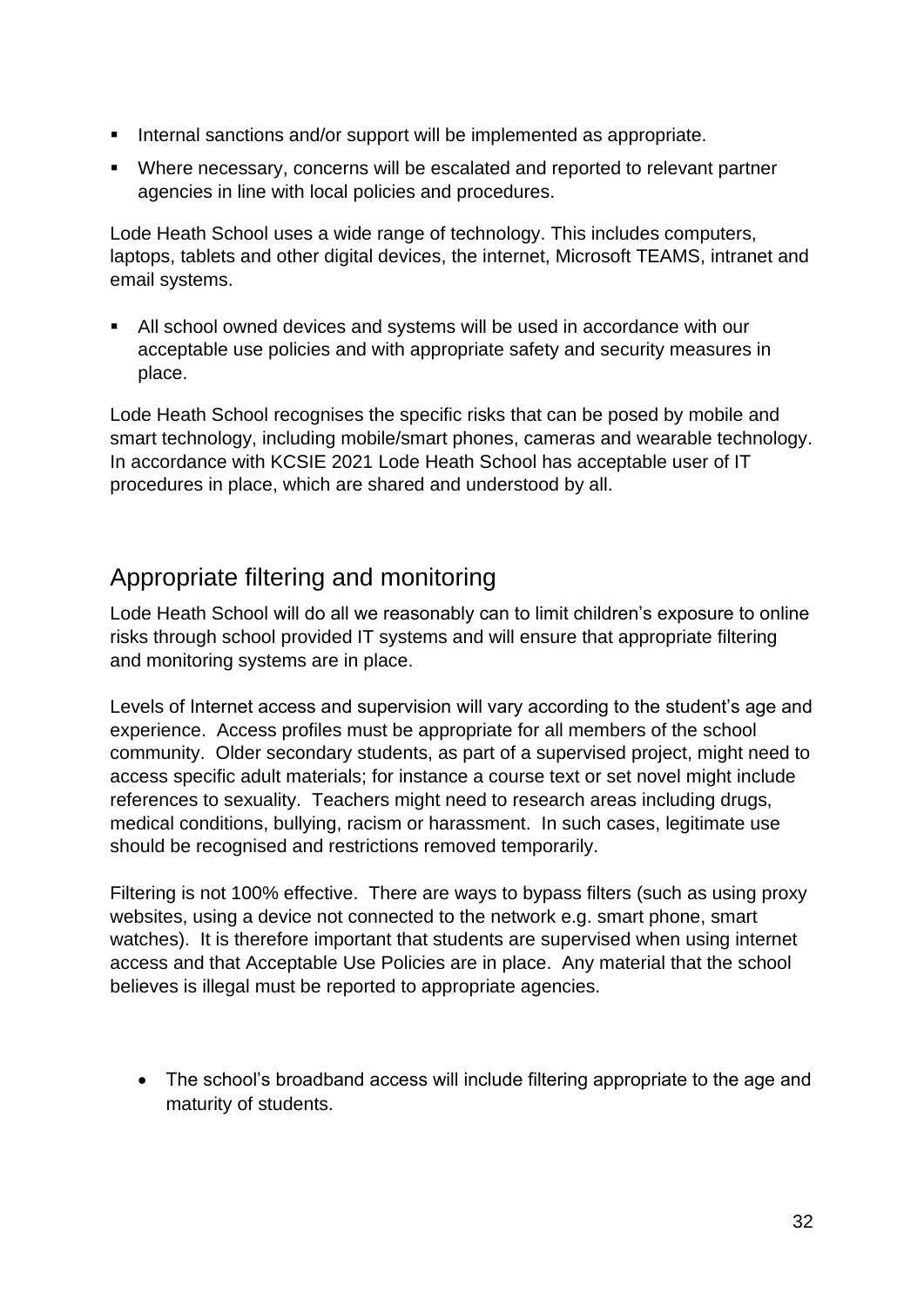- Internal sanctions and/or support will be implemented as appropriate.
- Where necessary, concerns will be escalated and reported to relevant partner agencies in line with local policies and procedures.

Lode Heath School uses a wide range of technology. This includes computers, laptops, tablets and other digital devices, the internet, Microsoft TEAMS, intranet and email systems.

■ All school owned devices and systems will be used in accordance with our acceptable use policies and with appropriate safety and security measures in place.

Lode Heath School recognises the specific risks that can be posed by mobile and smart technology, including mobile/smart phones, cameras and wearable technology. In accordance with KCSIE 2021 Lode Heath School has acceptable user of IT procedures in place, which are shared and understood by all.

## <span id="page-31-0"></span>Appropriate filtering and monitoring

Lode Heath School will do all we reasonably can to limit children's exposure to online risks through school provided IT systems and will ensure that appropriate filtering and monitoring systems are in place.

Levels of Internet access and supervision will vary according to the student's age and experience. Access profiles must be appropriate for all members of the school community. Older secondary students, as part of a supervised project, might need to access specific adult materials; for instance a course text or set novel might include references to sexuality. Teachers might need to research areas including drugs, medical conditions, bullying, racism or harassment. In such cases, legitimate use should be recognised and restrictions removed temporarily.

Filtering is not 100% effective. There are ways to bypass filters (such as using proxy websites, using a device not connected to the network e.g. smart phone, smart watches). It is therefore important that students are supervised when using internet access and that Acceptable Use Policies are in place. Any material that the school believes is illegal must be reported to appropriate agencies.

• The school's broadband access will include filtering appropriate to the age and maturity of students.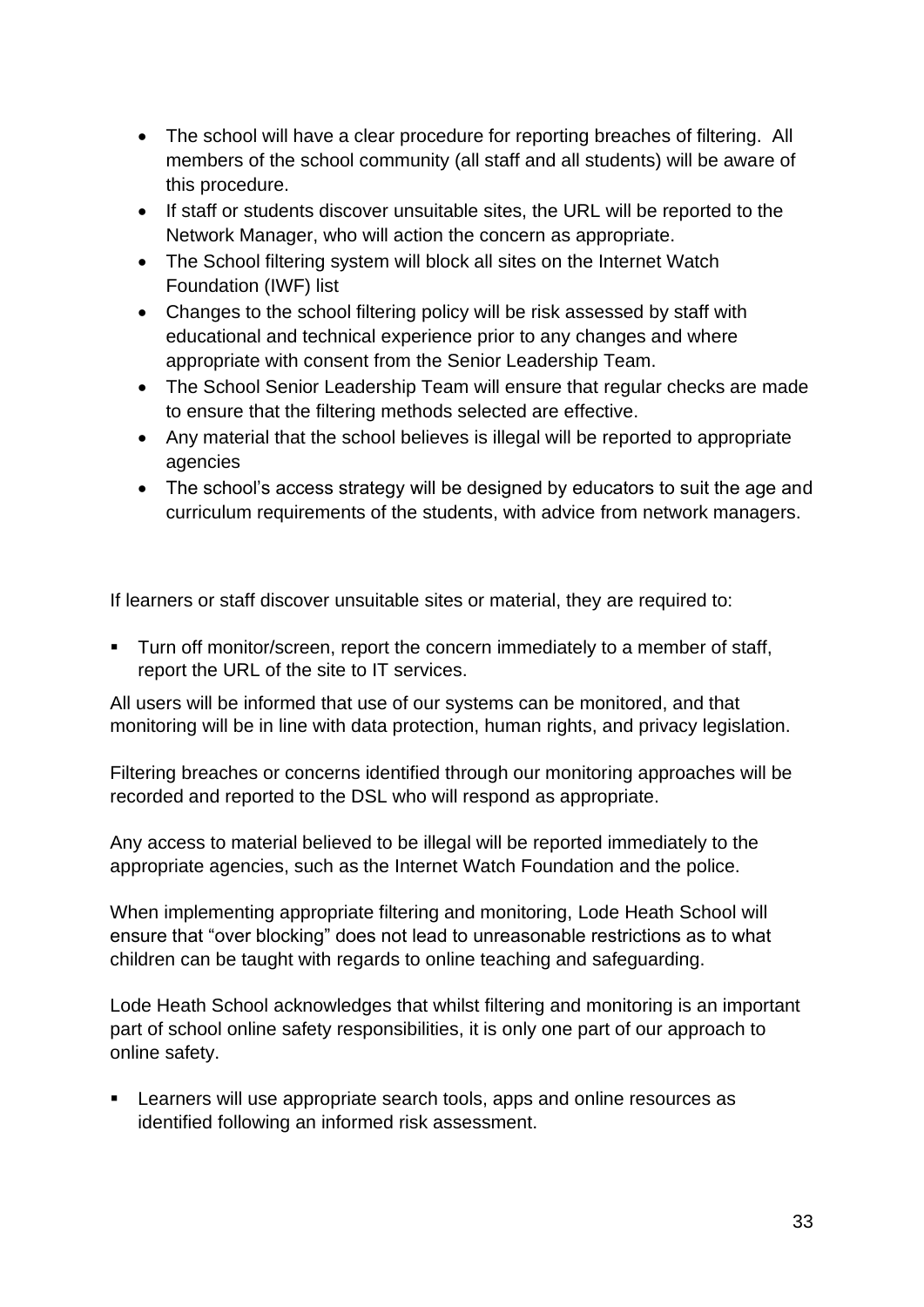- The school will have a clear procedure for reporting breaches of filtering. All members of the school community (all staff and all students) will be aware of this procedure.
- If staff or students discover unsuitable sites, the URL will be reported to the Network Manager, who will action the concern as appropriate.
- The School filtering system will block all sites on the Internet Watch Foundation (IWF) list
- Changes to the school filtering policy will be risk assessed by staff with educational and technical experience prior to any changes and where appropriate with consent from the Senior Leadership Team.
- The School Senior Leadership Team will ensure that regular checks are made to ensure that the filtering methods selected are effective.
- Any material that the school believes is illegal will be reported to appropriate agencies
- The school's access strategy will be designed by educators to suit the age and curriculum requirements of the students, with advice from network managers.

If learners or staff discover unsuitable sites or material, they are required to:

▪ Turn off monitor/screen, report the concern immediately to a member of staff, report the URL of the site to IT services.

All users will be informed that use of our systems can be monitored, and that monitoring will be in line with data protection, human rights, and privacy legislation.

Filtering breaches or concerns identified through our monitoring approaches will be recorded and reported to the DSL who will respond as appropriate.

Any access to material believed to be illegal will be reported immediately to the appropriate agencies, such as the Internet Watch Foundation and the police.

When implementing appropriate filtering and monitoring, Lode Heath School will ensure that "over blocking" does not lead to unreasonable restrictions as to what children can be taught with regards to online teaching and safeguarding.

Lode Heath School acknowledges that whilst filtering and monitoring is an important part of school online safety responsibilities, it is only one part of our approach to online safety.

**EXECT** Learners will use appropriate search tools, apps and online resources as identified following an informed risk assessment.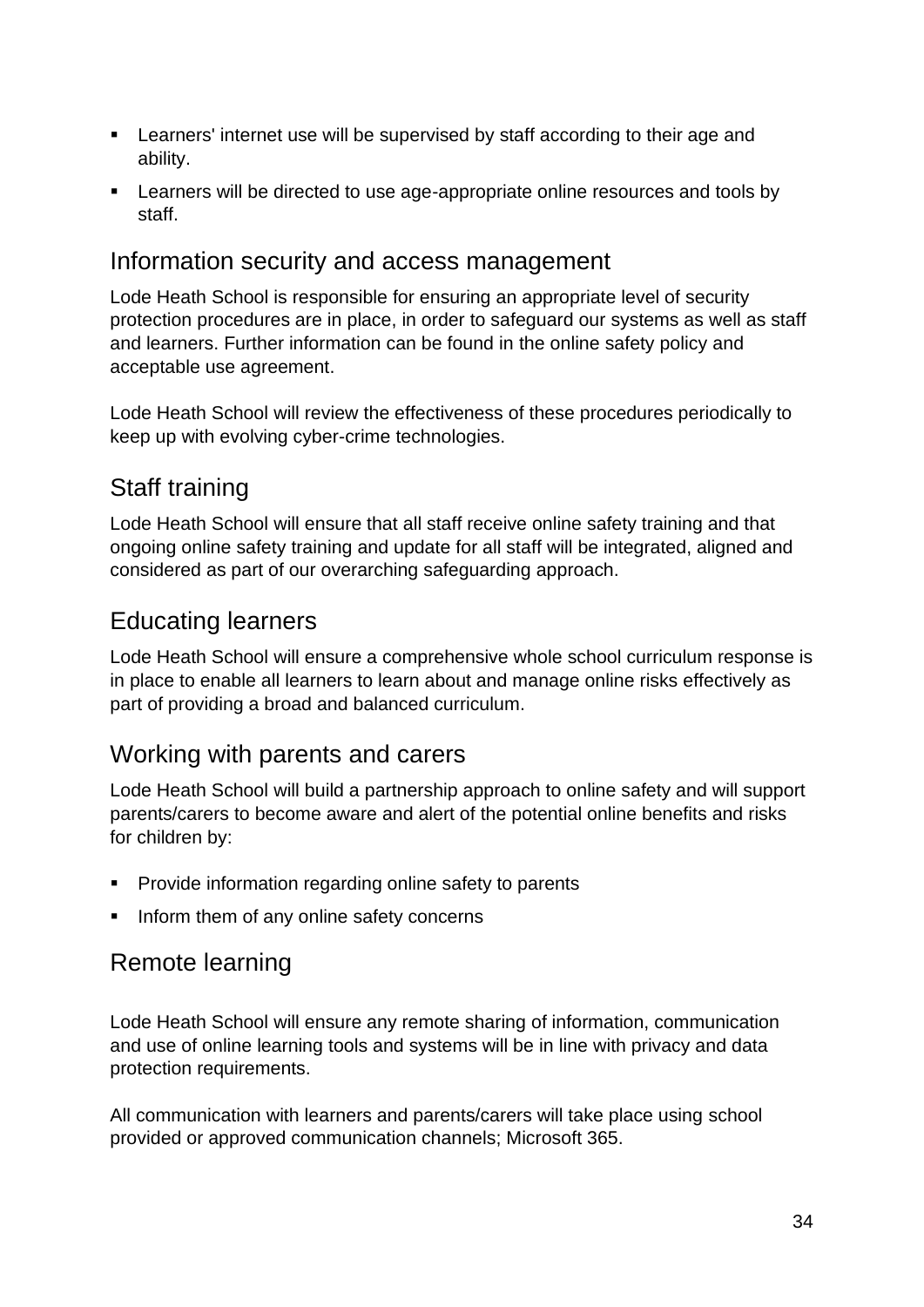- Learners' internet use will be supervised by staff according to their age and ability.
- Learners will be directed to use age-appropriate online resources and tools by staff.

#### <span id="page-33-0"></span>Information security and access management

Lode Heath School is responsible for ensuring an appropriate level of security protection procedures are in place, in order to safeguard our systems as well as staff and learners. Further information can be found in the online safety policy and acceptable use agreement.

Lode Heath School will review the effectiveness of these procedures periodically to keep up with evolving cyber-crime technologies.

### <span id="page-33-1"></span>Staff training

Lode Heath School will ensure that all staff receive online safety training and that ongoing online safety training and update for all staff will be integrated, aligned and considered as part of our overarching safeguarding approach.

### <span id="page-33-2"></span>Educating learners

Lode Heath School will ensure a comprehensive whole school curriculum response is in place to enable all learners to learn about and manage online risks effectively as part of providing a broad and balanced curriculum.

### <span id="page-33-3"></span>Working with parents and carers

Lode Heath School will build a partnership approach to online safety and will support parents/carers to become aware and alert of the potential online benefits and risks for children by:

- Provide information regarding online safety to parents
- **.** Inform them of any online safety concerns

### <span id="page-33-4"></span>Remote learning

Lode Heath School will ensure any remote sharing of information, communication and use of online learning tools and systems will be in line with privacy and data protection requirements.

All communication with learners and parents/carers will take place using school provided or approved communication channels; Microsoft 365.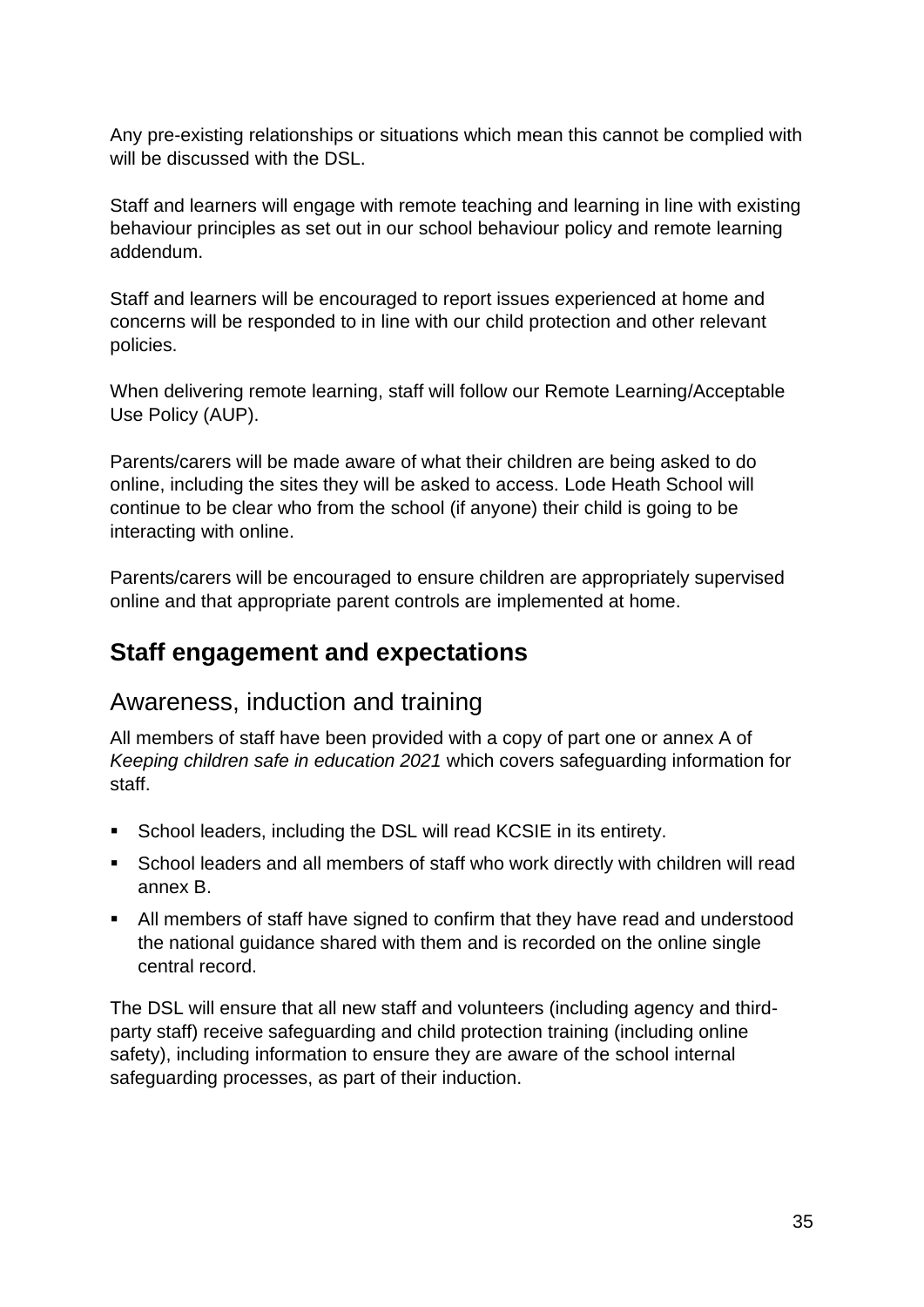Any pre-existing relationships or situations which mean this cannot be complied with will be discussed with the DSL.

Staff and learners will engage with remote teaching and learning in line with existing behaviour principles as set out in our school behaviour policy and remote learning addendum.

Staff and learners will be encouraged to report issues experienced at home and concerns will be responded to in line with our child protection and other relevant policies.

When delivering remote learning, staff will follow our Remote Learning/Acceptable Use Policy (AUP).

Parents/carers will be made aware of what their children are being asked to do online, including the sites they will be asked to access. Lode Heath School will continue to be clear who from the school (if anyone) their child is going to be interacting with online.

Parents/carers will be encouraged to ensure children are appropriately supervised online and that appropriate parent controls are implemented at home.

## <span id="page-34-0"></span>**Staff engagement and expectations**

#### <span id="page-34-1"></span>Awareness, induction and training

All members of staff have been provided with a copy of part one or annex A of *Keeping children safe in education 2021* which covers safeguarding information for staff.

- School leaders, including the DSL will read KCSIE in its entirety.
- School leaders and all members of staff who work directly with children will read annex B.
- All members of staff have signed to confirm that they have read and understood the national guidance shared with them and is recorded on the online single central record.

The DSL will ensure that all new staff and volunteers (including agency and thirdparty staff) receive safeguarding and child protection training (including online safety), including information to ensure they are aware of the school internal safeguarding processes, as part of their induction.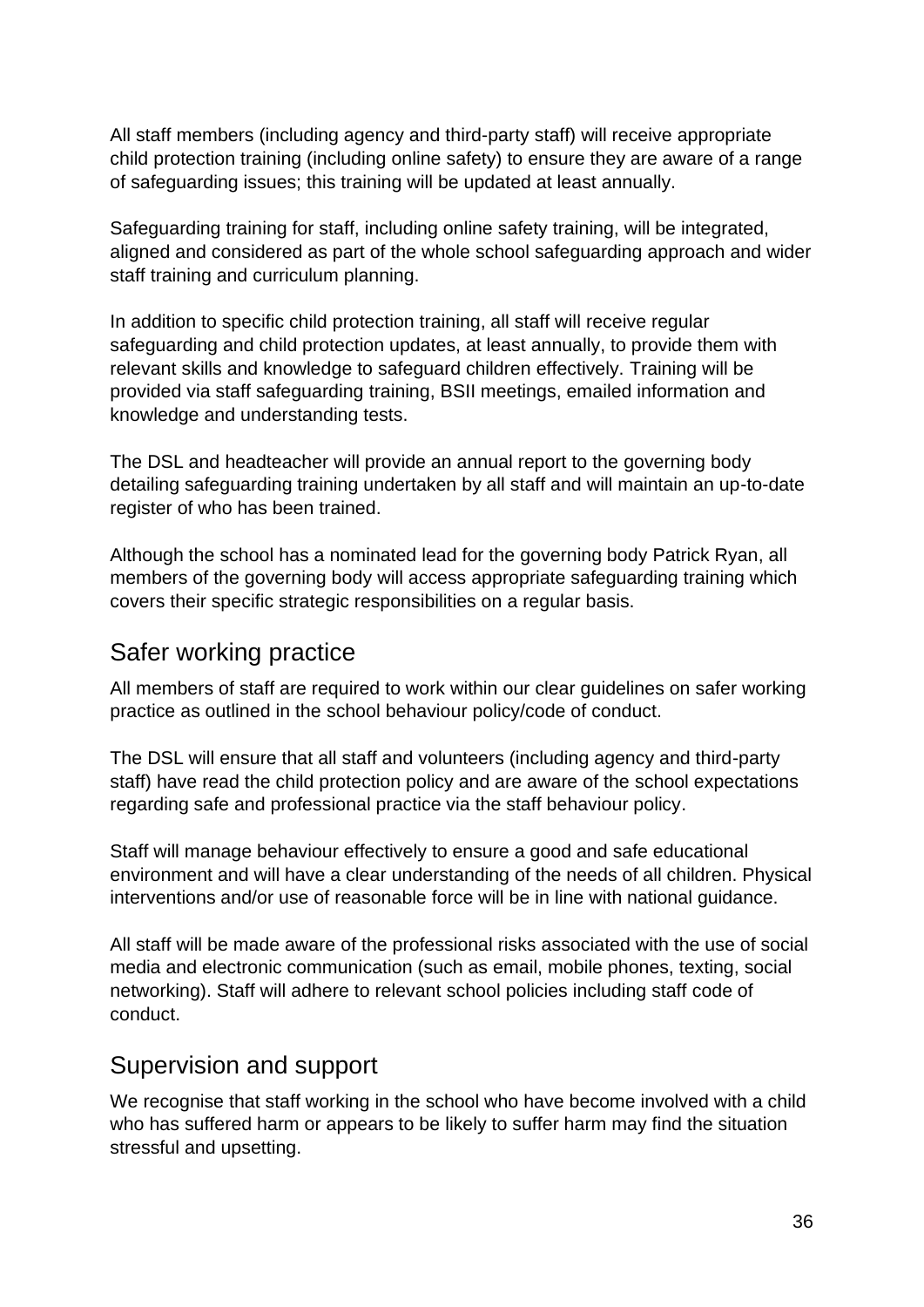All staff members (including agency and third-party staff) will receive appropriate child protection training (including online safety) to ensure they are aware of a range of safeguarding issues; this training will be updated at least annually.

Safeguarding training for staff, including online safety training, will be integrated, aligned and considered as part of the whole school safeguarding approach and wider staff training and curriculum planning.

In addition to specific child protection training, all staff will receive regular safeguarding and child protection updates, at least annually, to provide them with relevant skills and knowledge to safeguard children effectively. Training will be provided via staff safeguarding training, BSII meetings, emailed information and knowledge and understanding tests.

The DSL and headteacher will provide an annual report to the governing body detailing safeguarding training undertaken by all staff and will maintain an up-to-date register of who has been trained.

Although the school has a nominated lead for the governing body Patrick Ryan, all members of the governing body will access appropriate safeguarding training which covers their specific strategic responsibilities on a regular basis.

#### <span id="page-35-0"></span>Safer working practice

All members of staff are required to work within our clear guidelines on safer working practice as outlined in the school behaviour policy/code of conduct.

The DSL will ensure that all staff and volunteers (including agency and third-party staff) have read the child protection policy and are aware of the school expectations regarding safe and professional practice via the staff behaviour policy.

Staff will manage behaviour effectively to ensure a good and safe educational environment and will have a clear understanding of the needs of all children. Physical interventions and/or use of reasonable force will be in line with national guidance.

All staff will be made aware of the professional risks associated with the use of social media and electronic communication (such as email, mobile phones, texting, social networking). Staff will adhere to relevant school policies including staff code of conduct.

### <span id="page-35-1"></span>Supervision and support

We recognise that staff working in the school who have become involved with a child who has suffered harm or appears to be likely to suffer harm may find the situation stressful and upsetting.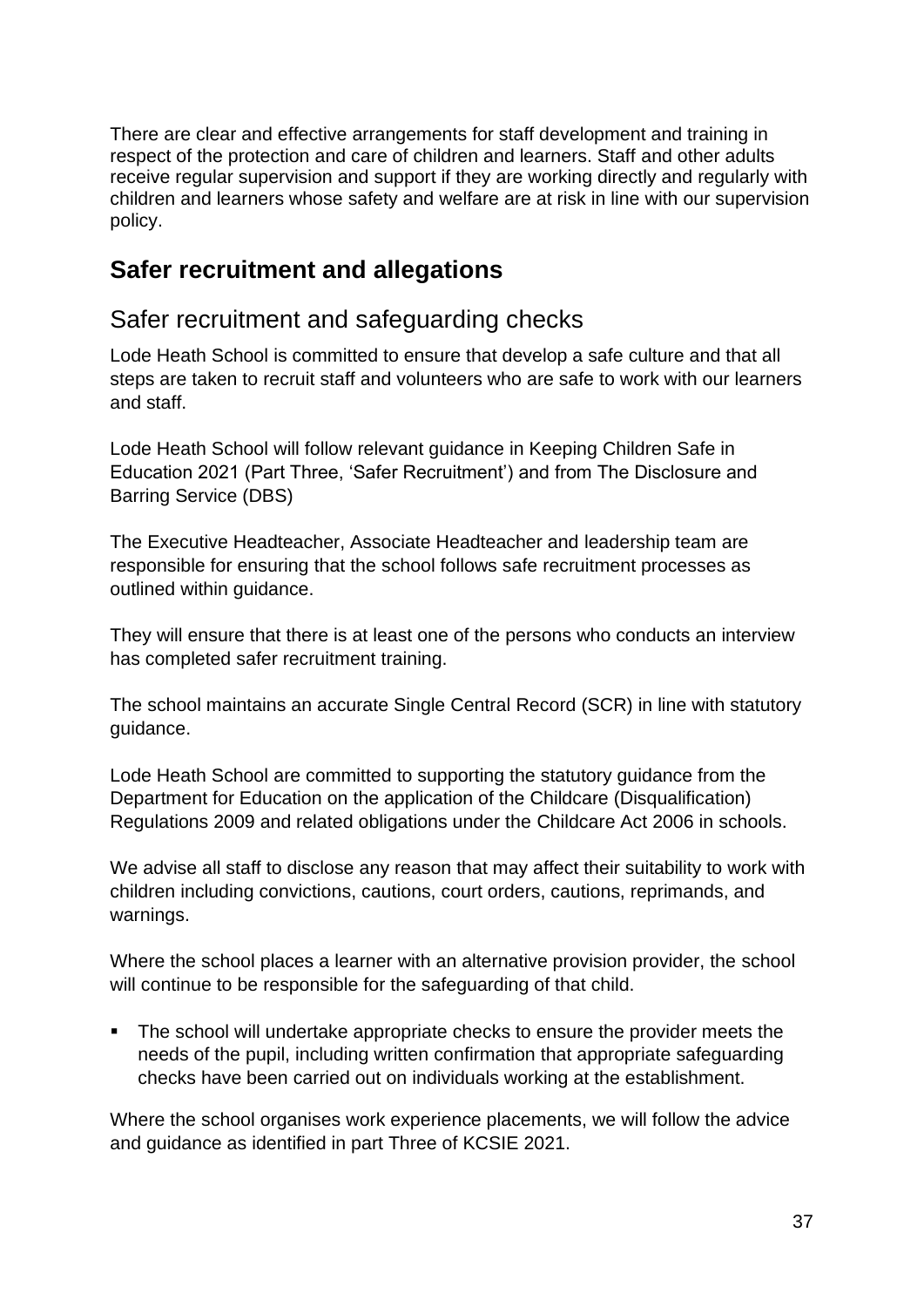There are clear and effective arrangements for staff development and training in respect of the protection and care of children and learners. Staff and other adults receive regular supervision and support if they are working directly and regularly with children and learners whose safety and welfare are at risk in line with our supervision policy.

#### <span id="page-36-0"></span>**Safer recruitment and allegations**

#### <span id="page-36-1"></span>Safer recruitment and safeguarding checks

Lode Heath School is committed to ensure that develop a safe culture and that all steps are taken to recruit staff and volunteers who are safe to work with our learners and staff.

Lode Heath School will follow relevant guidance in Keeping Children Safe in Education 2021 (Part Three, 'Safer Recruitment') and from The Disclosure and Barring Service (DBS)

The Executive Headteacher, Associate Headteacher and leadership team are responsible for ensuring that the school follows safe recruitment processes as outlined within guidance.

They will ensure that there is at least one of the persons who conducts an interview has completed safer recruitment training.

The school maintains an accurate Single Central Record (SCR) in line with statutory guidance.

Lode Heath School are committed to supporting the statutory guidance from the Department for Education on the application of the Childcare (Disqualification) Regulations 2009 and related obligations under the Childcare Act 2006 in schools.

We advise all staff to disclose any reason that may affect their suitability to work with children including convictions, cautions, court orders, cautions, reprimands, and warnings.

Where the school places a learner with an alternative provision provider, the school will continue to be responsible for the safeguarding of that child.

▪ The school will undertake appropriate checks to ensure the provider meets the needs of the pupil, including written confirmation that appropriate safeguarding checks have been carried out on individuals working at the establishment.

Where the school organises work experience placements, we will follow the advice and guidance as identified in part Three of KCSIE 2021.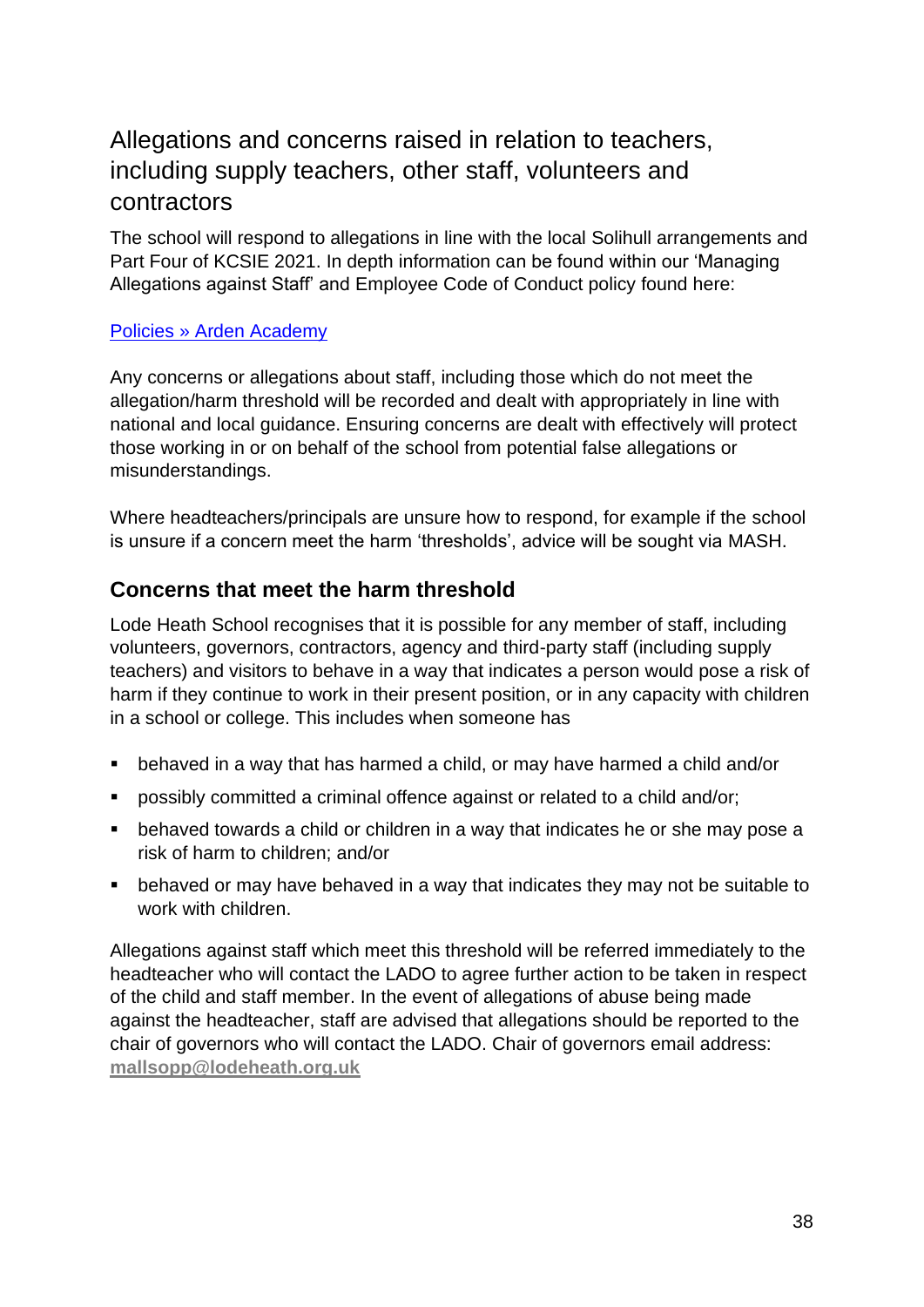## <span id="page-37-0"></span>Allegations and concerns raised in relation to teachers, including supply teachers, other staff, volunteers and contractors

The school will respond to allegations in line with the local Solihull arrangements and Part Four of KCSIE 2021. In depth information can be found within our 'Managing Allegations against Staff' and Employee Code of Conduct policy found here:

#### [Policies » Arden Academy](https://www.arden.solihull.sch.uk/about-us/arden-policies/)

Any concerns or allegations about staff, including those which do not meet the allegation/harm threshold will be recorded and dealt with appropriately in line with national and local guidance. Ensuring concerns are dealt with effectively will protect those working in or on behalf of the school from potential false allegations or misunderstandings.

Where headteachers/principals are unsure how to respond, for example if the school is unsure if a concern meet the harm 'thresholds', advice will be sought via MASH.

#### **Concerns that meet the harm threshold**

Lode Heath School recognises that it is possible for any member of staff, including volunteers, governors, contractors, agency and third-party staff (including supply teachers) and visitors to behave in a way that indicates a person would pose a risk of harm if they continue to work in their present position, or in any capacity with children in a school or college. This includes when someone has

- behaved in a way that has harmed a child, or may have harmed a child and/or
- possibly committed a criminal offence against or related to a child and/or;
- behaved towards a child or children in a way that indicates he or she may pose a risk of harm to children; and/or
- behaved or may have behaved in a way that indicates they may not be suitable to work with children

Allegations against staff which meet this threshold will be referred immediately to the headteacher who will contact the LADO to agree further action to be taken in respect of the child and staff member. In the event of allegations of abuse being made against the headteacher, staff are advised that allegations should be reported to the chair of governors who will contact the LADO. Chair of governors email address: **[mallsopp@lodeheath.org.uk](mailto:mallsopp@lodeheath.org.uk)**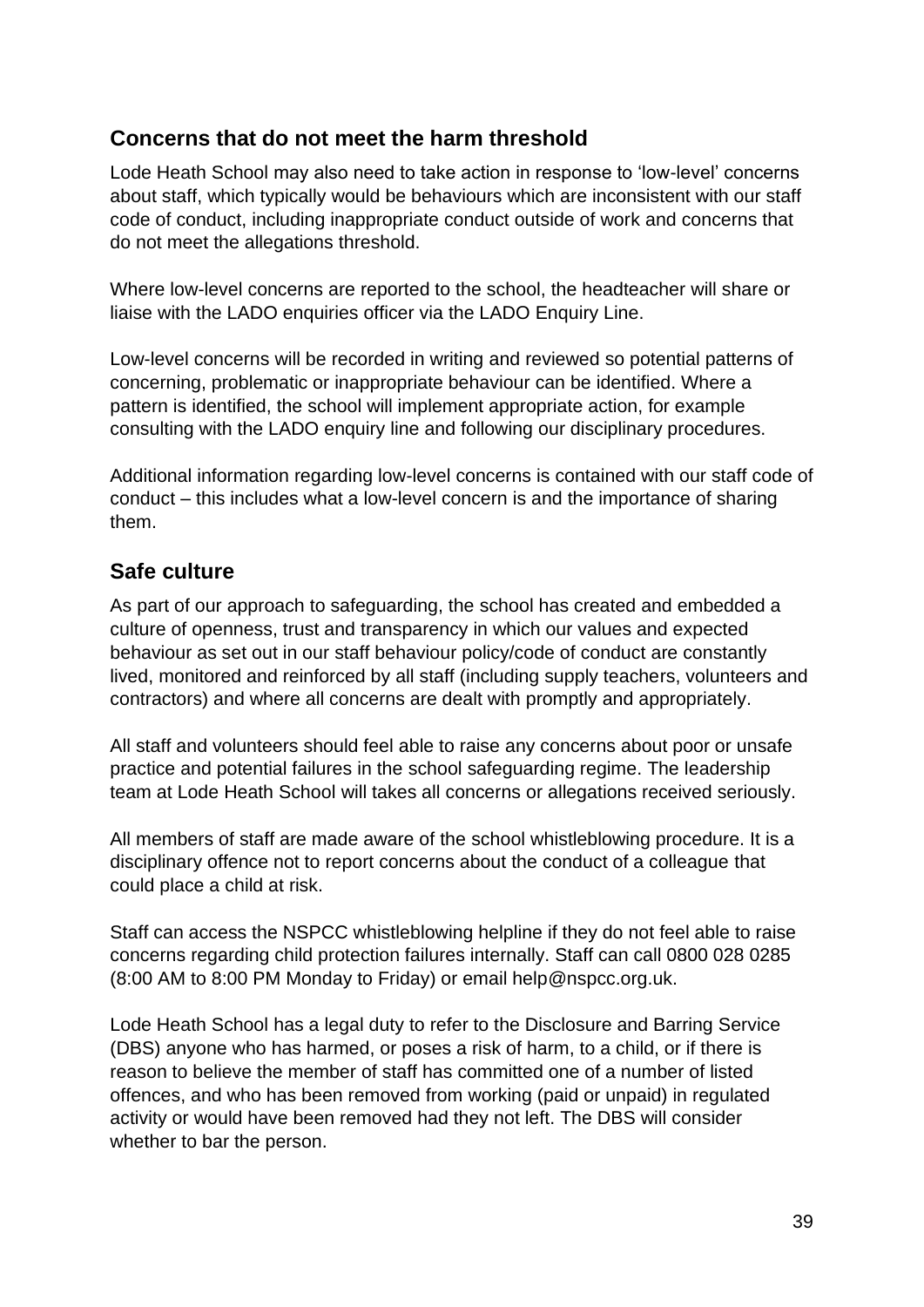#### **Concerns that do not meet the harm threshold**

Lode Heath School may also need to take action in response to 'low-level' concerns about staff, which typically would be behaviours which are inconsistent with our staff code of conduct, including inappropriate conduct outside of work and concerns that do not meet the allegations threshold.

Where low-level concerns are reported to the school, the headteacher will share or liaise with the LADO enquiries officer via the LADO Enquiry Line.

Low-level concerns will be recorded in writing and reviewed so potential patterns of concerning, problematic or inappropriate behaviour can be identified. Where a pattern is identified, the school will implement appropriate action, for example consulting with the LADO enquiry line and following our disciplinary procedures.

Additional information regarding low-level concerns is contained with our staff code of conduct – this includes what a low-level concern is and the importance of sharing them.

#### **Safe culture**

As part of our approach to safeguarding, the school has created and embedded a culture of openness, trust and transparency in which our values and expected behaviour as set out in our staff behaviour policy/code of conduct are constantly lived, monitored and reinforced by all staff (including supply teachers, volunteers and contractors) and where all concerns are dealt with promptly and appropriately.

All staff and volunteers should feel able to raise any concerns about poor or unsafe practice and potential failures in the school safeguarding regime. The leadership team at Lode Heath School will takes all concerns or allegations received seriously.

All members of staff are made aware of the school whistleblowing procedure. It is a disciplinary offence not to report concerns about the conduct of a colleague that could place a child at risk.

Staff can access the NSPCC whistleblowing helpline if they do not feel able to raise concerns regarding child protection failures internally. Staff can call 0800 028 0285 (8:00 AM to 8:00 PM Monday to Friday) or email help@nspcc.org.uk.

Lode Heath School has a legal duty to refer to the Disclosure and Barring Service (DBS) anyone who has harmed, or poses a risk of harm, to a child, or if there is reason to believe the member of staff has committed one of a number of listed offences, and who has been removed from working (paid or unpaid) in regulated activity or would have been removed had they not left. The DBS will consider whether to bar the person.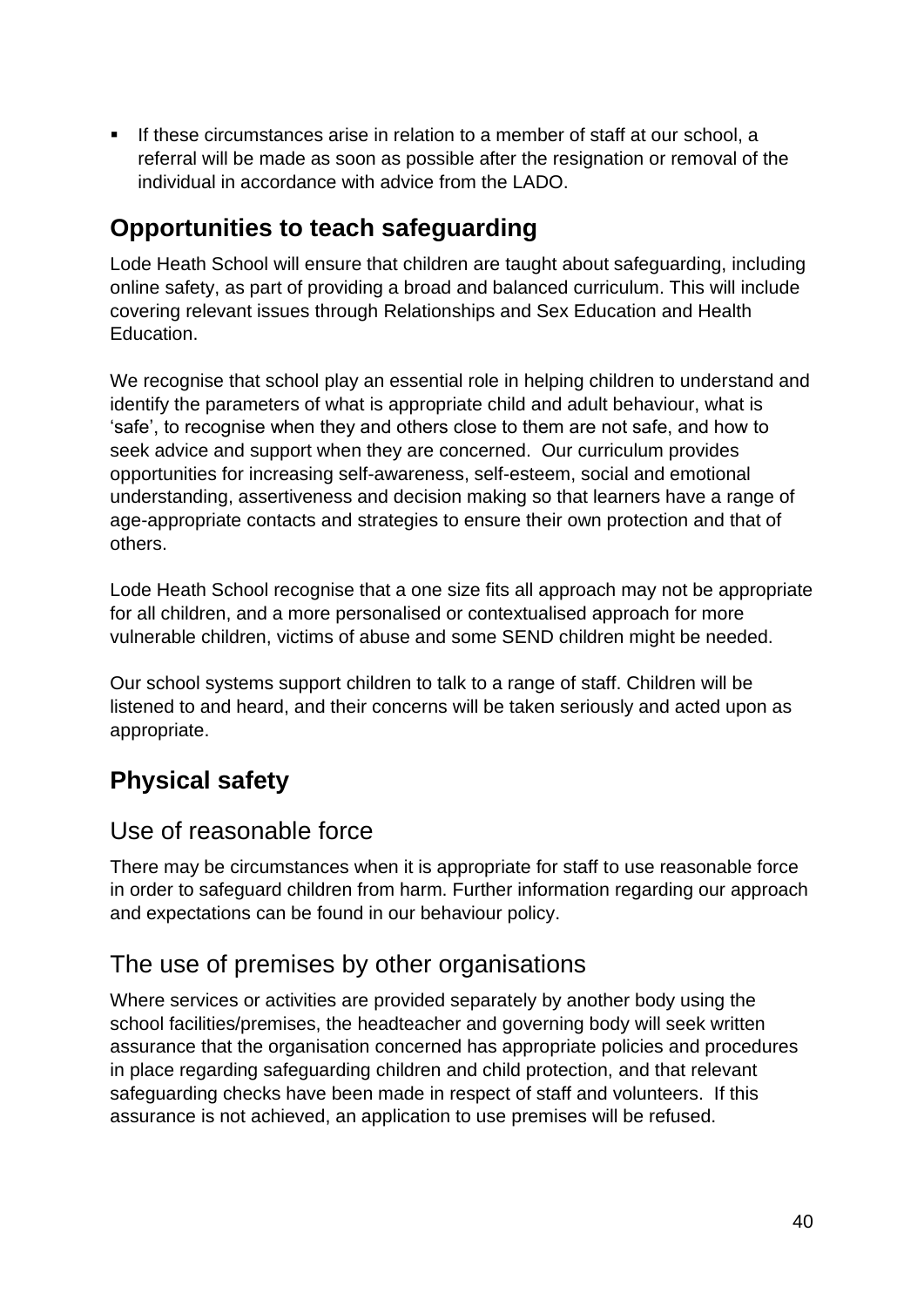If these circumstances arise in relation to a member of staff at our school, a referral will be made as soon as possible after the resignation or removal of the individual in accordance with advice from the LADO.

## <span id="page-39-0"></span>**Opportunities to teach safeguarding**

Lode Heath School will ensure that children are taught about safeguarding, including online safety, as part of providing a broad and balanced curriculum. This will include covering relevant issues through Relationships and Sex Education and Health Education.

We recognise that school play an essential role in helping children to understand and identify the parameters of what is appropriate child and adult behaviour, what is 'safe', to recognise when they and others close to them are not safe, and how to seek advice and support when they are concerned. Our curriculum provides opportunities for increasing self-awareness, self-esteem, social and emotional understanding, assertiveness and decision making so that learners have a range of age-appropriate contacts and strategies to ensure their own protection and that of others.

Lode Heath School recognise that a one size fits all approach may not be appropriate for all children, and a more personalised or contextualised approach for more vulnerable children, victims of abuse and some SEND children might be needed.

Our school systems support children to talk to a range of staff. Children will be listened to and heard, and their concerns will be taken seriously and acted upon as appropriate.

# <span id="page-39-1"></span>**Physical safety**

## <span id="page-39-2"></span>Use of reasonable force

There may be circumstances when it is appropriate for staff to use reasonable force in order to safeguard children from harm. Further information regarding our approach and expectations can be found in our behaviour policy.

## <span id="page-39-3"></span>The use of premises by other organisations

Where services or activities are provided separately by another body using the school facilities/premises, the headteacher and governing body will seek written assurance that the organisation concerned has appropriate policies and procedures in place regarding safeguarding children and child protection, and that relevant safeguarding checks have been made in respect of staff and volunteers. If this assurance is not achieved, an application to use premises will be refused.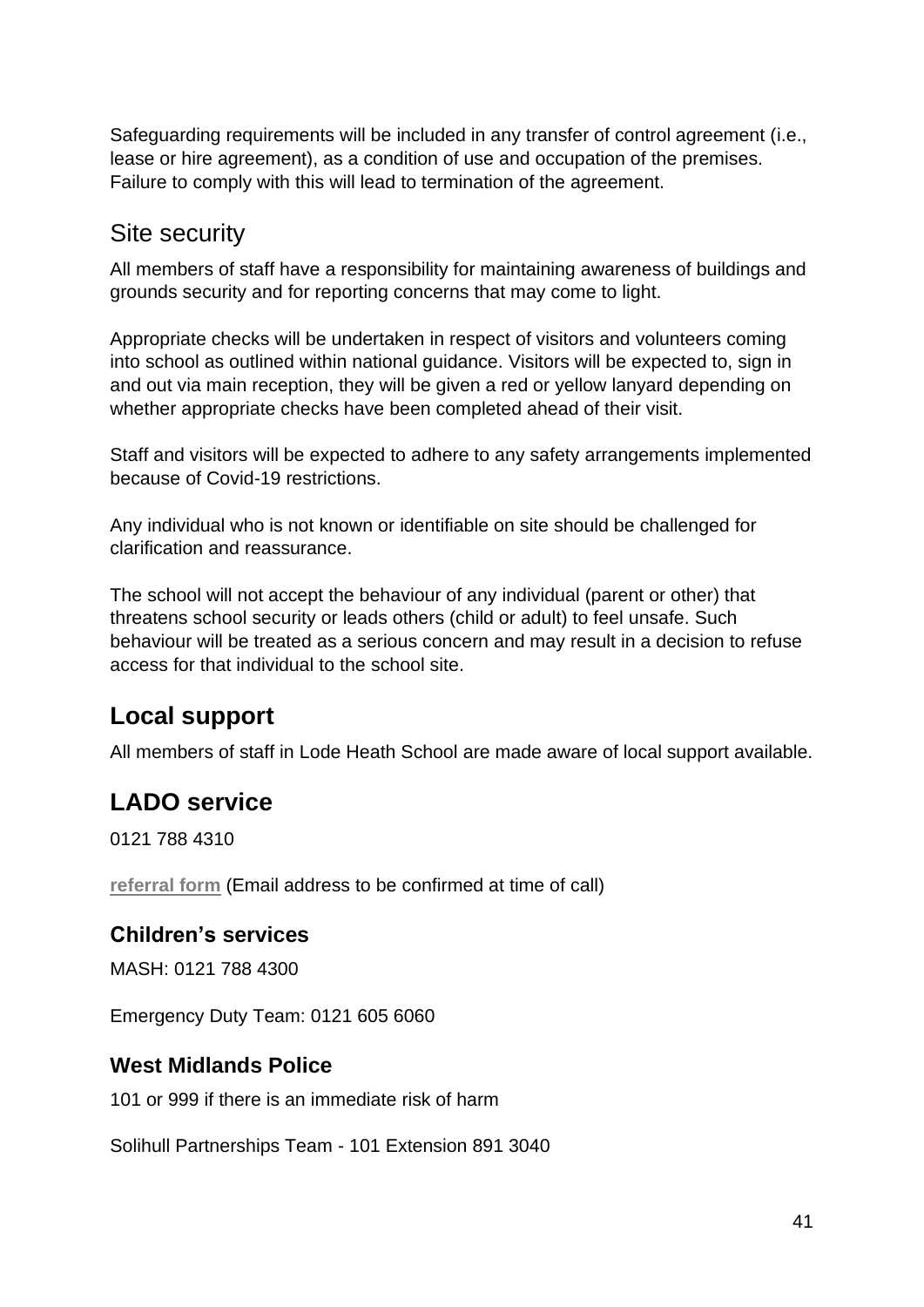Safeguarding requirements will be included in any transfer of control agreement (i.e., lease or hire agreement), as a condition of use and occupation of the premises. Failure to comply with this will lead to termination of the agreement.

#### <span id="page-40-0"></span>Site security

All members of staff have a responsibility for maintaining awareness of buildings and grounds security and for reporting concerns that may come to light.

Appropriate checks will be undertaken in respect of visitors and volunteers coming into school as outlined within national guidance. Visitors will be expected to, sign in and out via main reception, they will be given a red or yellow lanyard depending on whether appropriate checks have been completed ahead of their visit.

Staff and visitors will be expected to adhere to any safety arrangements implemented because of Covid-19 restrictions.

Any individual who is not known or identifiable on site should be challenged for clarification and reassurance.

The school will not accept the behaviour of any individual (parent or other) that threatens school security or leads others (child or adult) to feel unsafe. Such behaviour will be treated as a serious concern and may result in a decision to refuse access for that individual to the school site.

### <span id="page-40-1"></span>**Local support**

All members of staff in Lode Heath School are made aware of local support available.

## <span id="page-40-2"></span>**LADO service**

0121 788 4310

**[referral form](https://solihulllscp.co.uk/media/upload/fck/file/Signs%20of%20safety/POT%20referral%20form%202018.doc)** (Email address to be confirmed at time of call)

#### **Children's services**

MASH: 0121 788 4300

Emergency Duty Team: 0121 605 6060

#### **West Midlands Police**

101 or 999 if there is an immediate risk of harm

Solihull Partnerships Team - 101 Extension 891 3040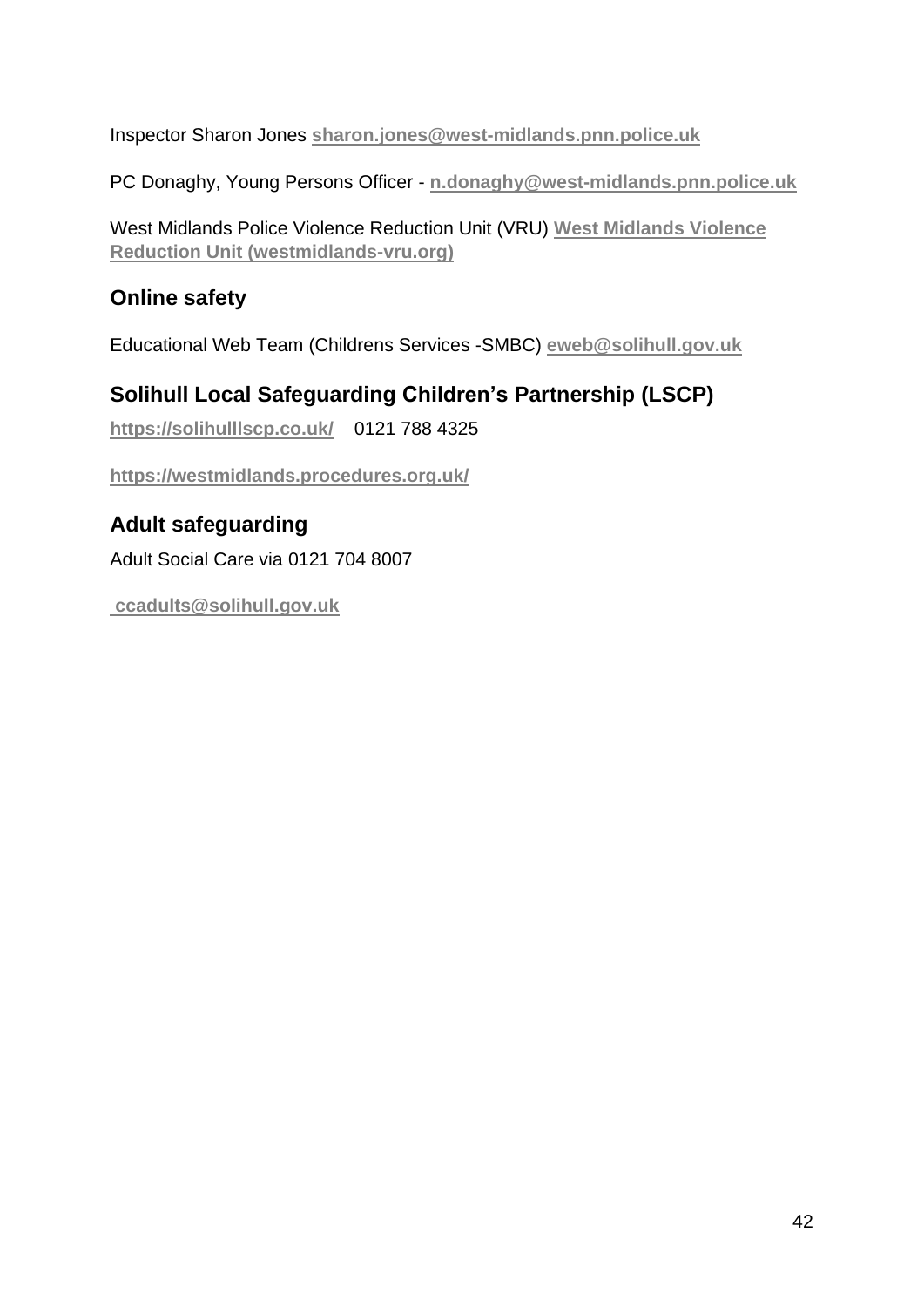Inspector Sharon Jones **[sharon.jones@west-midlands.pnn.police.uk](mailto:%3csharon.jones@west-midlands.pnn.police.uk)**

PC Donaghy, Young Persons Officer - **[n.donaghy@west-midlands.pnn.police.uk](mailto:n.donaghy@west-midlands.pnn.police.uk)**

West Midlands Police Violence Reduction Unit (VRU) **[West Midlands Violence](https://westmidlands-vru.org/)  [Reduction Unit \(westmidlands-vru.org\)](https://westmidlands-vru.org/)**

#### **Online safety**

Educational Web Team (Childrens Services -SMBC) **[eweb@solihull.gov.uk](mailto:eweb@solihull.gov.uk)**

#### **Solihull Local Safeguarding Children's Partnership (LSCP)**

**<https://solihulllscp.co.uk/>** 0121 788 4325

**<https://westmidlands.procedures.org.uk/>**

# **Adult safeguarding**

Adult Social Care via 0121 704 8007

**ccadults@solihull.gov.uk**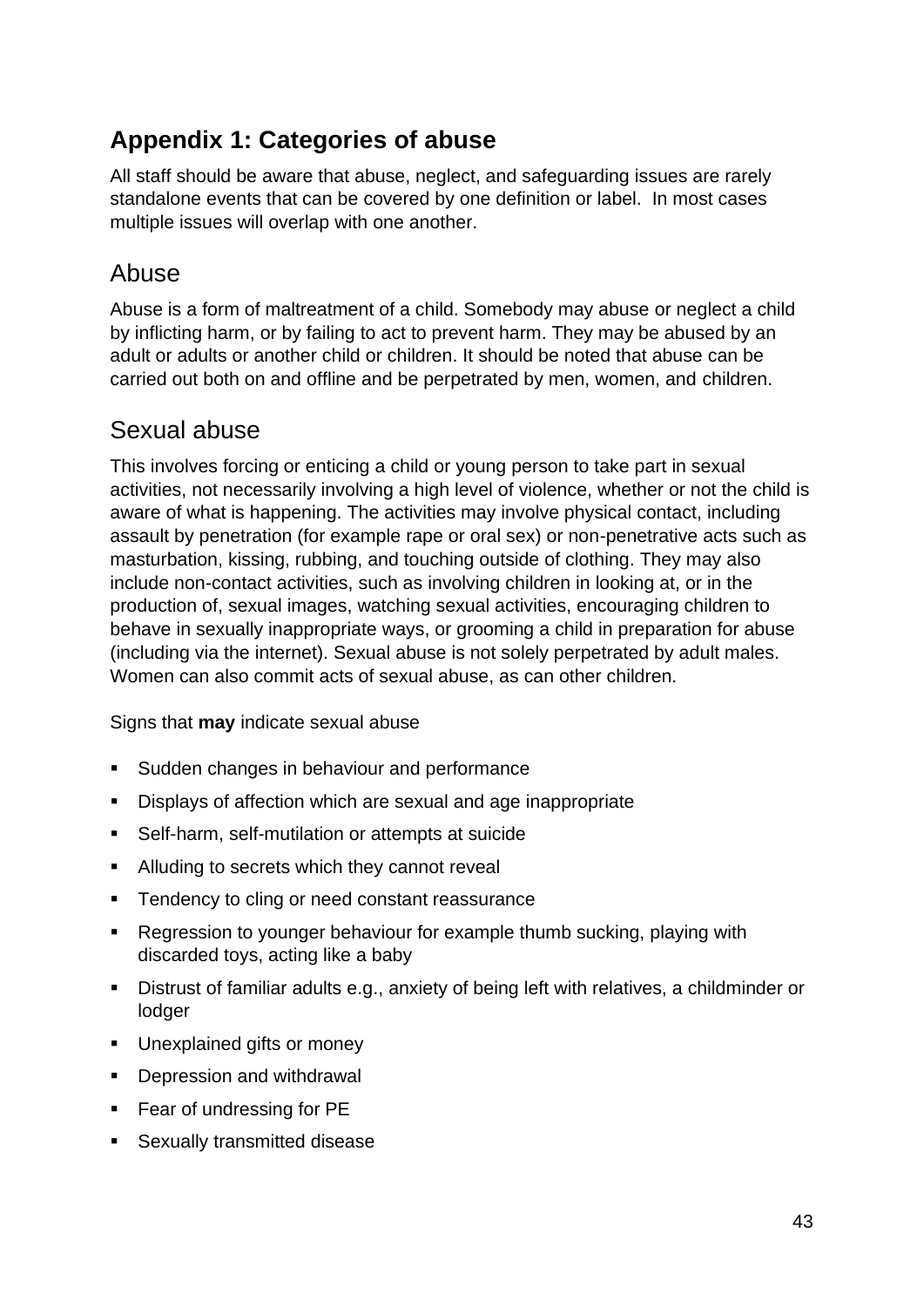## <span id="page-42-0"></span>**Appendix 1: Categories of abuse**

All staff should be aware that abuse, neglect, and safeguarding issues are rarely standalone events that can be covered by one definition or label. In most cases multiple issues will overlap with one another.

## Abuse

Abuse is a form of maltreatment of a child. Somebody may abuse or neglect a child by inflicting harm, or by failing to act to prevent harm. They may be abused by an adult or adults or another child or children. It should be noted that abuse can be carried out both on and offline and be perpetrated by men, women, and children.

## Sexual abuse

This involves forcing or enticing a child or young person to take part in sexual activities, not necessarily involving a high level of violence, whether or not the child is aware of what is happening. The activities may involve physical contact, including assault by penetration (for example rape or oral sex) or non-penetrative acts such as masturbation, kissing, rubbing, and touching outside of clothing. They may also include non-contact activities, such as involving children in looking at, or in the production of, sexual images, watching sexual activities, encouraging children to behave in sexually inappropriate ways, or grooming a child in preparation for abuse (including via the internet). Sexual abuse is not solely perpetrated by adult males. Women can also commit acts of sexual abuse, as can other children.

Signs that **may** indicate sexual abuse

- Sudden changes in behaviour and performance
- Displays of affection which are sexual and age inappropriate
- Self-harm, self-mutilation or attempts at suicide
- Alluding to secrets which they cannot reveal
- Tendency to cling or need constant reassurance
- Regression to younger behaviour for example thumb sucking, playing with discarded toys, acting like a baby
- Distrust of familiar adults e.g., anxiety of being left with relatives, a childminder or lodger
- **■** Unexplained gifts or money
- Depression and withdrawal
- Fear of undressing for PE
- Sexually transmitted disease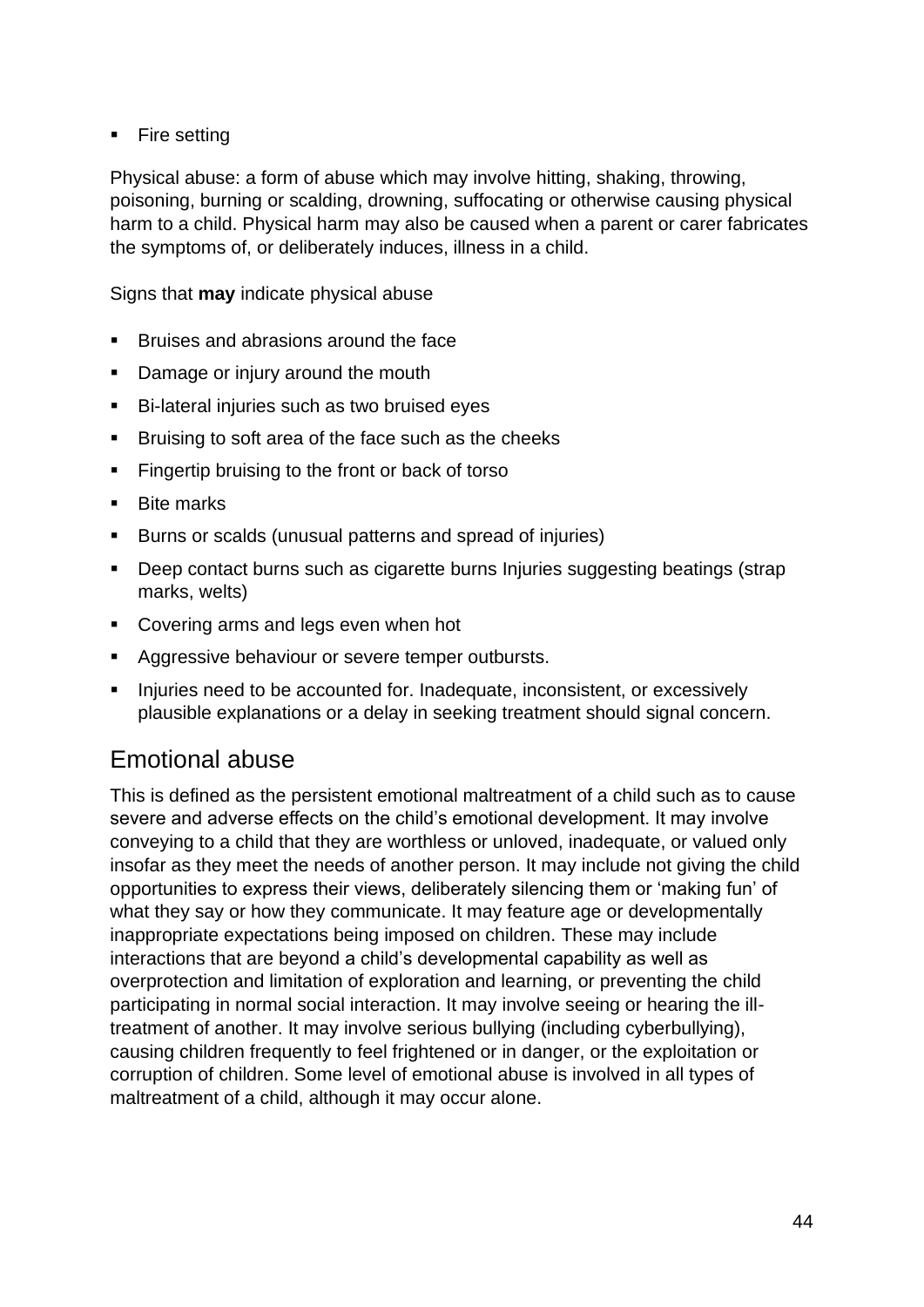■ Fire setting

Physical abuse: a form of abuse which may involve hitting, shaking, throwing, poisoning, burning or scalding, drowning, suffocating or otherwise causing physical harm to a child. Physical harm may also be caused when a parent or carer fabricates the symptoms of, or deliberately induces, illness in a child.

Signs that **may** indicate physical abuse

- Bruises and abrasions around the face
- Damage or injury around the mouth
- Bi-lateral injuries such as two bruised eyes
- Bruising to soft area of the face such as the cheeks
- Fingertip bruising to the front or back of torso
- Bite marks
- Burns or scalds (unusual patterns and spread of injuries)
- Deep contact burns such as cigarette burns Injuries suggesting beatings (strap marks, welts)
- Covering arms and legs even when hot
- Aggressive behaviour or severe temper outbursts.
- **EXEDENT** Injuries need to be accounted for. Inadequate, inconsistent, or excessively plausible explanations or a delay in seeking treatment should signal concern.

#### Emotional abuse

This is defined as the persistent emotional maltreatment of a child such as to cause severe and adverse effects on the child's emotional development. It may involve conveying to a child that they are worthless or unloved, inadequate, or valued only insofar as they meet the needs of another person. It may include not giving the child opportunities to express their views, deliberately silencing them or 'making fun' of what they say or how they communicate. It may feature age or developmentally inappropriate expectations being imposed on children. These may include interactions that are beyond a child's developmental capability as well as overprotection and limitation of exploration and learning, or preventing the child participating in normal social interaction. It may involve seeing or hearing the illtreatment of another. It may involve serious bullying (including cyberbullying), causing children frequently to feel frightened or in danger, or the exploitation or corruption of children. Some level of emotional abuse is involved in all types of maltreatment of a child, although it may occur alone.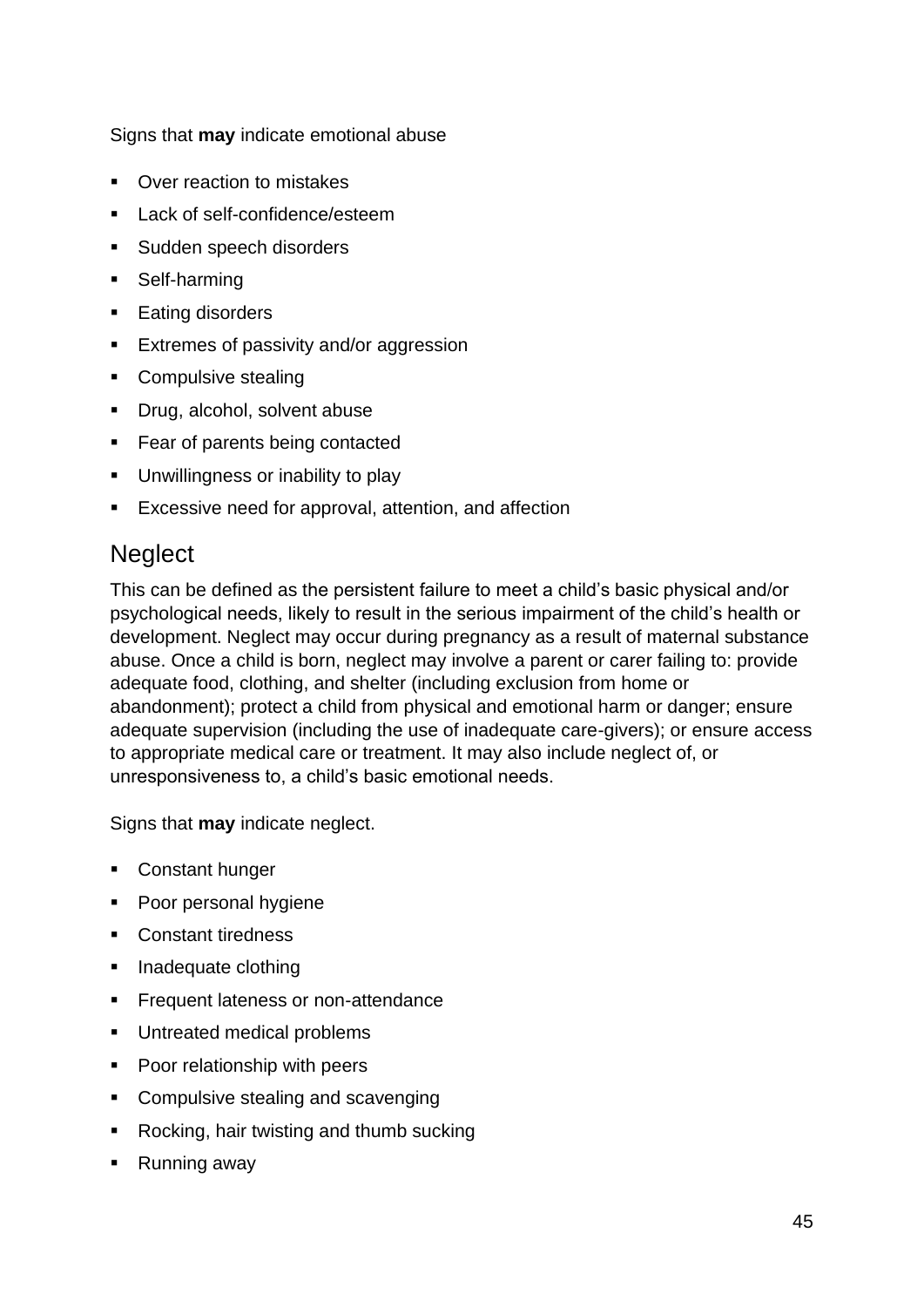Signs that **may** indicate emotional abuse

- Over reaction to mistakes
- Lack of self-confidence/esteem
- Sudden speech disorders
- Self-harming
- Eating disorders
- Extremes of passivity and/or aggression
- Compulsive stealing
- Drug, alcohol, solvent abuse
- Fear of parents being contacted
- Unwillingness or inability to play
- Excessive need for approval, attention, and affection

### **Neglect**

This can be defined as the persistent failure to meet a child's basic physical and/or psychological needs, likely to result in the serious impairment of the child's health or development. Neglect may occur during pregnancy as a result of maternal substance abuse. Once a child is born, neglect may involve a parent or carer failing to: provide adequate food, clothing, and shelter (including exclusion from home or abandonment); protect a child from physical and emotional harm or danger; ensure adequate supervision (including the use of inadequate care-givers); or ensure access to appropriate medical care or treatment. It may also include neglect of, or unresponsiveness to, a child's basic emotional needs.

Signs that **may** indicate neglect.

- Constant hunger
- Poor personal hygiene
- Constant tiredness
- Inadequate clothing
- **•** Frequent lateness or non-attendance
- Untreated medical problems
- Poor relationship with peers
- Compulsive stealing and scavenging
- Rocking, hair twisting and thumb sucking
- Running away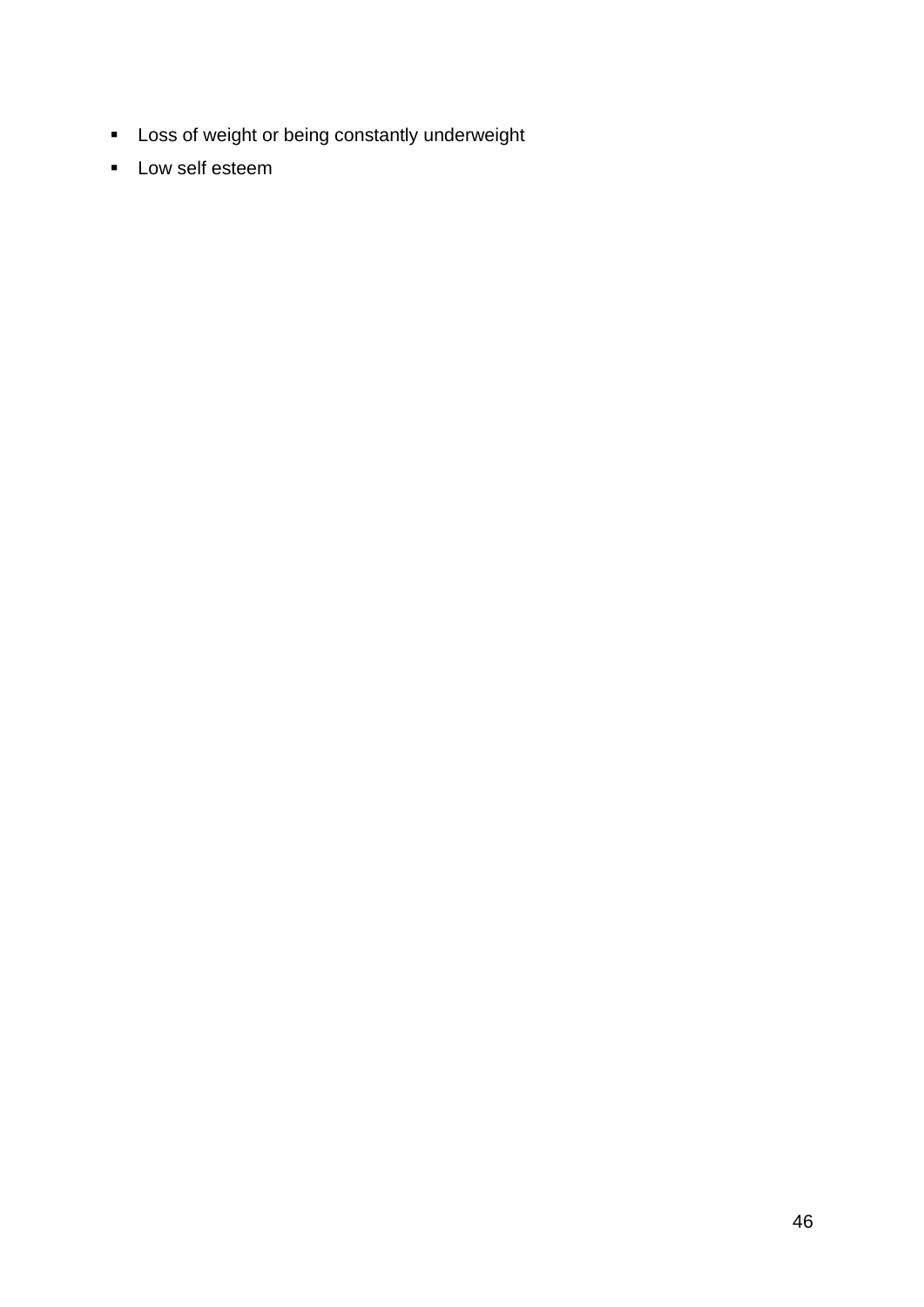- Loss of weight or being constantly underweight
- Low self esteem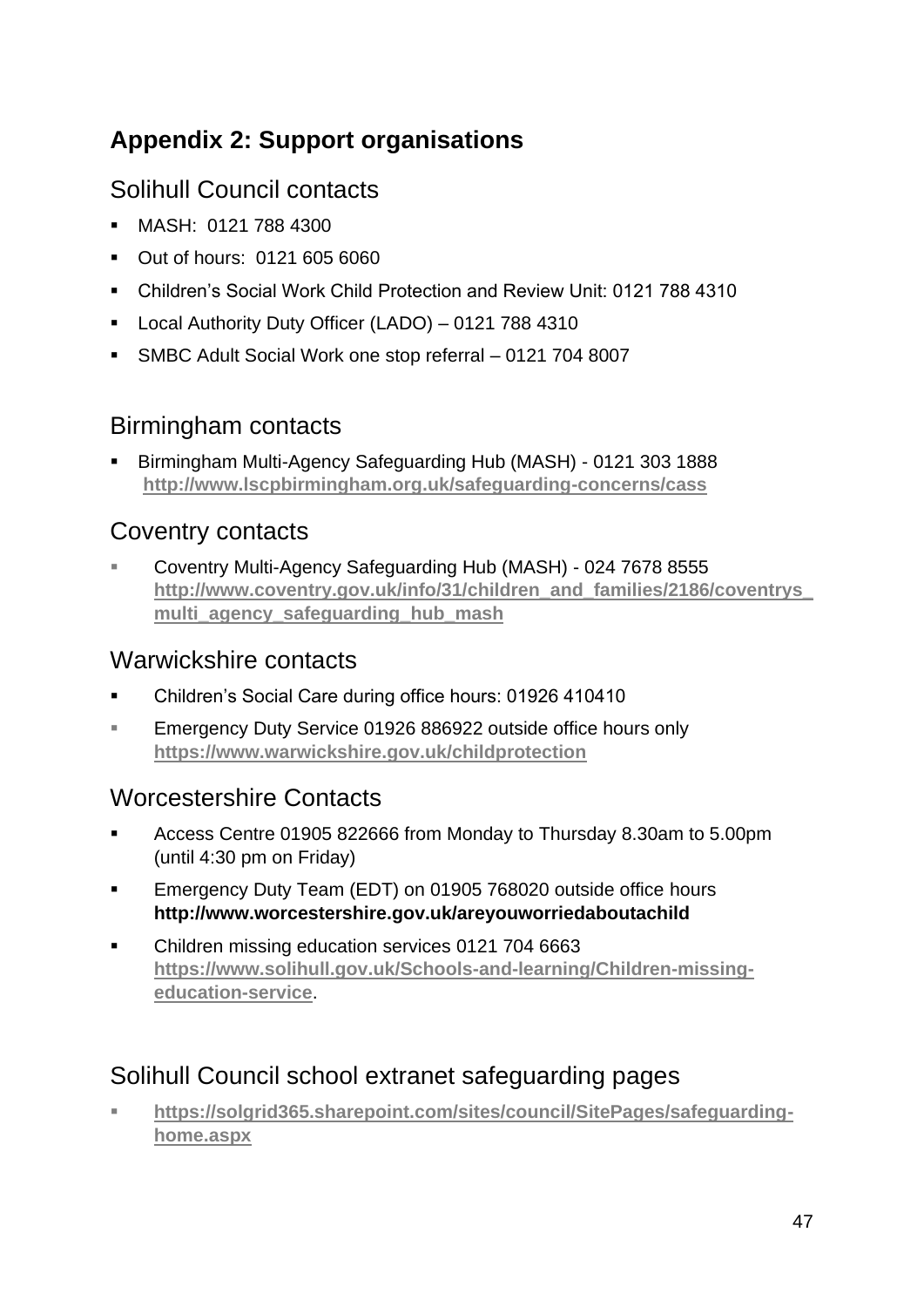# <span id="page-46-0"></span>**Appendix 2: Support organisations**

### <span id="page-46-1"></span>Solihull Council contacts

- MASH: 0121 788 4300
- Out of hours: 0121 605 6060
- Children's Social Work Child Protection and Review Unit: 0121 788 4310
- Local Authority Duty Officer (LADO) 0121 788 4310
- SMBC Adult Social Work one stop referral 0121 704 8007

#### Birmingham contacts

▪ Birmingham Multi-Agency Safeguarding Hub (MASH) - 0121 303 1888 **<http://www.lscpbirmingham.org.uk/safeguarding-concerns/cass>**

#### Coventry contacts

▪ Coventry Multi-Agency Safeguarding Hub (MASH) - 024 7678 8555 **[http://www.coventry.gov.uk/info/31/children\\_and\\_families/2186/coventrys\\_](http://www.coventry.gov.uk/info/31/children_and_families/2186/coventrys_multi_agency_safeguarding_hub_mash) [multi\\_agency\\_safeguarding\\_hub\\_mash](http://www.coventry.gov.uk/info/31/children_and_families/2186/coventrys_multi_agency_safeguarding_hub_mash)**

#### Warwickshire contacts

- Children's Social Care during office hours: 01926 410410
- Emergency Duty Service 01926 886922 outside office hours only **<https://www.warwickshire.gov.uk/childprotection>**

## Worcestershire Contacts

- Access Centre 01905 822666 from Monday to Thursday 8.30am to 5.00pm (until 4:30 pm on Friday)
- Emergency Duty Team (EDT) on 01905 768020 outside office hours **<http://www.worcestershire.gov.uk/areyouworriedaboutachild>**
- Children missing education services 0121 704 6663 **[https://www.solihull.gov.uk/Schools-and-learning/Children-missing](https://www.solihull.gov.uk/Schools-and-learning/Children-missing-education-service)[education-service](https://www.solihull.gov.uk/Schools-and-learning/Children-missing-education-service)**.

## Solihull Council school extranet safeguarding pages

▪ **[https://solgrid365.sharepoint.com/sites/council/SitePages/safeguarding](https://solgrid365.sharepoint.com/sites/council/SitePages/safeguarding-home.aspx)[home.aspx](https://solgrid365.sharepoint.com/sites/council/SitePages/safeguarding-home.aspx)**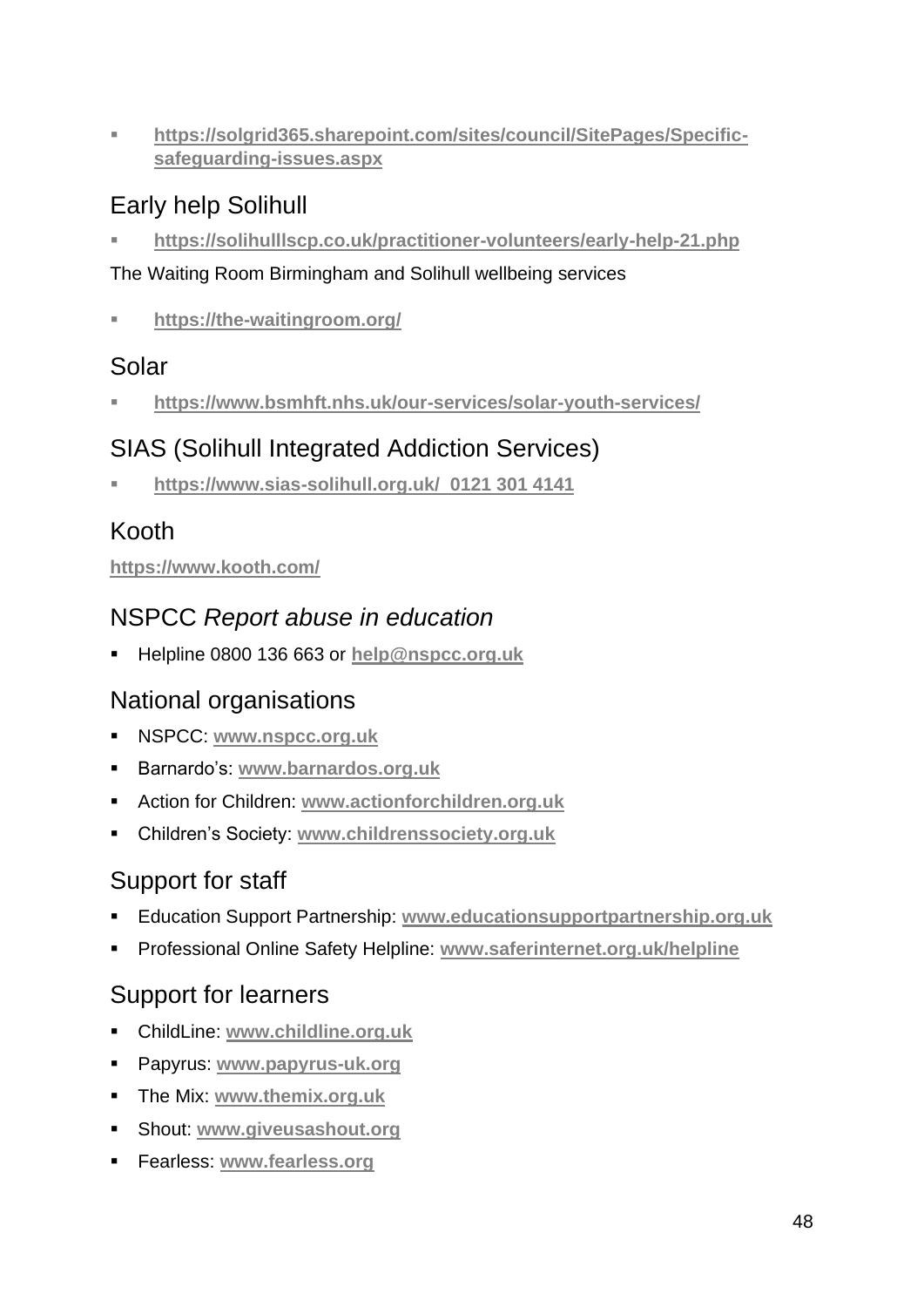▪ **[https://solgrid365.sharepoint.com/sites/council/SitePages/Specific](https://solgrid365.sharepoint.com/sites/council/SitePages/Specific-safeguarding-issues.aspx)[safeguarding-issues.aspx](https://solgrid365.sharepoint.com/sites/council/SitePages/Specific-safeguarding-issues.aspx)**

## Early help Solihull

▪ **<https://solihulllscp.co.uk/practitioner-volunteers/early-help-21.php>**

#### The Waiting Room Birmingham and Solihull wellbeing services

▪ **<https://the-waitingroom.org/>**

### Solar

▪ **<https://www.bsmhft.nhs.uk/our-services/solar-youth-services/>**

## SIAS (Solihull Integrated Addiction Services)

▪ **<https://www.sias-solihull.org.uk/> 0121 301 4141**

## Kooth

#### **<https://www.kooth.com/>**

## NSPCC *Report abuse in education*

▪ Helpline 0800 136 663 or **[help@nspcc.org.uk](mailto:help@nspcc.org.uk)**

## National organisations

- NSPCC: **[www.nspcc.org.uk](http://www.nspcc.org.uk/)**
- Barnardo's: **[www.barnardos.org.uk](http://www.barnardos.org.uk/)**
- Action for Children: **[www.actionforchildren.org.uk](http://www.actionforchildren.org.uk/)**
- Children's Society: **[www.childrenssociety.org.uk](http://www.childrenssociety.org.uk/)**

## Support for staff

- Education Support Partnership: **[www.educationsupportpartnership.org.uk](http://www.educationsupportpartnership.org.uk/)**
- Professional Online Safety Helpline: **[www.saferinternet.org.uk/helpline](http://www.saferinternet.org.uk/helpline)**

## Support for learners

- ChildLine: **[www.childline.org.uk](http://www.childline.org.uk/)**
- Papyrus: **[www.papyrus-uk.org](http://www.papyrus-uk.org/)**
- The Mix: **[www.themix.org.uk](http://www.themix.org.uk/)**
- Shout: **[www.giveusashout.org](http://www.giveusashout.org/)**
- Fearless: **[www.fearless.org](http://www.fearless.org/)**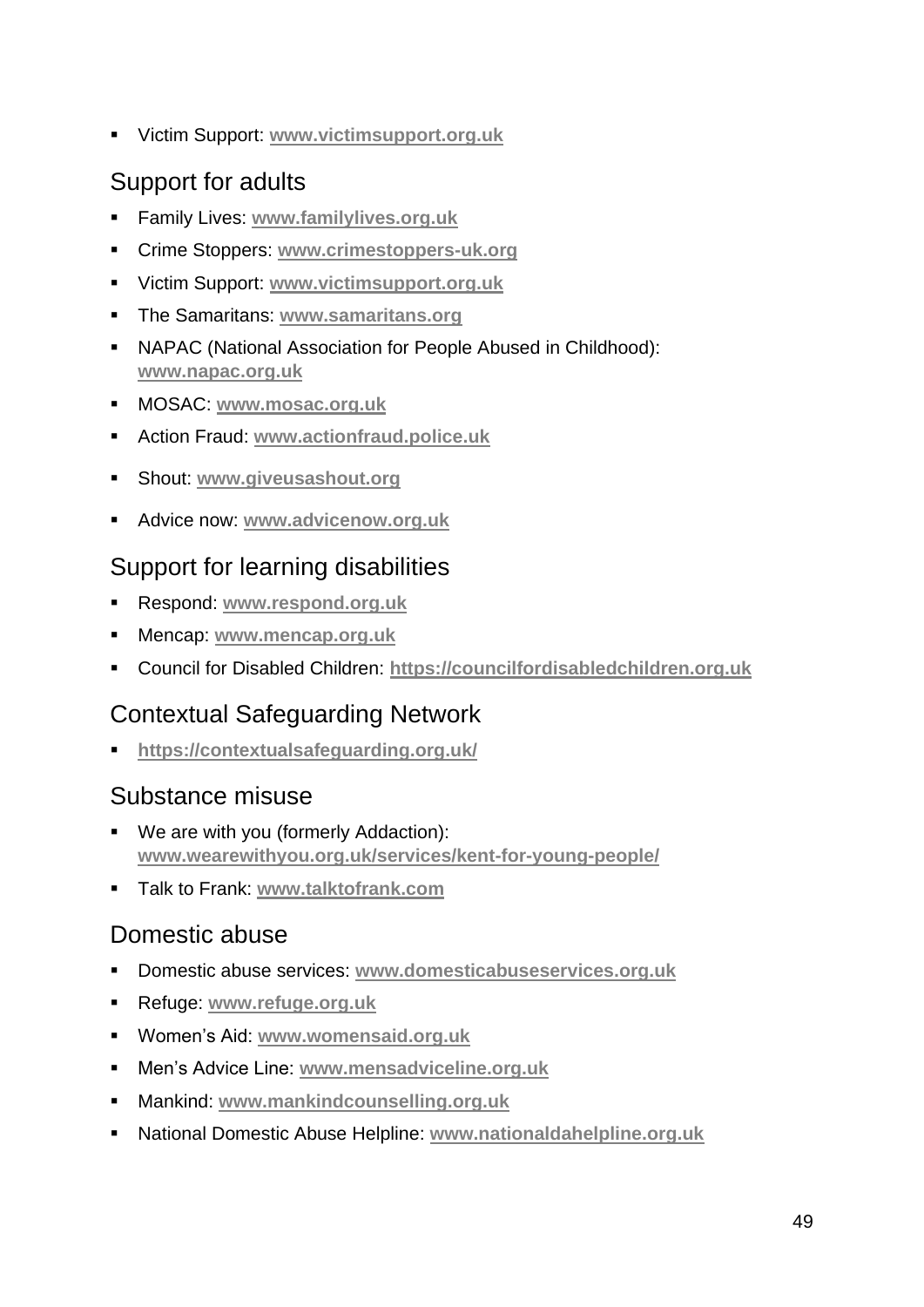▪ Victim Support: **[www.victimsupport.org.uk](http://www.victimsupport.org.uk/)**

## Support for adults

- Family Lives: **[www.familylives.org.uk](http://www.familylives.org.uk/)**
- Crime Stoppers: **[www.crimestoppers-uk.org](http://www.crimestoppers-uk.org/)**
- Victim Support: **[www.victimsupport.org.uk](http://www.victimsupport.org.uk/)**
- The Samaritans: **[www.samaritans.org](http://www.samaritans.org/)**
- NAPAC (National Association for People Abused in Childhood): **[www.napac.org.uk](http://www.napac.org.uk/)**
- MOSAC: **[www.mosac.org.uk](http://www.mosac.org.uk/)**
- Action Fraud: **[www.actionfraud.police.uk](http://www.actionfraud.police.uk/)**
- Shout: **[www.giveusashout.org](http://www.giveusashout.org/)**
- Advice now: **[www.advicenow.org.uk](http://www.advicenow.org.uk/)**

### Support for learning disabilities

- Respond: **[www.respond.org.uk](http://www.respond.org.uk/)**
- Mencap: **[www.mencap.org.uk](http://www.mencap.org.uk/)**
- Council for Disabled Children: **[https://councilfordisabledchildren.org.uk](https://councilfordisabledchildren.org.uk/)**

## Contextual Safeguarding Network

▪ **<https://contextualsafeguarding.org.uk/>**

### Substance misuse

- We are with you (formerly Addaction): **[www.wearewithyou.org.uk/services/kent-for-young-people/](http://www.wearewithyou.org.uk/services/kent-for-young-people/)**
- Talk to Frank: **[www.talktofrank.com](http://www.talktofrank.com/)**

### Domestic abuse

- Domestic abuse services: **[www.domesticabuseservices.org.uk](http://www.domesticabuseservices.org.uk/)**
- Refuge: **[www.refuge.org.uk](http://www.refuge.org.uk/)**
- Women's Aid: **[www.womensaid.org.uk](http://www.womensaid.org.uk/)**
- Men's Advice Line: **[www.mensadviceline.org.uk](http://www.mensadviceline.org.uk/)**
- Mankind: **[www.mankindcounselling.org.uk](http://www.mankindcounselling.org.uk/)**
- National Domestic Abuse Helpline: **[www.nationaldahelpline.org.uk](http://www.nationaldahelpline.org.uk/)**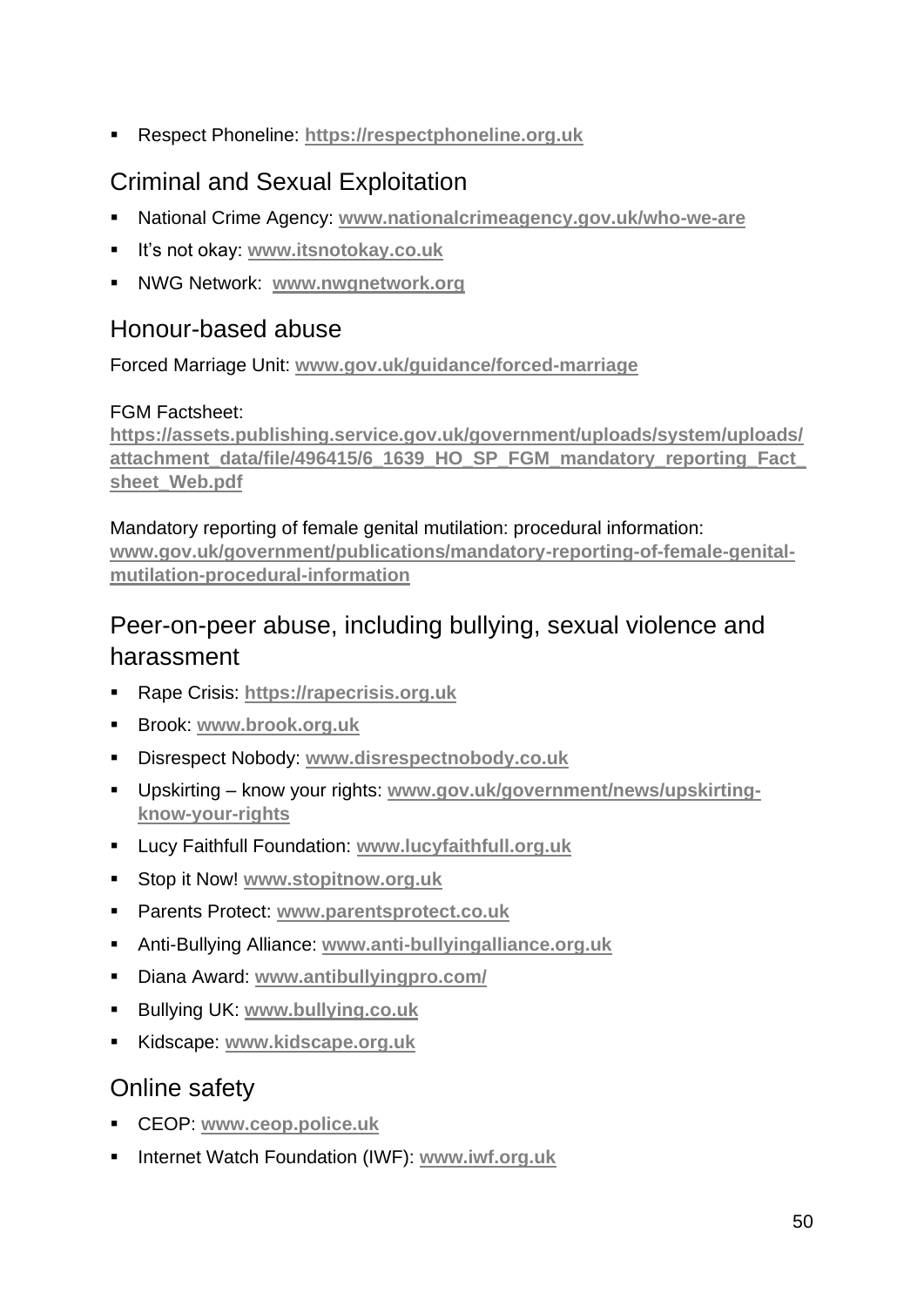▪ Respect Phoneline: **[https://respectphoneline.org.uk](https://respectphoneline.org.uk/)**

## Criminal and Sexual Exploitation

- National Crime Agency: **[www.nationalcrimeagency.gov.uk/who-we-are](http://www.nationalcrimeagency.gov.uk/who-we-are)**
- It's not okay: **[www.itsnotokay.co.uk](http://www.itsnotokay.co.uk/)**
- NWG Network: **[www.nwgnetwork.org](http://www.nwgnetwork.org/)**

#### Honour-based abuse

Forced Marriage Unit: **[www.gov.uk/guidance/forced-marriage](http://www.gov.uk/guidance/forced-marriage)**

#### FGM Factsheet:

**[https://assets.publishing.service.gov.uk/government/uploads/system/uploads/](https://assets.publishing.service.gov.uk/government/uploads/system/uploads/attachment_data/file/496415/6_1639_HO_SP_FGM_mandatory_reporting_Fact_sheet_Web.pdf) [attachment\\_data/file/496415/6\\_1639\\_HO\\_SP\\_FGM\\_mandatory\\_reporting\\_Fact\\_](https://assets.publishing.service.gov.uk/government/uploads/system/uploads/attachment_data/file/496415/6_1639_HO_SP_FGM_mandatory_reporting_Fact_sheet_Web.pdf) [sheet\\_Web.pdf](https://assets.publishing.service.gov.uk/government/uploads/system/uploads/attachment_data/file/496415/6_1639_HO_SP_FGM_mandatory_reporting_Fact_sheet_Web.pdf)**

Mandatory reporting of female genital mutilation: procedural information: **[www.gov.uk/government/publications/mandatory-reporting-of-female-genital](http://www.gov.uk/government/publications/mandatory-reporting-of-female-genital-mutilation-procedural-information)[mutilation-procedural-information](http://www.gov.uk/government/publications/mandatory-reporting-of-female-genital-mutilation-procedural-information)**

## Peer-on-peer abuse, including bullying, sexual violence and harassment

- Rape Crisis: **[https://rapecrisis.org.uk](https://rapecrisis.org.uk/)**
- Brook: **[www.brook.org.uk](http://www.brook.org.uk/)**
- Disrespect Nobody: **[www.disrespectnobody.co.uk](http://www.disrespectnobody.co.uk/)**
- Upskirting know your rights: **[www.gov.uk/government/news/upskirting](http://www.gov.uk/government/news/upskirting-know-your-rights)[know-your-rights](http://www.gov.uk/government/news/upskirting-know-your-rights)**
- Lucy Faithfull Foundation: **[www.lucyfaithfull.org.uk](http://www.lucyfaithfull.org.uk/)**
- Stop it Now! **[www.stopitnow.org.uk](http://www.stopitnow.org.uk/)**
- Parents Protect: **[www.parentsprotect.co.uk](http://www.parentsprotect.co.uk/)**
- Anti-Bullying Alliance: **[www.anti-bullyingalliance.org.uk](http://www.anti-bullyingalliance.org.uk/)**
- Diana Award: **[www.antibullyingpro.com/](http://www.antibullyingpro.com/)**
- Bullying UK: **[www.bullying.co.uk](http://www.bullying.co.uk/)**
- Kidscape: **[www.kidscape.org.uk](http://www.kidscape.org.uk/)**

### Online safety

- CEOP: **[www.ceop.police.uk](http://www.ceop.police.uk/)**
- Internet Watch Foundation (IWF): [www.iwf.org.uk](http://www.iwf.org.uk/)